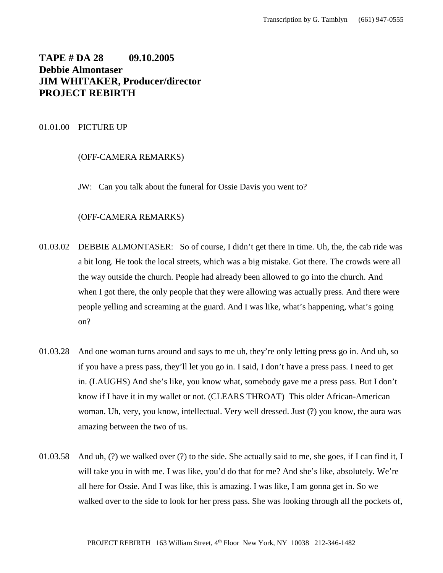# **TAPE # DA 28 09.10.2005 Debbie Almontaser JIM WHITAKER, Producer/director PROJECT REBIRTH**

# 01.01.00 PICTURE UP

# (OFF-CAMERA REMARKS)

JW: Can you talk about the funeral for Ossie Davis you went to?

## (OFF-CAMERA REMARKS)

- 01.03.02 DEBBIE ALMONTASER: So of course, I didn't get there in time. Uh, the, the cab ride was a bit long. He took the local streets, which was a big mistake. Got there. The crowds were all the way outside the church. People had already been allowed to go into the church. And when I got there, the only people that they were allowing was actually press. And there were people yelling and screaming at the guard. And I was like, what's happening, what's going on?
- 01.03.28 And one woman turns around and says to me uh, they're only letting press go in. And uh, so if you have a press pass, they'll let you go in. I said, I don't have a press pass. I need to get in. (LAUGHS) And she's like, you know what, somebody gave me a press pass. But I don't know if I have it in my wallet or not. (CLEARS THROAT) This older African-American woman. Uh, very, you know, intellectual. Very well dressed. Just (?) you know, the aura was amazing between the two of us.
- 01.03.58 And uh, (?) we walked over (?) to the side. She actually said to me, she goes, if I can find it, I will take you in with me. I was like, you'd do that for me? And she's like, absolutely. We're all here for Ossie. And I was like, this is amazing. I was like, I am gonna get in. So we walked over to the side to look for her press pass. She was looking through all the pockets of,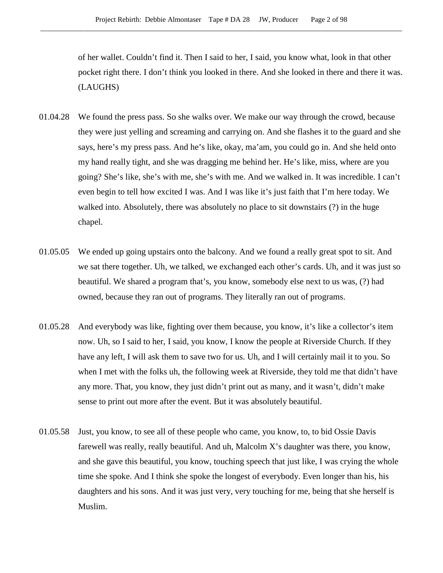of her wallet. Couldn't find it. Then I said to her, I said, you know what, look in that other pocket right there. I don't think you looked in there. And she looked in there and there it was. (LAUGHS)

- 01.04.28 We found the press pass. So she walks over. We make our way through the crowd, because they were just yelling and screaming and carrying on. And she flashes it to the guard and she says, here's my press pass. And he's like, okay, ma'am, you could go in. And she held onto my hand really tight, and she was dragging me behind her. He's like, miss, where are you going? She's like, she's with me, she's with me. And we walked in. It was incredible. I can't even begin to tell how excited I was. And I was like it's just faith that I'm here today. We walked into. Absolutely, there was absolutely no place to sit downstairs (?) in the huge chapel.
- 01.05.05 We ended up going upstairs onto the balcony. And we found a really great spot to sit. And we sat there together. Uh, we talked, we exchanged each other's cards. Uh, and it was just so beautiful. We shared a program that's, you know, somebody else next to us was, (?) had owned, because they ran out of programs. They literally ran out of programs.
- 01.05.28 And everybody was like, fighting over them because, you know, it's like a collector's item now. Uh, so I said to her, I said, you know, I know the people at Riverside Church. If they have any left, I will ask them to save two for us. Uh, and I will certainly mail it to you. So when I met with the folks uh, the following week at Riverside, they told me that didn't have any more. That, you know, they just didn't print out as many, and it wasn't, didn't make sense to print out more after the event. But it was absolutely beautiful.
- 01.05.58 Just, you know, to see all of these people who came, you know, to, to bid Ossie Davis farewell was really, really beautiful. And uh, Malcolm X's daughter was there, you know, and she gave this beautiful, you know, touching speech that just like, I was crying the whole time she spoke. And I think she spoke the longest of everybody. Even longer than his, his daughters and his sons. And it was just very, very touching for me, being that she herself is Muslim.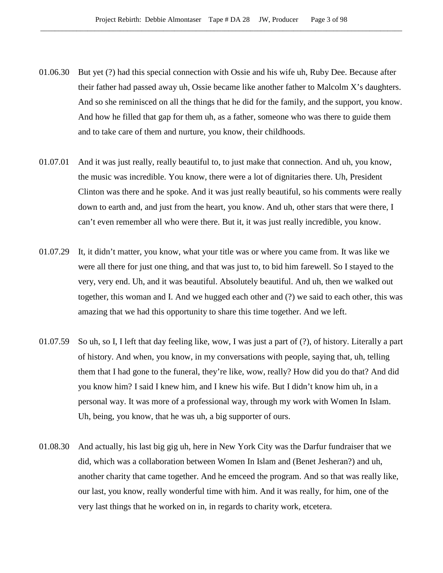- 01.06.30 But yet (?) had this special connection with Ossie and his wife uh, Ruby Dee. Because after their father had passed away uh, Ossie became like another father to Malcolm X's daughters. And so she reminisced on all the things that he did for the family, and the support, you know. And how he filled that gap for them uh, as a father, someone who was there to guide them and to take care of them and nurture, you know, their childhoods.
- 01.07.01 And it was just really, really beautiful to, to just make that connection. And uh, you know, the music was incredible. You know, there were a lot of dignitaries there. Uh, President Clinton was there and he spoke. And it was just really beautiful, so his comments were really down to earth and, and just from the heart, you know. And uh, other stars that were there, I can't even remember all who were there. But it, it was just really incredible, you know.
- 01.07.29 It, it didn't matter, you know, what your title was or where you came from. It was like we were all there for just one thing, and that was just to, to bid him farewell. So I stayed to the very, very end. Uh, and it was beautiful. Absolutely beautiful. And uh, then we walked out together, this woman and I. And we hugged each other and (?) we said to each other, this was amazing that we had this opportunity to share this time together. And we left.
- 01.07.59 So uh, so I, I left that day feeling like, wow, I was just a part of (?), of history. Literally a part of history. And when, you know, in my conversations with people, saying that, uh, telling them that I had gone to the funeral, they're like, wow, really? How did you do that? And did you know him? I said I knew him, and I knew his wife. But I didn't know him uh, in a personal way. It was more of a professional way, through my work with Women In Islam. Uh, being, you know, that he was uh, a big supporter of ours.
- 01.08.30 And actually, his last big gig uh, here in New York City was the Darfur fundraiser that we did, which was a collaboration between Women In Islam and (Benet Jesheran?) and uh, another charity that came together. And he emceed the program. And so that was really like, our last, you know, really wonderful time with him. And it was really, for him, one of the very last things that he worked on in, in regards to charity work, etcetera.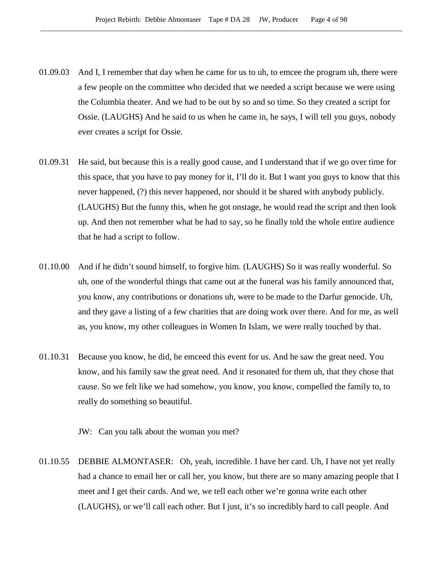- 01.09.03 And I, I remember that day when he came for us to uh, to emcee the program uh, there were a few people on the committee who decided that we needed a script because we were using the Columbia theater. And we had to be out by so and so time. So they created a script for Ossie. (LAUGHS) And he said to us when he came in, he says, I will tell you guys, nobody ever creates a script for Ossie.
- 01.09.31 He said, but because this is a really good cause, and I understand that if we go over time for this space, that you have to pay money for it, I'll do it. But I want you guys to know that this never happened, (?) this never happened, nor should it be shared with anybody publicly. (LAUGHS) But the funny this, when he got onstage, he would read the script and then look up. And then not remember what he had to say, so he finally told the whole entire audience that he had a script to follow.
- 01.10.00 And if he didn't sound himself, to forgive him. (LAUGHS) So it was really wonderful. So uh, one of the wonderful things that came out at the funeral was his family announced that, you know, any contributions or donations uh, were to be made to the Darfur genocide. Uh, and they gave a listing of a few charities that are doing work over there. And for me, as well as, you know, my other colleagues in Women In Islam, we were really touched by that.
- 01.10.31 Because you know, he did, he emceed this event for us. And he saw the great need. You know, and his family saw the great need. And it resonated for them uh, that they chose that cause. So we felt like we had somehow, you know, you know, compelled the family to, to really do something so beautiful.

JW: Can you talk about the woman you met?

01.10.55 DEBBIE ALMONTASER: Oh, yeah, incredible. I have her card. Uh, I have not yet really had a chance to email her or call her, you know, but there are so many amazing people that I meet and I get their cards. And we, we tell each other we're gonna write each other (LAUGHS), or we'll call each other. But I just, it's so incredibly hard to call people. And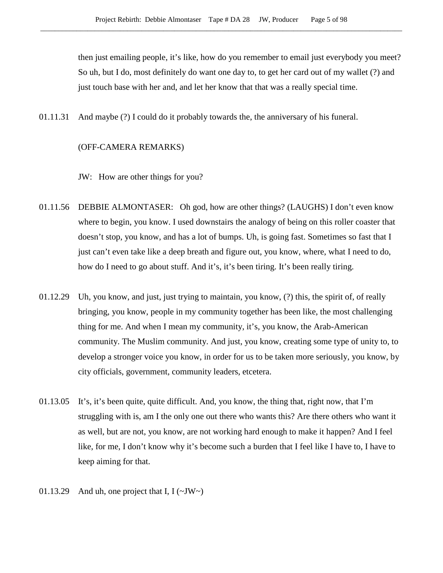then just emailing people, it's like, how do you remember to email just everybody you meet? So uh, but I do, most definitely do want one day to, to get her card out of my wallet (?) and just touch base with her and, and let her know that that was a really special time.

01.11.31 And maybe (?) I could do it probably towards the, the anniversary of his funeral.

## (OFF-CAMERA REMARKS)

JW: How are other things for you?

- 01.11.56 DEBBIE ALMONTASER: Oh god, how are other things? (LAUGHS) I don't even know where to begin, you know. I used downstairs the analogy of being on this roller coaster that doesn't stop, you know, and has a lot of bumps. Uh, is going fast. Sometimes so fast that I just can't even take like a deep breath and figure out, you know, where, what I need to do, how do I need to go about stuff. And it's, it's been tiring. It's been really tiring.
- 01.12.29 Uh, you know, and just, just trying to maintain, you know, (?) this, the spirit of, of really bringing, you know, people in my community together has been like, the most challenging thing for me. And when I mean my community, it's, you know, the Arab-American community. The Muslim community. And just, you know, creating some type of unity to, to develop a stronger voice you know, in order for us to be taken more seriously, you know, by city officials, government, community leaders, etcetera.
- 01.13.05 It's, it's been quite, quite difficult. And, you know, the thing that, right now, that I'm struggling with is, am I the only one out there who wants this? Are there others who want it as well, but are not, you know, are not working hard enough to make it happen? And I feel like, for me, I don't know why it's become such a burden that I feel like I have to, I have to keep aiming for that.
- 01.13.29 And uh, one project that I,  $I(\sim JW \sim)$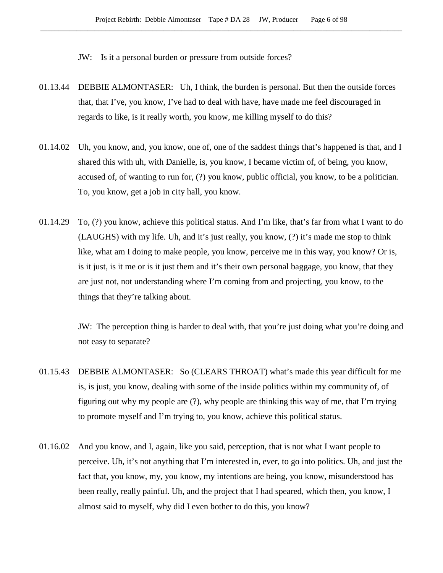JW: Is it a personal burden or pressure from outside forces?

- 01.13.44 DEBBIE ALMONTASER: Uh, I think, the burden is personal. But then the outside forces that, that I've, you know, I've had to deal with have, have made me feel discouraged in regards to like, is it really worth, you know, me killing myself to do this?
- 01.14.02 Uh, you know, and, you know, one of, one of the saddest things that's happened is that, and I shared this with uh, with Danielle, is, you know, I became victim of, of being, you know, accused of, of wanting to run for, (?) you know, public official, you know, to be a politician. To, you know, get a job in city hall, you know.
- 01.14.29 To, (?) you know, achieve this political status. And I'm like, that's far from what I want to do (LAUGHS) with my life. Uh, and it's just really, you know, (?) it's made me stop to think like, what am I doing to make people, you know, perceive me in this way, you know? Or is, is it just, is it me or is it just them and it's their own personal baggage, you know, that they are just not, not understanding where I'm coming from and projecting, you know, to the things that they're talking about.

JW: The perception thing is harder to deal with, that you're just doing what you're doing and not easy to separate?

- 01.15.43 DEBBIE ALMONTASER: So (CLEARS THROAT) what's made this year difficult for me is, is just, you know, dealing with some of the inside politics within my community of, of figuring out why my people are (?), why people are thinking this way of me, that I'm trying to promote myself and I'm trying to, you know, achieve this political status.
- 01.16.02 And you know, and I, again, like you said, perception, that is not what I want people to perceive. Uh, it's not anything that I'm interested in, ever, to go into politics. Uh, and just the fact that, you know, my, you know, my intentions are being, you know, misunderstood has been really, really painful. Uh, and the project that I had speared, which then, you know, I almost said to myself, why did I even bother to do this, you know?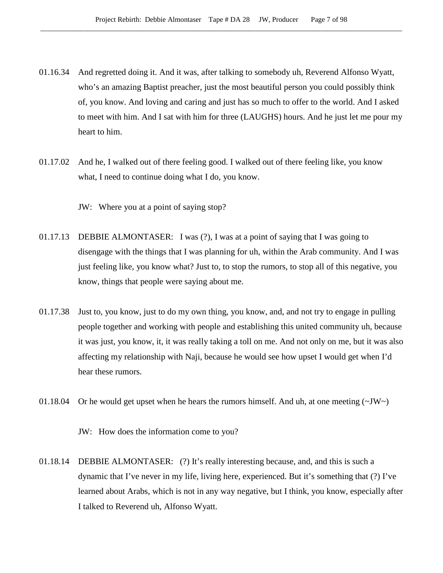- 01.16.34 And regretted doing it. And it was, after talking to somebody uh, Reverend Alfonso Wyatt, who's an amazing Baptist preacher, just the most beautiful person you could possibly think of, you know. And loving and caring and just has so much to offer to the world. And I asked to meet with him. And I sat with him for three (LAUGHS) hours. And he just let me pour my heart to him.
- 01.17.02 And he, I walked out of there feeling good. I walked out of there feeling like, you know what, I need to continue doing what I do, you know.

JW: Where you at a point of saying stop?

- 01.17.13 DEBBIE ALMONTASER: I was (?), I was at a point of saying that I was going to disengage with the things that I was planning for uh, within the Arab community. And I was just feeling like, you know what? Just to, to stop the rumors, to stop all of this negative, you know, things that people were saying about me.
- 01.17.38 Just to, you know, just to do my own thing, you know, and, and not try to engage in pulling people together and working with people and establishing this united community uh, because it was just, you know, it, it was really taking a toll on me. And not only on me, but it was also affecting my relationship with Naji, because he would see how upset I would get when I'd hear these rumors.
- 01.18.04 Or he would get upset when he hears the rumors himself. And uh, at one meeting  $(\sim JW)$

JW: How does the information come to you?

01.18.14 DEBBIE ALMONTASER: (?) It's really interesting because, and, and this is such a dynamic that I've never in my life, living here, experienced. But it's something that (?) I've learned about Arabs, which is not in any way negative, but I think, you know, especially after I talked to Reverend uh, Alfonso Wyatt.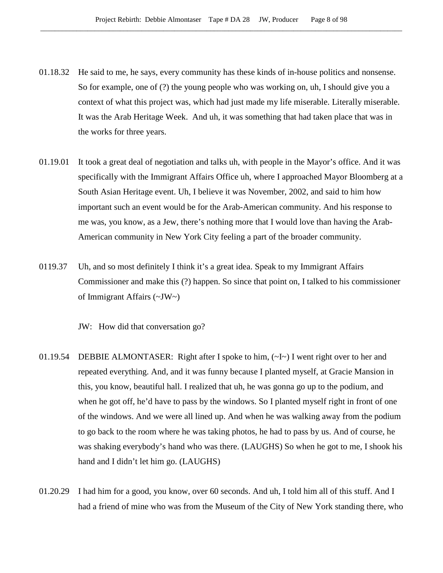- 01.18.32 He said to me, he says, every community has these kinds of in-house politics and nonsense. So for example, one of (?) the young people who was working on, uh, I should give you a context of what this project was, which had just made my life miserable. Literally miserable. It was the Arab Heritage Week. And uh, it was something that had taken place that was in the works for three years.
- 01.19.01 It took a great deal of negotiation and talks uh, with people in the Mayor's office. And it was specifically with the Immigrant Affairs Office uh, where I approached Mayor Bloomberg at a South Asian Heritage event. Uh, I believe it was November, 2002, and said to him how important such an event would be for the Arab-American community. And his response to me was, you know, as a Jew, there's nothing more that I would love than having the Arab-American community in New York City feeling a part of the broader community.
- 0119.37 Uh, and so most definitely I think it's a great idea. Speak to my Immigrant Affairs Commissioner and make this (?) happen. So since that point on, I talked to his commissioner of Immigrant Affairs (~JW~)

JW: How did that conversation go?

- 01.19.54 DEBBIE ALMONTASER: Right after I spoke to him, (~I~) I went right over to her and repeated everything. And, and it was funny because I planted myself, at Gracie Mansion in this, you know, beautiful hall. I realized that uh, he was gonna go up to the podium, and when he got off, he'd have to pass by the windows. So I planted myself right in front of one of the windows. And we were all lined up. And when he was walking away from the podium to go back to the room where he was taking photos, he had to pass by us. And of course, he was shaking everybody's hand who was there. (LAUGHS) So when he got to me, I shook his hand and I didn't let him go. (LAUGHS)
- 01.20.29 I had him for a good, you know, over 60 seconds. And uh, I told him all of this stuff. And I had a friend of mine who was from the Museum of the City of New York standing there, who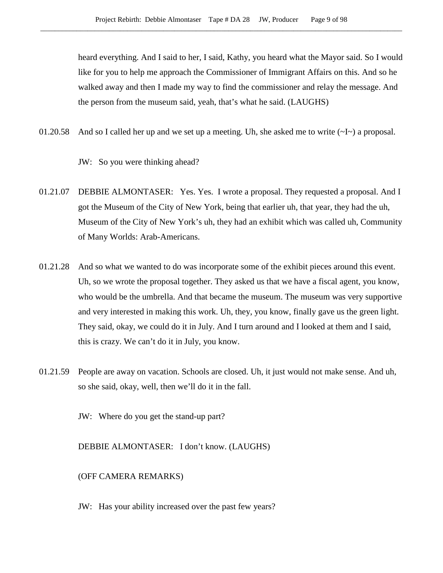heard everything. And I said to her, I said, Kathy, you heard what the Mayor said. So I would like for you to help me approach the Commissioner of Immigrant Affairs on this. And so he walked away and then I made my way to find the commissioner and relay the message. And the person from the museum said, yeah, that's what he said. (LAUGHS)

01.20.58 And so I called her up and we set up a meeting. Uh, she asked me to write  $(\sim I \sim)$  a proposal.

JW: So you were thinking ahead?

- 01.21.07 DEBBIE ALMONTASER: Yes. Yes. I wrote a proposal. They requested a proposal. And I got the Museum of the City of New York, being that earlier uh, that year, they had the uh, Museum of the City of New York's uh, they had an exhibit which was called uh, Community of Many Worlds: Arab-Americans.
- 01.21.28 And so what we wanted to do was incorporate some of the exhibit pieces around this event. Uh, so we wrote the proposal together. They asked us that we have a fiscal agent, you know, who would be the umbrella. And that became the museum. The museum was very supportive and very interested in making this work. Uh, they, you know, finally gave us the green light. They said, okay, we could do it in July. And I turn around and I looked at them and I said, this is crazy. We can't do it in July, you know.
- 01.21.59 People are away on vacation. Schools are closed. Uh, it just would not make sense. And uh, so she said, okay, well, then we'll do it in the fall.

JW: Where do you get the stand-up part?

DEBBIE ALMONTASER: I don't know. (LAUGHS)

(OFF CAMERA REMARKS)

JW: Has your ability increased over the past few years?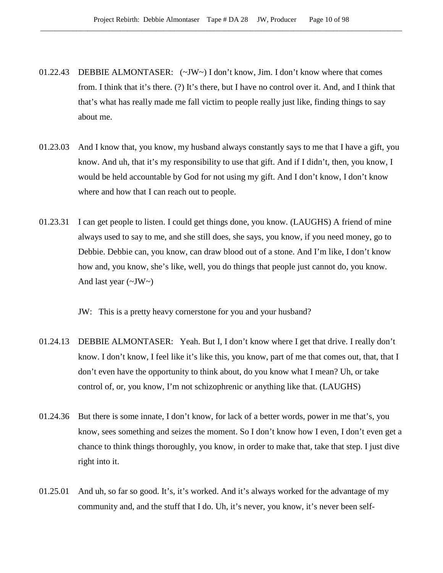- 01.22.43 DEBBIE ALMONTASER: (~JW~) I don't know, Jim. I don't know where that comes from. I think that it's there. (?) It's there, but I have no control over it. And, and I think that that's what has really made me fall victim to people really just like, finding things to say about me.
- 01.23.03 And I know that, you know, my husband always constantly says to me that I have a gift, you know. And uh, that it's my responsibility to use that gift. And if I didn't, then, you know, I would be held accountable by God for not using my gift. And I don't know, I don't know where and how that I can reach out to people.
- 01.23.31 I can get people to listen. I could get things done, you know. (LAUGHS) A friend of mine always used to say to me, and she still does, she says, you know, if you need money, go to Debbie. Debbie can, you know, can draw blood out of a stone. And I'm like, I don't know how and, you know, she's like, well, you do things that people just cannot do, you know. And last year  $(\sim JW)$

JW: This is a pretty heavy cornerstone for you and your husband?

- 01.24.13 DEBBIE ALMONTASER: Yeah. But I, I don't know where I get that drive. I really don't know. I don't know, I feel like it's like this, you know, part of me that comes out, that, that I don't even have the opportunity to think about, do you know what I mean? Uh, or take control of, or, you know, I'm not schizophrenic or anything like that. (LAUGHS)
- 01.24.36 But there is some innate, I don't know, for lack of a better words, power in me that's, you know, sees something and seizes the moment. So I don't know how I even, I don't even get a chance to think things thoroughly, you know, in order to make that, take that step. I just dive right into it.
- 01.25.01 And uh, so far so good. It's, it's worked. And it's always worked for the advantage of my community and, and the stuff that I do. Uh, it's never, you know, it's never been self-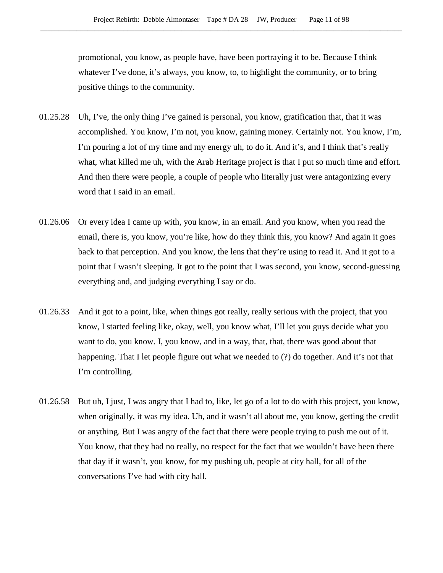promotional, you know, as people have, have been portraying it to be. Because I think whatever I've done, it's always, you know, to, to highlight the community, or to bring positive things to the community.

- 01.25.28 Uh, I've, the only thing I've gained is personal, you know, gratification that, that it was accomplished. You know, I'm not, you know, gaining money. Certainly not. You know, I'm, I'm pouring a lot of my time and my energy uh, to do it. And it's, and I think that's really what, what killed me uh, with the Arab Heritage project is that I put so much time and effort. And then there were people, a couple of people who literally just were antagonizing every word that I said in an email.
- 01.26.06 Or every idea I came up with, you know, in an email. And you know, when you read the email, there is, you know, you're like, how do they think this, you know? And again it goes back to that perception. And you know, the lens that they're using to read it. And it got to a point that I wasn't sleeping. It got to the point that I was second, you know, second-guessing everything and, and judging everything I say or do.
- 01.26.33 And it got to a point, like, when things got really, really serious with the project, that you know, I started feeling like, okay, well, you know what, I'll let you guys decide what you want to do, you know. I, you know, and in a way, that, that, there was good about that happening. That I let people figure out what we needed to (?) do together. And it's not that I'm controlling.
- 01.26.58 But uh, I just, I was angry that I had to, like, let go of a lot to do with this project, you know, when originally, it was my idea. Uh, and it wasn't all about me, you know, getting the credit or anything. But I was angry of the fact that there were people trying to push me out of it. You know, that they had no really, no respect for the fact that we wouldn't have been there that day if it wasn't, you know, for my pushing uh, people at city hall, for all of the conversations I've had with city hall.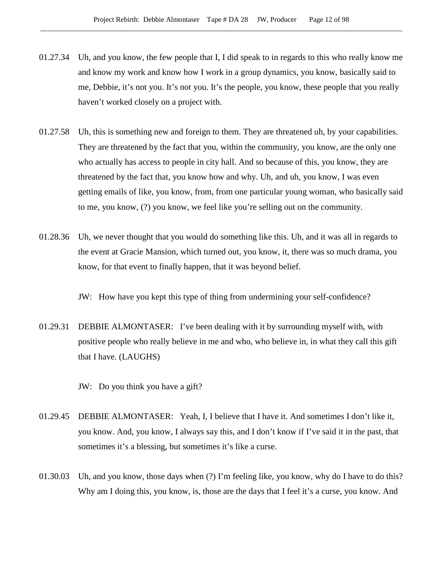- 01.27.34 Uh, and you know, the few people that I, I did speak to in regards to this who really know me and know my work and know how I work in a group dynamics, you know, basically said to me, Debbie, it's not you. It's not you. It's the people, you know, these people that you really haven't worked closely on a project with.
- 01.27.58 Uh, this is something new and foreign to them. They are threatened uh, by your capabilities. They are threatened by the fact that you, within the community, you know, are the only one who actually has access to people in city hall. And so because of this, you know, they are threatened by the fact that, you know how and why. Uh, and uh, you know, I was even getting emails of like, you know, from, from one particular young woman, who basically said to me, you know, (?) you know, we feel like you're selling out on the community.
- 01.28.36 Uh, we never thought that you would do something like this. Uh, and it was all in regards to the event at Gracie Mansion, which turned out, you know, it, there was so much drama, you know, for that event to finally happen, that it was beyond belief.

JW: How have you kept this type of thing from undermining your self-confidence?

01.29.31 DEBBIE ALMONTASER: I've been dealing with it by surrounding myself with, with positive people who really believe in me and who, who believe in, in what they call this gift that I have. (LAUGHS)

JW: Do you think you have a gift?

- 01.29.45 DEBBIE ALMONTASER: Yeah, I, I believe that I have it. And sometimes I don't like it, you know. And, you know, I always say this, and I don't know if I've said it in the past, that sometimes it's a blessing, but sometimes it's like a curse.
- 01.30.03 Uh, and you know, those days when (?) I'm feeling like, you know, why do I have to do this? Why am I doing this, you know, is, those are the days that I feel it's a curse, you know. And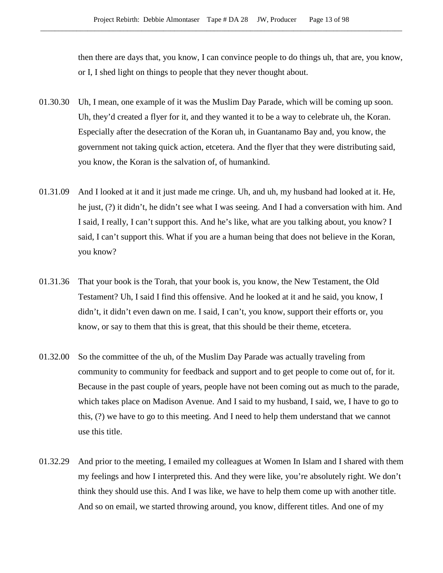then there are days that, you know, I can convince people to do things uh, that are, you know, or I, I shed light on things to people that they never thought about.

- 01.30.30 Uh, I mean, one example of it was the Muslim Day Parade, which will be coming up soon. Uh, they'd created a flyer for it, and they wanted it to be a way to celebrate uh, the Koran. Especially after the desecration of the Koran uh, in Guantanamo Bay and, you know, the government not taking quick action, etcetera. And the flyer that they were distributing said, you know, the Koran is the salvation of, of humankind.
- 01.31.09 And I looked at it and it just made me cringe. Uh, and uh, my husband had looked at it. He, he just, (?) it didn't, he didn't see what I was seeing. And I had a conversation with him. And I said, I really, I can't support this. And he's like, what are you talking about, you know? I said, I can't support this. What if you are a human being that does not believe in the Koran, you know?
- 01.31.36 That your book is the Torah, that your book is, you know, the New Testament, the Old Testament? Uh, I said I find this offensive. And he looked at it and he said, you know, I didn't, it didn't even dawn on me. I said, I can't, you know, support their efforts or, you know, or say to them that this is great, that this should be their theme, etcetera.
- 01.32.00 So the committee of the uh, of the Muslim Day Parade was actually traveling from community to community for feedback and support and to get people to come out of, for it. Because in the past couple of years, people have not been coming out as much to the parade, which takes place on Madison Avenue. And I said to my husband, I said, we, I have to go to this, (?) we have to go to this meeting. And I need to help them understand that we cannot use this title.
- 01.32.29 And prior to the meeting, I emailed my colleagues at Women In Islam and I shared with them my feelings and how I interpreted this. And they were like, you're absolutely right. We don't think they should use this. And I was like, we have to help them come up with another title. And so on email, we started throwing around, you know, different titles. And one of my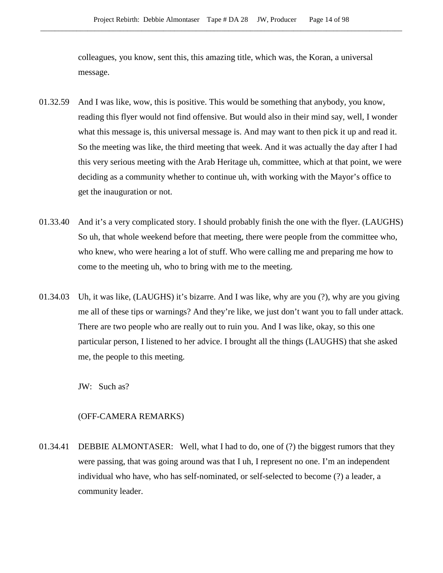colleagues, you know, sent this, this amazing title, which was, the Koran, a universal message.

- 01.32.59 And I was like, wow, this is positive. This would be something that anybody, you know, reading this flyer would not find offensive. But would also in their mind say, well, I wonder what this message is, this universal message is. And may want to then pick it up and read it. So the meeting was like, the third meeting that week. And it was actually the day after I had this very serious meeting with the Arab Heritage uh, committee, which at that point, we were deciding as a community whether to continue uh, with working with the Mayor's office to get the inauguration or not.
- 01.33.40 And it's a very complicated story. I should probably finish the one with the flyer. (LAUGHS) So uh, that whole weekend before that meeting, there were people from the committee who, who knew, who were hearing a lot of stuff. Who were calling me and preparing me how to come to the meeting uh, who to bring with me to the meeting.
- 01.34.03 Uh, it was like, (LAUGHS) it's bizarre. And I was like, why are you (?), why are you giving me all of these tips or warnings? And they're like, we just don't want you to fall under attack. There are two people who are really out to ruin you. And I was like, okay, so this one particular person, I listened to her advice. I brought all the things (LAUGHS) that she asked me, the people to this meeting.

JW: Such as?

#### (OFF-CAMERA REMARKS)

01.34.41 DEBBIE ALMONTASER: Well, what I had to do, one of (?) the biggest rumors that they were passing, that was going around was that I uh, I represent no one. I'm an independent individual who have, who has self-nominated, or self-selected to become (?) a leader, a community leader.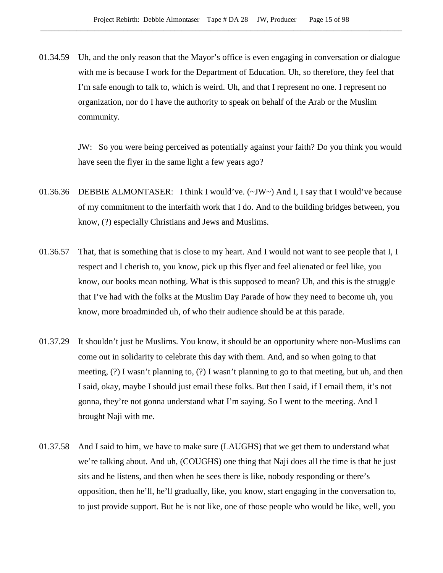01.34.59 Uh, and the only reason that the Mayor's office is even engaging in conversation or dialogue with me is because I work for the Department of Education. Uh, so therefore, they feel that I'm safe enough to talk to, which is weird. Uh, and that I represent no one. I represent no organization, nor do I have the authority to speak on behalf of the Arab or the Muslim community.

> JW: So you were being perceived as potentially against your faith? Do you think you would have seen the flyer in the same light a few years ago?

- 01.36.36 DEBBIE ALMONTASER: I think I would've. (~JW~) And I, I say that I would've because of my commitment to the interfaith work that I do. And to the building bridges between, you know, (?) especially Christians and Jews and Muslims.
- 01.36.57 That, that is something that is close to my heart. And I would not want to see people that I, I respect and I cherish to, you know, pick up this flyer and feel alienated or feel like, you know, our books mean nothing. What is this supposed to mean? Uh, and this is the struggle that I've had with the folks at the Muslim Day Parade of how they need to become uh, you know, more broadminded uh, of who their audience should be at this parade.
- 01.37.29 It shouldn't just be Muslims. You know, it should be an opportunity where non-Muslims can come out in solidarity to celebrate this day with them. And, and so when going to that meeting, (?) I wasn't planning to, (?) I wasn't planning to go to that meeting, but uh, and then I said, okay, maybe I should just email these folks. But then I said, if I email them, it's not gonna, they're not gonna understand what I'm saying. So I went to the meeting. And I brought Naji with me.
- 01.37.58 And I said to him, we have to make sure (LAUGHS) that we get them to understand what we're talking about. And uh, (COUGHS) one thing that Naji does all the time is that he just sits and he listens, and then when he sees there is like, nobody responding or there's opposition, then he'll, he'll gradually, like, you know, start engaging in the conversation to, to just provide support. But he is not like, one of those people who would be like, well, you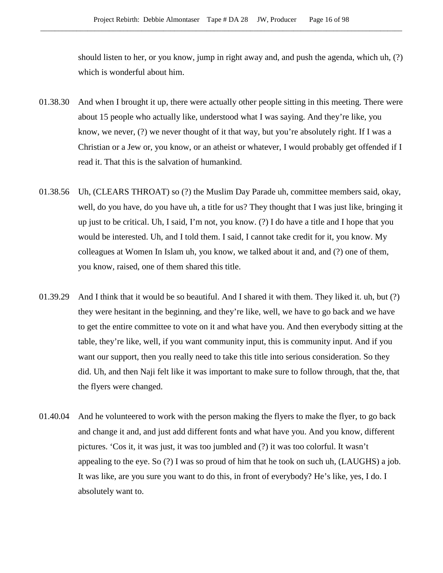should listen to her, or you know, jump in right away and, and push the agenda, which uh, (?) which is wonderful about him.

- 01.38.30 And when I brought it up, there were actually other people sitting in this meeting. There were about 15 people who actually like, understood what I was saying. And they're like, you know, we never, (?) we never thought of it that way, but you're absolutely right. If I was a Christian or a Jew or, you know, or an atheist or whatever, I would probably get offended if I read it. That this is the salvation of humankind.
- 01.38.56 Uh, (CLEARS THROAT) so (?) the Muslim Day Parade uh, committee members said, okay, well, do you have, do you have uh, a title for us? They thought that I was just like, bringing it up just to be critical. Uh, I said, I'm not, you know. (?) I do have a title and I hope that you would be interested. Uh, and I told them. I said, I cannot take credit for it, you know. My colleagues at Women In Islam uh, you know, we talked about it and, and (?) one of them, you know, raised, one of them shared this title.
- 01.39.29 And I think that it would be so beautiful. And I shared it with them. They liked it. uh, but (?) they were hesitant in the beginning, and they're like, well, we have to go back and we have to get the entire committee to vote on it and what have you. And then everybody sitting at the table, they're like, well, if you want community input, this is community input. And if you want our support, then you really need to take this title into serious consideration. So they did. Uh, and then Naji felt like it was important to make sure to follow through, that the, that the flyers were changed.
- 01.40.04 And he volunteered to work with the person making the flyers to make the flyer, to go back and change it and, and just add different fonts and what have you. And you know, different pictures. 'Cos it, it was just, it was too jumbled and (?) it was too colorful. It wasn't appealing to the eye. So (?) I was so proud of him that he took on such uh, (LAUGHS) a job. It was like, are you sure you want to do this, in front of everybody? He's like, yes, I do. I absolutely want to.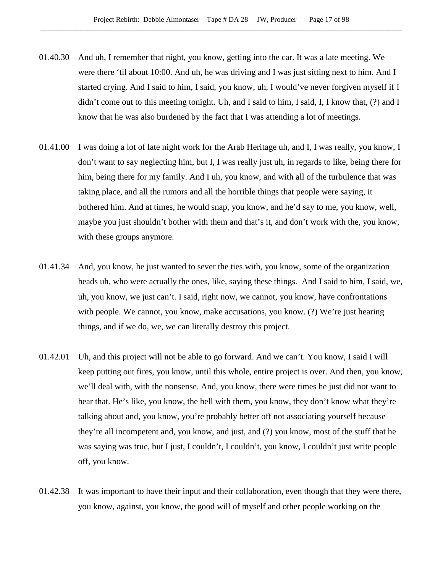- 01.40.30 And uh, I remember that night, you know, getting into the car. It was a late meeting. We were there 'til about 10:00. And uh, he was driving and I was just sitting next to him. And I started crying. And I said to him, I said, you know, uh, I would've never forgiven myself if I didn't come out to this meeting tonight. Uh, and I said to him, I said, I, I know that, (?) and I know that he was also burdened by the fact that I was attending a lot of meetings.
- 01.41.00 I was doing a lot of late night work for the Arab Heritage uh, and I, I was really, you know, I don't want to say neglecting him, but I, I was really just uh, in regards to like, being there for him, being there for my family. And I uh, you know, and with all of the turbulence that was taking place, and all the rumors and all the horrible things that people were saying, it bothered him. And at times, he would snap, you know, and he'd say to me, you know, well, maybe you just shouldn't bother with them and that's it, and don't work with the, you know, with these groups anymore.
- 01.41.34 And, you know, he just wanted to sever the ties with, you know, some of the organization heads uh, who were actually the ones, like, saying these things. And I said to him, I said, we, uh, you know, we just can't. I said, right now, we cannot, you know, have confrontations with people. We cannot, you know, make accusations, you know. (?) We're just hearing things, and if we do, we, we can literally destroy this project.
- 01.42.01 Uh, and this project will not be able to go forward. And we can't. You know, I said I will keep putting out fires, you know, until this whole, entire project is over. And then, you know, we'll deal with, with the nonsense. And, you know, there were times he just did not want to hear that. He's like, you know, the hell with them, you know, they don't know what they're talking about and, you know, you're probably better off not associating yourself because they're all incompetent and, you know, and just, and (?) you know, most of the stuff that he was saying was true, but I just, I couldn't, I couldn't, you know, I couldn't just write people off, you know.
- 01.42.38 It was important to have their input and their collaboration, even though that they were there, you know, against, you know, the good will of myself and other people working on the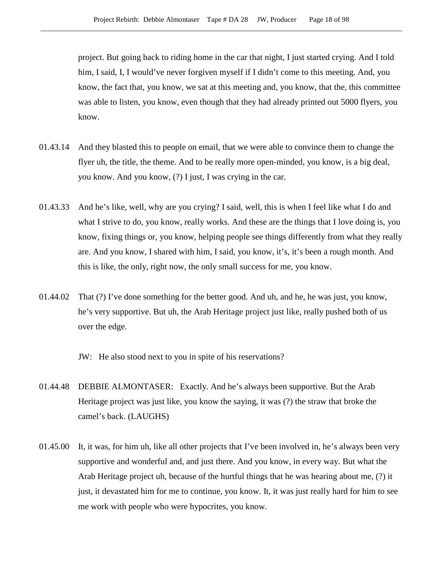project. But going back to riding home in the car that night, I just started crying. And I told him, I said, I, I would've never forgiven myself if I didn't come to this meeting. And, you know, the fact that, you know, we sat at this meeting and, you know, that the, this committee was able to listen, you know, even though that they had already printed out 5000 flyers, you know.

- 01.43.14 And they blasted this to people on email, that we were able to convince them to change the flyer uh, the title, the theme. And to be really more open-minded, you know, is a big deal, you know. And you know, (?) I just, I was crying in the car.
- 01.43.33 And he's like, well, why are you crying? I said, well, this is when I feel like what I do and what I strive to do, you know, really works. And these are the things that I love doing is, you know, fixing things or, you know, helping people see things differently from what they really are. And you know, I shared with him, I said, you know, it's, it's been a rough month. And this is like, the only, right now, the only small success for me, you know.
- 01.44.02 That (?) I've done something for the better good. And uh, and he, he was just, you know, he's very supportive. But uh, the Arab Heritage project just like, really pushed both of us over the edge.

JW: He also stood next to you in spite of his reservations?

- 01.44.48 DEBBIE ALMONTASER: Exactly. And he's always been supportive. But the Arab Heritage project was just like, you know the saying, it was (?) the straw that broke the camel's back. (LAUGHS)
- 01.45.00 It, it was, for him uh, like all other projects that I've been involved in, he's always been very supportive and wonderful and, and just there. And you know, in every way. But what the Arab Heritage project uh, because of the hurtful things that he was hearing about me, (?) it just, it devastated him for me to continue, you know. It, it was just really hard for him to see me work with people who were hypocrites, you know.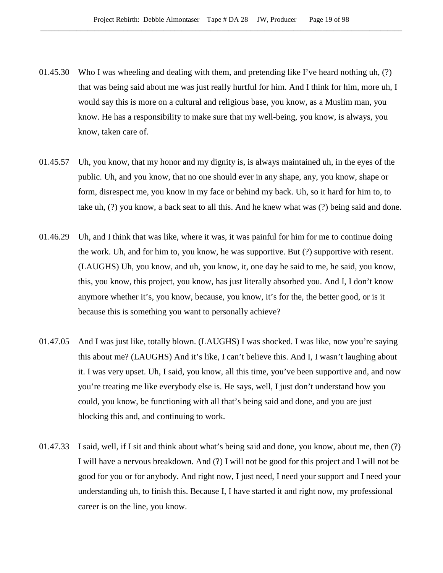- 01.45.30 Who I was wheeling and dealing with them, and pretending like I've heard nothing uh,  $(?)$ that was being said about me was just really hurtful for him. And I think for him, more uh, I would say this is more on a cultural and religious base, you know, as a Muslim man, you know. He has a responsibility to make sure that my well-being, you know, is always, you know, taken care of.
- 01.45.57 Uh, you know, that my honor and my dignity is, is always maintained uh, in the eyes of the public. Uh, and you know, that no one should ever in any shape, any, you know, shape or form, disrespect me, you know in my face or behind my back. Uh, so it hard for him to, to take uh, (?) you know, a back seat to all this. And he knew what was (?) being said and done.
- 01.46.29 Uh, and I think that was like, where it was, it was painful for him for me to continue doing the work. Uh, and for him to, you know, he was supportive. But (?) supportive with resent. (LAUGHS) Uh, you know, and uh, you know, it, one day he said to me, he said, you know, this, you know, this project, you know, has just literally absorbed you. And I, I don't know anymore whether it's, you know, because, you know, it's for the, the better good, or is it because this is something you want to personally achieve?
- 01.47.05 And I was just like, totally blown. (LAUGHS) I was shocked. I was like, now you're saying this about me? (LAUGHS) And it's like, I can't believe this. And I, I wasn't laughing about it. I was very upset. Uh, I said, you know, all this time, you've been supportive and, and now you're treating me like everybody else is. He says, well, I just don't understand how you could, you know, be functioning with all that's being said and done, and you are just blocking this and, and continuing to work.
- 01.47.33 I said, well, if I sit and think about what's being said and done, you know, about me, then (?) I will have a nervous breakdown. And (?) I will not be good for this project and I will not be good for you or for anybody. And right now, I just need, I need your support and I need your understanding uh, to finish this. Because I, I have started it and right now, my professional career is on the line, you know.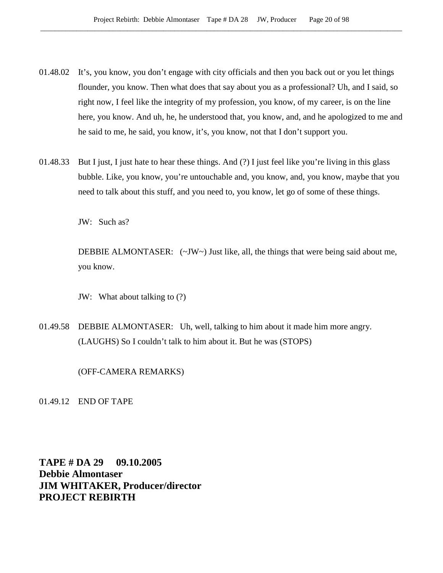- 01.48.02 It's, you know, you don't engage with city officials and then you back out or you let things flounder, you know. Then what does that say about you as a professional? Uh, and I said, so right now, I feel like the integrity of my profession, you know, of my career, is on the line here, you know. And uh, he, he understood that, you know, and, and he apologized to me and he said to me, he said, you know, it's, you know, not that I don't support you.
- 01.48.33 But I just, I just hate to hear these things. And (?) I just feel like you're living in this glass bubble. Like, you know, you're untouchable and, you know, and, you know, maybe that you need to talk about this stuff, and you need to, you know, let go of some of these things.

JW: Such as?

DEBBIE ALMONTASER:  $(\sim JW \sim)$  Just like, all, the things that were being said about me, you know.

JW: What about talking to (?)

01.49.58 DEBBIE ALMONTASER: Uh, well, talking to him about it made him more angry. (LAUGHS) So I couldn't talk to him about it. But he was (STOPS)

(OFF-CAMERA REMARKS)

01.49.12 END OF TAPE

**TAPE # DA 29 09.10.2005 Debbie Almontaser JIM WHITAKER, Producer/director PROJECT REBIRTH**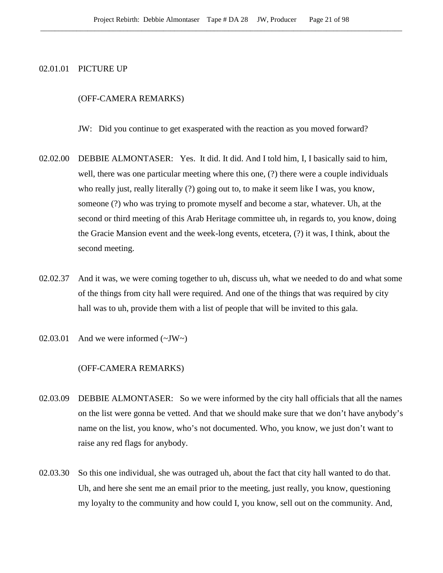#### 02.01.01 PICTURE UP

#### (OFF-CAMERA REMARKS)

JW: Did you continue to get exasperated with the reaction as you moved forward?

- 02.02.00 DEBBIE ALMONTASER: Yes. It did. It did. And I told him, I, I basically said to him, well, there was one particular meeting where this one, (?) there were a couple individuals who really just, really literally (?) going out to, to make it seem like I was, you know, someone (?) who was trying to promote myself and become a star, whatever. Uh, at the second or third meeting of this Arab Heritage committee uh, in regards to, you know, doing the Gracie Mansion event and the week-long events, etcetera, (?) it was, I think, about the second meeting.
- 02.02.37 And it was, we were coming together to uh, discuss uh, what we needed to do and what some of the things from city hall were required. And one of the things that was required by city hall was to uh, provide them with a list of people that will be invited to this gala.
- 02.03.01 And we were informed  $(\sim JW)$

#### (OFF-CAMERA REMARKS)

- 02.03.09 DEBBIE ALMONTASER: So we were informed by the city hall officials that all the names on the list were gonna be vetted. And that we should make sure that we don't have anybody's name on the list, you know, who's not documented. Who, you know, we just don't want to raise any red flags for anybody.
- 02.03.30 So this one individual, she was outraged uh, about the fact that city hall wanted to do that. Uh, and here she sent me an email prior to the meeting, just really, you know, questioning my loyalty to the community and how could I, you know, sell out on the community. And,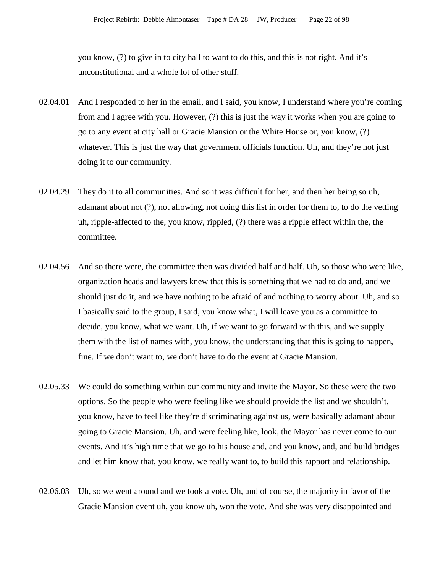you know, (?) to give in to city hall to want to do this, and this is not right. And it's unconstitutional and a whole lot of other stuff.

- 02.04.01 And I responded to her in the email, and I said, you know, I understand where you're coming from and I agree with you. However, (?) this is just the way it works when you are going to go to any event at city hall or Gracie Mansion or the White House or, you know, (?) whatever. This is just the way that government officials function. Uh, and they're not just doing it to our community.
- 02.04.29 They do it to all communities. And so it was difficult for her, and then her being so uh, adamant about not (?), not allowing, not doing this list in order for them to, to do the vetting uh, ripple-affected to the, you know, rippled, (?) there was a ripple effect within the, the committee.
- 02.04.56 And so there were, the committee then was divided half and half. Uh, so those who were like, organization heads and lawyers knew that this is something that we had to do and, and we should just do it, and we have nothing to be afraid of and nothing to worry about. Uh, and so I basically said to the group, I said, you know what, I will leave you as a committee to decide, you know, what we want. Uh, if we want to go forward with this, and we supply them with the list of names with, you know, the understanding that this is going to happen, fine. If we don't want to, we don't have to do the event at Gracie Mansion.
- 02.05.33 We could do something within our community and invite the Mayor. So these were the two options. So the people who were feeling like we should provide the list and we shouldn't, you know, have to feel like they're discriminating against us, were basically adamant about going to Gracie Mansion. Uh, and were feeling like, look, the Mayor has never come to our events. And it's high time that we go to his house and, and you know, and, and build bridges and let him know that, you know, we really want to, to build this rapport and relationship.
- 02.06.03 Uh, so we went around and we took a vote. Uh, and of course, the majority in favor of the Gracie Mansion event uh, you know uh, won the vote. And she was very disappointed and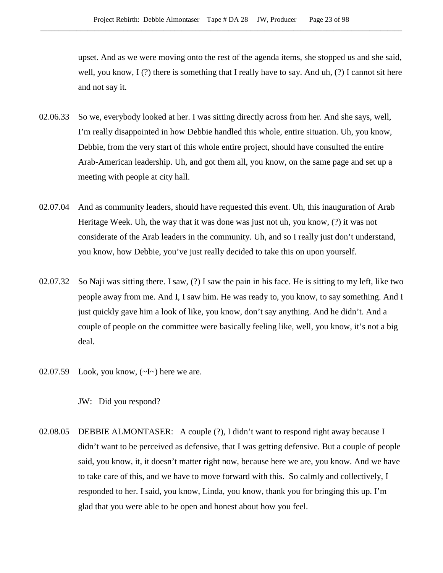upset. And as we were moving onto the rest of the agenda items, she stopped us and she said, well, you know,  $I(?)$  there is something that I really have to say. And uh,  $(?)$  I cannot sit here and not say it.

- 02.06.33 So we, everybody looked at her. I was sitting directly across from her. And she says, well, I'm really disappointed in how Debbie handled this whole, entire situation. Uh, you know, Debbie, from the very start of this whole entire project, should have consulted the entire Arab-American leadership. Uh, and got them all, you know, on the same page and set up a meeting with people at city hall.
- 02.07.04 And as community leaders, should have requested this event. Uh, this inauguration of Arab Heritage Week. Uh, the way that it was done was just not uh, you know, (?) it was not considerate of the Arab leaders in the community. Uh, and so I really just don't understand, you know, how Debbie, you've just really decided to take this on upon yourself.
- 02.07.32 So Naji was sitting there. I saw, (?) I saw the pain in his face. He is sitting to my left, like two people away from me. And I, I saw him. He was ready to, you know, to say something. And I just quickly gave him a look of like, you know, don't say anything. And he didn't. And a couple of people on the committee were basically feeling like, well, you know, it's not a big deal.
- 02.07.59 Look, you know,  $(\sim I \sim)$  here we are.

02.08.05 DEBBIE ALMONTASER: A couple (?), I didn't want to respond right away because I didn't want to be perceived as defensive, that I was getting defensive. But a couple of people said, you know, it, it doesn't matter right now, because here we are, you know. And we have to take care of this, and we have to move forward with this. So calmly and collectively, I responded to her. I said, you know, Linda, you know, thank you for bringing this up. I'm glad that you were able to be open and honest about how you feel.

JW: Did you respond?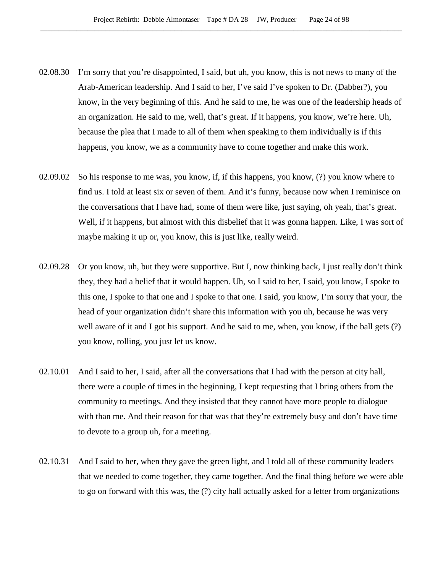- 02.08.30 I'm sorry that you're disappointed, I said, but uh, you know, this is not news to many of the Arab-American leadership. And I said to her, I've said I've spoken to Dr. (Dabber?), you know, in the very beginning of this. And he said to me, he was one of the leadership heads of an organization. He said to me, well, that's great. If it happens, you know, we're here. Uh, because the plea that I made to all of them when speaking to them individually is if this happens, you know, we as a community have to come together and make this work.
- 02.09.02 So his response to me was, you know, if, if this happens, you know, (?) you know where to find us. I told at least six or seven of them. And it's funny, because now when I reminisce on the conversations that I have had, some of them were like, just saying, oh yeah, that's great. Well, if it happens, but almost with this disbelief that it was gonna happen. Like, I was sort of maybe making it up or, you know, this is just like, really weird.
- 02.09.28 Or you know, uh, but they were supportive. But I, now thinking back, I just really don't think they, they had a belief that it would happen. Uh, so I said to her, I said, you know, I spoke to this one, I spoke to that one and I spoke to that one. I said, you know, I'm sorry that your, the head of your organization didn't share this information with you uh, because he was very well aware of it and I got his support. And he said to me, when, you know, if the ball gets (?) you know, rolling, you just let us know.
- 02.10.01 And I said to her, I said, after all the conversations that I had with the person at city hall, there were a couple of times in the beginning, I kept requesting that I bring others from the community to meetings. And they insisted that they cannot have more people to dialogue with than me. And their reason for that was that they're extremely busy and don't have time to devote to a group uh, for a meeting.
- 02.10.31 And I said to her, when they gave the green light, and I told all of these community leaders that we needed to come together, they came together. And the final thing before we were able to go on forward with this was, the (?) city hall actually asked for a letter from organizations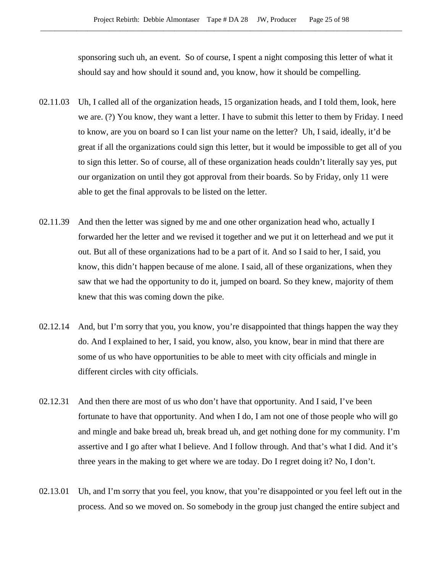sponsoring such uh, an event. So of course, I spent a night composing this letter of what it should say and how should it sound and, you know, how it should be compelling.

- 02.11.03 Uh, I called all of the organization heads, 15 organization heads, and I told them, look, here we are. (?) You know, they want a letter. I have to submit this letter to them by Friday. I need to know, are you on board so I can list your name on the letter? Uh, I said, ideally, it'd be great if all the organizations could sign this letter, but it would be impossible to get all of you to sign this letter. So of course, all of these organization heads couldn't literally say yes, put our organization on until they got approval from their boards. So by Friday, only 11 were able to get the final approvals to be listed on the letter.
- 02.11.39 And then the letter was signed by me and one other organization head who, actually I forwarded her the letter and we revised it together and we put it on letterhead and we put it out. But all of these organizations had to be a part of it. And so I said to her, I said, you know, this didn't happen because of me alone. I said, all of these organizations, when they saw that we had the opportunity to do it, jumped on board. So they knew, majority of them knew that this was coming down the pike.
- 02.12.14 And, but I'm sorry that you, you know, you're disappointed that things happen the way they do. And I explained to her, I said, you know, also, you know, bear in mind that there are some of us who have opportunities to be able to meet with city officials and mingle in different circles with city officials.
- 02.12.31 And then there are most of us who don't have that opportunity. And I said, I've been fortunate to have that opportunity. And when I do, I am not one of those people who will go and mingle and bake bread uh, break bread uh, and get nothing done for my community. I'm assertive and I go after what I believe. And I follow through. And that's what I did. And it's three years in the making to get where we are today. Do I regret doing it? No, I don't.
- 02.13.01 Uh, and I'm sorry that you feel, you know, that you're disappointed or you feel left out in the process. And so we moved on. So somebody in the group just changed the entire subject and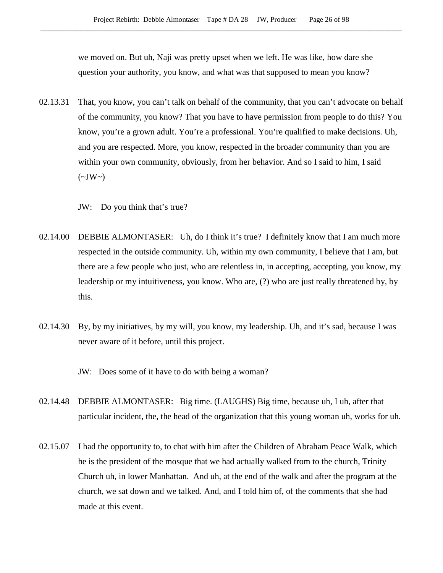we moved on. But uh, Naji was pretty upset when we left. He was like, how dare she question your authority, you know, and what was that supposed to mean you know?

02.13.31 That, you know, you can't talk on behalf of the community, that you can't advocate on behalf of the community, you know? That you have to have permission from people to do this? You know, you're a grown adult. You're a professional. You're qualified to make decisions. Uh, and you are respected. More, you know, respected in the broader community than you are within your own community, obviously, from her behavior. And so I said to him, I said  $(\sim JW \sim)$ 

JW: Do you think that's true?

- 02.14.00 DEBBIE ALMONTASER: Uh, do I think it's true? I definitely know that I am much more respected in the outside community. Uh, within my own community, I believe that I am, but there are a few people who just, who are relentless in, in accepting, accepting, you know, my leadership or my intuitiveness, you know. Who are, (?) who are just really threatened by, by this.
- 02.14.30 By, by my initiatives, by my will, you know, my leadership. Uh, and it's sad, because I was never aware of it before, until this project.

JW: Does some of it have to do with being a woman?

- 02.14.48 DEBBIE ALMONTASER: Big time. (LAUGHS) Big time, because uh, I uh, after that particular incident, the, the head of the organization that this young woman uh, works for uh.
- 02.15.07 I had the opportunity to, to chat with him after the Children of Abraham Peace Walk, which he is the president of the mosque that we had actually walked from to the church, Trinity Church uh, in lower Manhattan. And uh, at the end of the walk and after the program at the church, we sat down and we talked. And, and I told him of, of the comments that she had made at this event.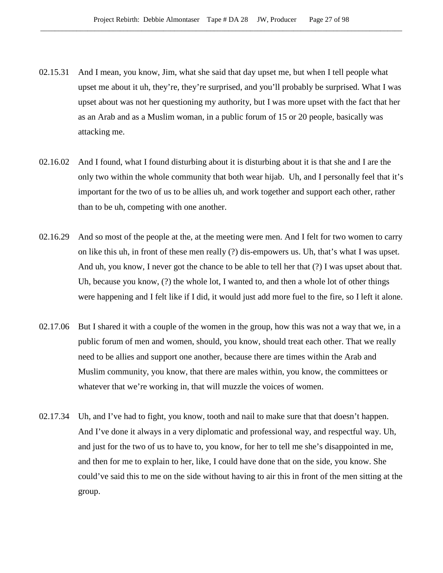- 02.15.31 And I mean, you know, Jim, what she said that day upset me, but when I tell people what upset me about it uh, they're, they're surprised, and you'll probably be surprised. What I was upset about was not her questioning my authority, but I was more upset with the fact that her as an Arab and as a Muslim woman, in a public forum of 15 or 20 people, basically was attacking me.
- 02.16.02 And I found, what I found disturbing about it is disturbing about it is that she and I are the only two within the whole community that both wear hijab. Uh, and I personally feel that it's important for the two of us to be allies uh, and work together and support each other, rather than to be uh, competing with one another.
- 02.16.29 And so most of the people at the, at the meeting were men. And I felt for two women to carry on like this uh, in front of these men really (?) dis-empowers us. Uh, that's what I was upset. And uh, you know, I never got the chance to be able to tell her that (?) I was upset about that. Uh, because you know, (?) the whole lot, I wanted to, and then a whole lot of other things were happening and I felt like if I did, it would just add more fuel to the fire, so I left it alone.
- 02.17.06 But I shared it with a couple of the women in the group, how this was not a way that we, in a public forum of men and women, should, you know, should treat each other. That we really need to be allies and support one another, because there are times within the Arab and Muslim community, you know, that there are males within, you know, the committees or whatever that we're working in, that will muzzle the voices of women.
- 02.17.34 Uh, and I've had to fight, you know, tooth and nail to make sure that that doesn't happen. And I've done it always in a very diplomatic and professional way, and respectful way. Uh, and just for the two of us to have to, you know, for her to tell me she's disappointed in me, and then for me to explain to her, like, I could have done that on the side, you know. She could've said this to me on the side without having to air this in front of the men sitting at the group.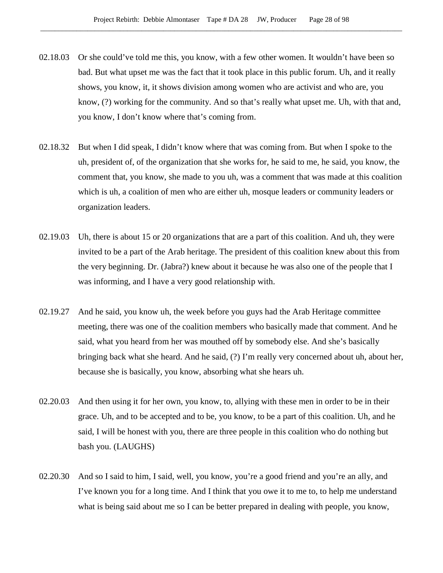- 02.18.03 Or she could've told me this, you know, with a few other women. It wouldn't have been so bad. But what upset me was the fact that it took place in this public forum. Uh, and it really shows, you know, it, it shows division among women who are activist and who are, you know, (?) working for the community. And so that's really what upset me. Uh, with that and, you know, I don't know where that's coming from.
- 02.18.32 But when I did speak, I didn't know where that was coming from. But when I spoke to the uh, president of, of the organization that she works for, he said to me, he said, you know, the comment that, you know, she made to you uh, was a comment that was made at this coalition which is uh, a coalition of men who are either uh, mosque leaders or community leaders or organization leaders.
- 02.19.03 Uh, there is about 15 or 20 organizations that are a part of this coalition. And uh, they were invited to be a part of the Arab heritage. The president of this coalition knew about this from the very beginning. Dr. (Jabra?) knew about it because he was also one of the people that I was informing, and I have a very good relationship with.
- 02.19.27 And he said, you know uh, the week before you guys had the Arab Heritage committee meeting, there was one of the coalition members who basically made that comment. And he said, what you heard from her was mouthed off by somebody else. And she's basically bringing back what she heard. And he said, (?) I'm really very concerned about uh, about her, because she is basically, you know, absorbing what she hears uh.
- 02.20.03 And then using it for her own, you know, to, allying with these men in order to be in their grace. Uh, and to be accepted and to be, you know, to be a part of this coalition. Uh, and he said, I will be honest with you, there are three people in this coalition who do nothing but bash you. (LAUGHS)
- 02.20.30 And so I said to him, I said, well, you know, you're a good friend and you're an ally, and I've known you for a long time. And I think that you owe it to me to, to help me understand what is being said about me so I can be better prepared in dealing with people, you know,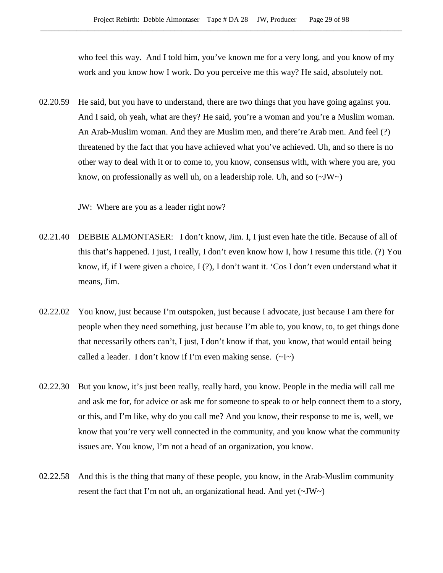who feel this way. And I told him, you've known me for a very long, and you know of my work and you know how I work. Do you perceive me this way? He said, absolutely not.

02.20.59 He said, but you have to understand, there are two things that you have going against you. And I said, oh yeah, what are they? He said, you're a woman and you're a Muslim woman. An Arab-Muslim woman. And they are Muslim men, and there're Arab men. And feel (?) threatened by the fact that you have achieved what you've achieved. Uh, and so there is no other way to deal with it or to come to, you know, consensus with, with where you are, you know, on professionally as well uh, on a leadership role. Uh, and so  $(\sim JW)$ 

JW: Where are you as a leader right now?

- 02.21.40 DEBBIE ALMONTASER: I don't know, Jim. I, I just even hate the title. Because of all of this that's happened. I just, I really, I don't even know how I, how I resume this title. (?) You know, if, if I were given a choice, I (?), I don't want it. 'Cos I don't even understand what it means, Jim.
- 02.22.02 You know, just because I'm outspoken, just because I advocate, just because I am there for people when they need something, just because I'm able to, you know, to, to get things done that necessarily others can't, I just, I don't know if that, you know, that would entail being called a leader. I don't know if I'm even making sense.  $(\sim I \sim)$
- 02.22.30 But you know, it's just been really, really hard, you know. People in the media will call me and ask me for, for advice or ask me for someone to speak to or help connect them to a story, or this, and I'm like, why do you call me? And you know, their response to me is, well, we know that you're very well connected in the community, and you know what the community issues are. You know, I'm not a head of an organization, you know.
- 02.22.58 And this is the thing that many of these people, you know, in the Arab-Muslim community resent the fact that I'm not uh, an organizational head. And yet  $(\sim JW)$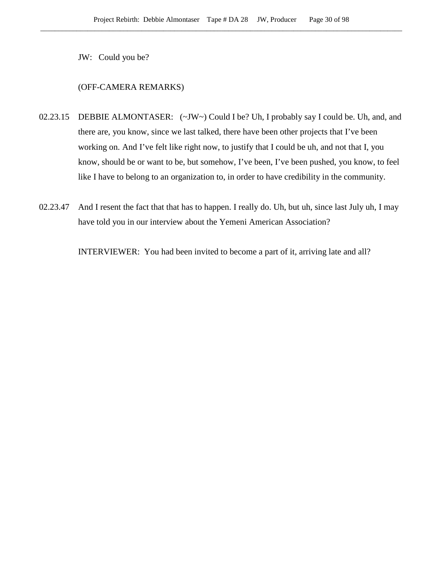JW: Could you be?

# (OFF-CAMERA REMARKS)

- 02.23.15 DEBBIE ALMONTASER: (~JW~) Could I be? Uh, I probably say I could be. Uh, and, and there are, you know, since we last talked, there have been other projects that I've been working on. And I've felt like right now, to justify that I could be uh, and not that I, you know, should be or want to be, but somehow, I've been, I've been pushed, you know, to feel like I have to belong to an organization to, in order to have credibility in the community.
- 02.23.47 And I resent the fact that that has to happen. I really do. Uh, but uh, since last July uh, I may have told you in our interview about the Yemeni American Association?

INTERVIEWER: You had been invited to become a part of it, arriving late and all?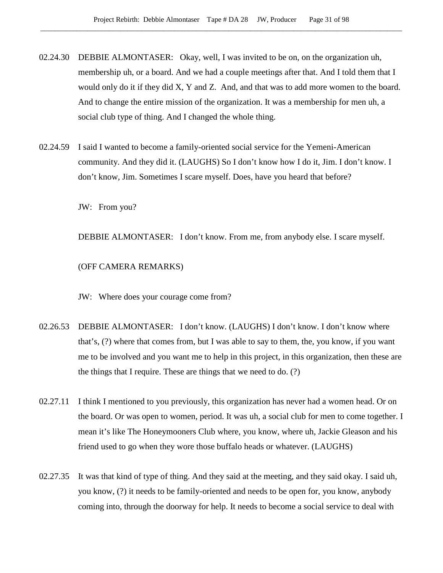- 02.24.30 DEBBIE ALMONTASER: Okay, well, I was invited to be on, on the organization uh, membership uh, or a board. And we had a couple meetings after that. And I told them that I would only do it if they did X, Y and Z. And, and that was to add more women to the board. And to change the entire mission of the organization. It was a membership for men uh, a social club type of thing. And I changed the whole thing.
- 02.24.59 I said I wanted to become a family-oriented social service for the Yemeni-American community. And they did it. (LAUGHS) So I don't know how I do it, Jim. I don't know. I don't know, Jim. Sometimes I scare myself. Does, have you heard that before?

JW: From you?

DEBBIE ALMONTASER: I don't know. From me, from anybody else. I scare myself.

(OFF CAMERA REMARKS)

JW: Where does your courage come from?

- 02.26.53 DEBBIE ALMONTASER: I don't know. (LAUGHS) I don't know. I don't know where that's, (?) where that comes from, but I was able to say to them, the, you know, if you want me to be involved and you want me to help in this project, in this organization, then these are the things that I require. These are things that we need to do. (?)
- 02.27.11 I think I mentioned to you previously, this organization has never had a women head. Or on the board. Or was open to women, period. It was uh, a social club for men to come together. I mean it's like The Honeymooners Club where, you know, where uh, Jackie Gleason and his friend used to go when they wore those buffalo heads or whatever. (LAUGHS)
- 02.27.35 It was that kind of type of thing. And they said at the meeting, and they said okay. I said uh, you know, (?) it needs to be family-oriented and needs to be open for, you know, anybody coming into, through the doorway for help. It needs to become a social service to deal with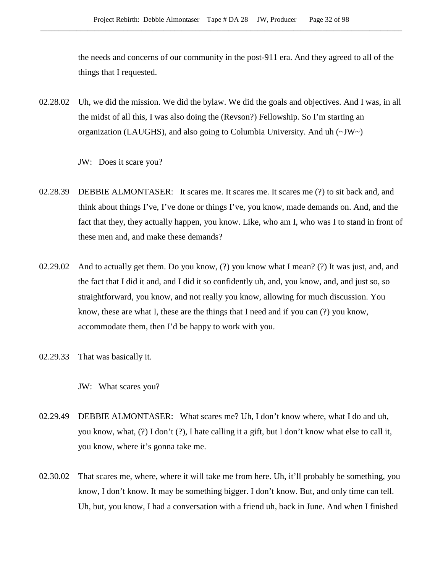the needs and concerns of our community in the post-911 era. And they agreed to all of the things that I requested.

02.28.02 Uh, we did the mission. We did the bylaw. We did the goals and objectives. And I was, in all the midst of all this, I was also doing the (Revson?) Fellowship. So I'm starting an organization (LAUGHS), and also going to Columbia University. And uh  $(\sim JW)$ 

JW: Does it scare you?

- 02.28.39 DEBBIE ALMONTASER: It scares me. It scares me. It scares me (?) to sit back and, and think about things I've, I've done or things I've, you know, made demands on. And, and the fact that they, they actually happen, you know. Like, who am I, who was I to stand in front of these men and, and make these demands?
- 02.29.02 And to actually get them. Do you know, (?) you know what I mean? (?) It was just, and, and the fact that I did it and, and I did it so confidently uh, and, you know, and, and just so, so straightforward, you know, and not really you know, allowing for much discussion. You know, these are what I, these are the things that I need and if you can (?) you know, accommodate them, then I'd be happy to work with you.
- 02.29.33 That was basically it.

JW: What scares you?

- 02.29.49 DEBBIE ALMONTASER: What scares me? Uh, I don't know where, what I do and uh, you know, what, (?) I don't (?), I hate calling it a gift, but I don't know what else to call it, you know, where it's gonna take me.
- 02.30.02 That scares me, where, where it will take me from here. Uh, it'll probably be something, you know, I don't know. It may be something bigger. I don't know. But, and only time can tell. Uh, but, you know, I had a conversation with a friend uh, back in June. And when I finished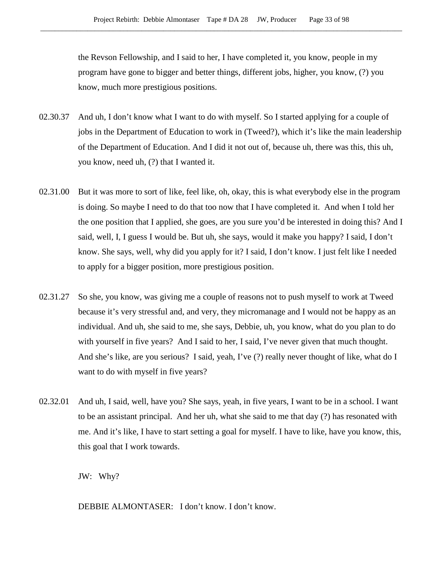the Revson Fellowship, and I said to her, I have completed it, you know, people in my program have gone to bigger and better things, different jobs, higher, you know, (?) you know, much more prestigious positions.

- 02.30.37 And uh, I don't know what I want to do with myself. So I started applying for a couple of jobs in the Department of Education to work in (Tweed?), which it's like the main leadership of the Department of Education. And I did it not out of, because uh, there was this, this uh, you know, need uh, (?) that I wanted it.
- 02.31.00 But it was more to sort of like, feel like, oh, okay, this is what everybody else in the program is doing. So maybe I need to do that too now that I have completed it. And when I told her the one position that I applied, she goes, are you sure you'd be interested in doing this? And I said, well, I, I guess I would be. But uh, she says, would it make you happy? I said, I don't know. She says, well, why did you apply for it? I said, I don't know. I just felt like I needed to apply for a bigger position, more prestigious position.
- 02.31.27 So she, you know, was giving me a couple of reasons not to push myself to work at Tweed because it's very stressful and, and very, they micromanage and I would not be happy as an individual. And uh, she said to me, she says, Debbie, uh, you know, what do you plan to do with yourself in five years? And I said to her, I said, I've never given that much thought. And she's like, are you serious? I said, yeah, I've (?) really never thought of like, what do I want to do with myself in five years?
- 02.32.01 And uh, I said, well, have you? She says, yeah, in five years, I want to be in a school. I want to be an assistant principal. And her uh, what she said to me that day (?) has resonated with me. And it's like, I have to start setting a goal for myself. I have to like, have you know, this, this goal that I work towards.

JW: Why?

DEBBIE ALMONTASER: I don't know. I don't know.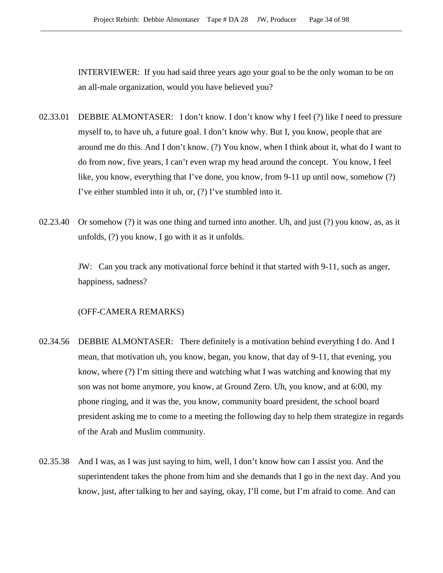INTERVIEWER: If you had said three years ago your goal to be the only woman to be on an all-male organization, would you have believed you?

- 02.33.01 DEBBIE ALMONTASER: I don't know. I don't know why I feel (?) like I need to pressure myself to, to have uh, a future goal. I don't know why. But I, you know, people that are around me do this. And I don't know. (?) You know, when I think about it, what do I want to do from now, five years, I can't even wrap my head around the concept. You know, I feel like, you know, everything that I've done, you know, from 9-11 up until now, somehow (?) I've either stumbled into it uh, or, (?) I've stumbled into it.
- 02.23.40 Or somehow (?) it was one thing and turned into another. Uh, and just (?) you know, as, as it unfolds, (?) you know, I go with it as it unfolds.

JW: Can you track any motivational force behind it that started with 9-11, such as anger, happiness, sadness?

# (OFF-CAMERA REMARKS)

- 02.34.56 DEBBIE ALMONTASER: There definitely is a motivation behind everything I do. And I mean, that motivation uh, you know, began, you know, that day of 9-11, that evening, you know, where (?) I'm sitting there and watching what I was watching and knowing that my son was not home anymore, you know, at Ground Zero. Uh, you know, and at 6:00, my phone ringing, and it was the, you know, community board president, the school board president asking me to come to a meeting the following day to help them strategize in regards of the Arab and Muslim community.
- 02.35.38 And I was, as I was just saying to him, well, I don't know how can I assist you. And the superintendent takes the phone from him and she demands that I go in the next day. And you know, just, after talking to her and saying, okay, I'll come, but I'm afraid to come. And can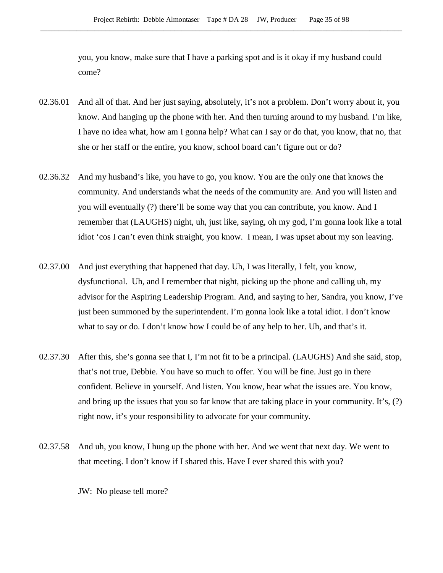you, you know, make sure that I have a parking spot and is it okay if my husband could come?

- 02.36.01 And all of that. And her just saying, absolutely, it's not a problem. Don't worry about it, you know. And hanging up the phone with her. And then turning around to my husband. I'm like, I have no idea what, how am I gonna help? What can I say or do that, you know, that no, that she or her staff or the entire, you know, school board can't figure out or do?
- 02.36.32 And my husband's like, you have to go, you know. You are the only one that knows the community. And understands what the needs of the community are. And you will listen and you will eventually (?) there'll be some way that you can contribute, you know. And I remember that (LAUGHS) night, uh, just like, saying, oh my god, I'm gonna look like a total idiot 'cos I can't even think straight, you know. I mean, I was upset about my son leaving.
- 02.37.00 And just everything that happened that day. Uh, I was literally, I felt, you know, dysfunctional. Uh, and I remember that night, picking up the phone and calling uh, my advisor for the Aspiring Leadership Program. And, and saying to her, Sandra, you know, I've just been summoned by the superintendent. I'm gonna look like a total idiot. I don't know what to say or do. I don't know how I could be of any help to her. Uh, and that's it.
- 02.37.30 After this, she's gonna see that I, I'm not fit to be a principal. (LAUGHS) And she said, stop, that's not true, Debbie. You have so much to offer. You will be fine. Just go in there confident. Believe in yourself. And listen. You know, hear what the issues are. You know, and bring up the issues that you so far know that are taking place in your community. It's, (?) right now, it's your responsibility to advocate for your community.
- 02.37.58 And uh, you know, I hung up the phone with her. And we went that next day. We went to that meeting. I don't know if I shared this. Have I ever shared this with you?

JW: No please tell more?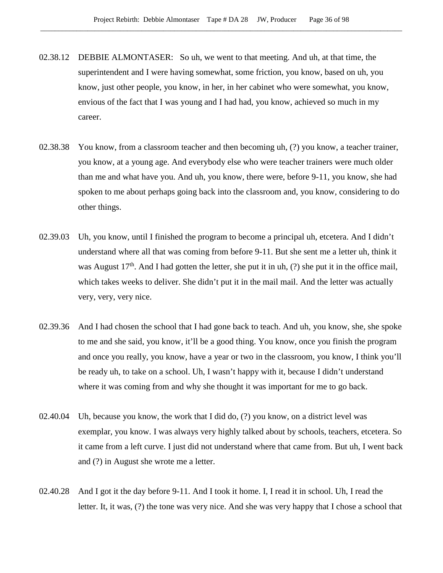- 02.38.12 DEBBIE ALMONTASER: So uh, we went to that meeting. And uh, at that time, the superintendent and I were having somewhat, some friction, you know, based on uh, you know, just other people, you know, in her, in her cabinet who were somewhat, you know, envious of the fact that I was young and I had had, you know, achieved so much in my career.
- 02.38.38 You know, from a classroom teacher and then becoming uh, (?) you know, a teacher trainer, you know, at a young age. And everybody else who were teacher trainers were much older than me and what have you. And uh, you know, there were, before 9-11, you know, she had spoken to me about perhaps going back into the classroom and, you know, considering to do other things.
- 02.39.03 Uh, you know, until I finished the program to become a principal uh, etcetera. And I didn't understand where all that was coming from before 9-11. But she sent me a letter uh, think it was August  $17<sup>th</sup>$ . And I had gotten the letter, she put it in uh, (?) she put it in the office mail, which takes weeks to deliver. She didn't put it in the mail mail. And the letter was actually very, very, very nice.
- 02.39.36 And I had chosen the school that I had gone back to teach. And uh, you know, she, she spoke to me and she said, you know, it'll be a good thing. You know, once you finish the program and once you really, you know, have a year or two in the classroom, you know, I think you'll be ready uh, to take on a school. Uh, I wasn't happy with it, because I didn't understand where it was coming from and why she thought it was important for me to go back.
- 02.40.04 Uh, because you know, the work that I did do, (?) you know, on a district level was exemplar, you know. I was always very highly talked about by schools, teachers, etcetera. So it came from a left curve. I just did not understand where that came from. But uh, I went back and (?) in August she wrote me a letter.
- 02.40.28 And I got it the day before 9-11. And I took it home. I, I read it in school. Uh, I read the letter. It, it was, (?) the tone was very nice. And she was very happy that I chose a school that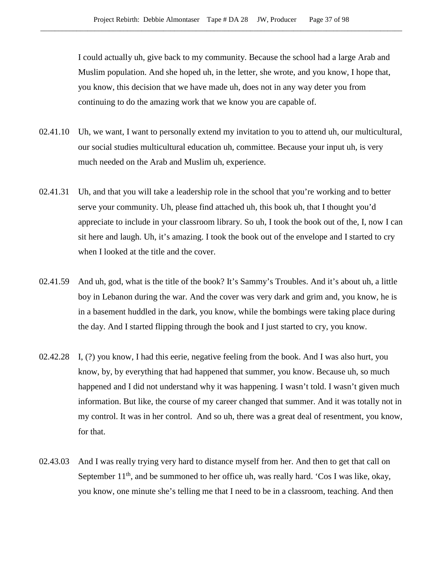I could actually uh, give back to my community. Because the school had a large Arab and Muslim population. And she hoped uh, in the letter, she wrote, and you know, I hope that, you know, this decision that we have made uh, does not in any way deter you from continuing to do the amazing work that we know you are capable of.

- 02.41.10 Uh, we want, I want to personally extend my invitation to you to attend uh, our multicultural, our social studies multicultural education uh, committee. Because your input uh, is very much needed on the Arab and Muslim uh, experience.
- 02.41.31 Uh, and that you will take a leadership role in the school that you're working and to better serve your community. Uh, please find attached uh, this book uh, that I thought you'd appreciate to include in your classroom library. So uh, I took the book out of the, I, now I can sit here and laugh. Uh, it's amazing. I took the book out of the envelope and I started to cry when I looked at the title and the cover.
- 02.41.59 And uh, god, what is the title of the book? It's Sammy's Troubles. And it's about uh, a little boy in Lebanon during the war. And the cover was very dark and grim and, you know, he is in a basement huddled in the dark, you know, while the bombings were taking place during the day. And I started flipping through the book and I just started to cry, you know.
- 02.42.28 I, (?) you know, I had this eerie, negative feeling from the book. And I was also hurt, you know, by, by everything that had happened that summer, you know. Because uh, so much happened and I did not understand why it was happening. I wasn't told. I wasn't given much information. But like, the course of my career changed that summer. And it was totally not in my control. It was in her control. And so uh, there was a great deal of resentment, you know, for that.
- 02.43.03 And I was really trying very hard to distance myself from her. And then to get that call on September  $11<sup>th</sup>$ , and be summoned to her office uh, was really hard. 'Cos I was like, okay, you know, one minute she's telling me that I need to be in a classroom, teaching. And then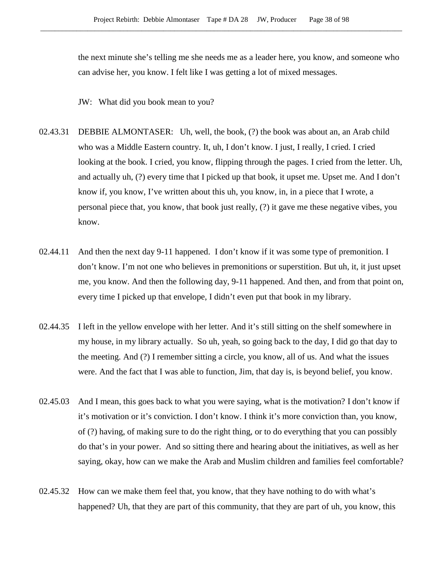the next minute she's telling me she needs me as a leader here, you know, and someone who can advise her, you know. I felt like I was getting a lot of mixed messages.

JW: What did you book mean to you?

- 02.43.31 DEBBIE ALMONTASER: Uh, well, the book, (?) the book was about an, an Arab child who was a Middle Eastern country. It, uh, I don't know. I just, I really, I cried. I cried looking at the book. I cried, you know, flipping through the pages. I cried from the letter. Uh, and actually uh, (?) every time that I picked up that book, it upset me. Upset me. And I don't know if, you know, I've written about this uh, you know, in, in a piece that I wrote, a personal piece that, you know, that book just really, (?) it gave me these negative vibes, you know.
- 02.44.11 And then the next day 9-11 happened. I don't know if it was some type of premonition. I don't know. I'm not one who believes in premonitions or superstition. But uh, it, it just upset me, you know. And then the following day, 9-11 happened. And then, and from that point on, every time I picked up that envelope, I didn't even put that book in my library.
- 02.44.35 I left in the yellow envelope with her letter. And it's still sitting on the shelf somewhere in my house, in my library actually. So uh, yeah, so going back to the day, I did go that day to the meeting. And (?) I remember sitting a circle, you know, all of us. And what the issues were. And the fact that I was able to function, Jim, that day is, is beyond belief, you know.
- 02.45.03 And I mean, this goes back to what you were saying, what is the motivation? I don't know if it's motivation or it's conviction. I don't know. I think it's more conviction than, you know, of (?) having, of making sure to do the right thing, or to do everything that you can possibly do that's in your power. And so sitting there and hearing about the initiatives, as well as her saying, okay, how can we make the Arab and Muslim children and families feel comfortable?
- 02.45.32 How can we make them feel that, you know, that they have nothing to do with what's happened? Uh, that they are part of this community, that they are part of uh, you know, this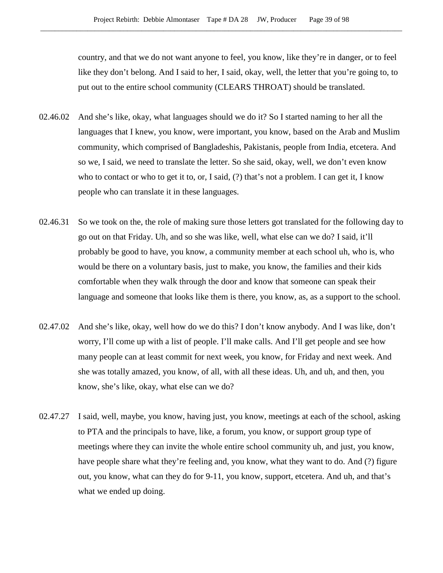country, and that we do not want anyone to feel, you know, like they're in danger, or to feel like they don't belong. And I said to her, I said, okay, well, the letter that you're going to, to put out to the entire school community (CLEARS THROAT) should be translated.

- 02.46.02 And she's like, okay, what languages should we do it? So I started naming to her all the languages that I knew, you know, were important, you know, based on the Arab and Muslim community, which comprised of Bangladeshis, Pakistanis, people from India, etcetera. And so we, I said, we need to translate the letter. So she said, okay, well, we don't even know who to contact or who to get it to, or, I said, (?) that's not a problem. I can get it, I know people who can translate it in these languages.
- 02.46.31 So we took on the, the role of making sure those letters got translated for the following day to go out on that Friday. Uh, and so she was like, well, what else can we do? I said, it'll probably be good to have, you know, a community member at each school uh, who is, who would be there on a voluntary basis, just to make, you know, the families and their kids comfortable when they walk through the door and know that someone can speak their language and someone that looks like them is there, you know, as, as a support to the school.
- 02.47.02 And she's like, okay, well how do we do this? I don't know anybody. And I was like, don't worry, I'll come up with a list of people. I'll make calls. And I'll get people and see how many people can at least commit for next week, you know, for Friday and next week. And she was totally amazed, you know, of all, with all these ideas. Uh, and uh, and then, you know, she's like, okay, what else can we do?
- 02.47.27 I said, well, maybe, you know, having just, you know, meetings at each of the school, asking to PTA and the principals to have, like, a forum, you know, or support group type of meetings where they can invite the whole entire school community uh, and just, you know, have people share what they're feeling and, you know, what they want to do. And (?) figure out, you know, what can they do for 9-11, you know, support, etcetera. And uh, and that's what we ended up doing.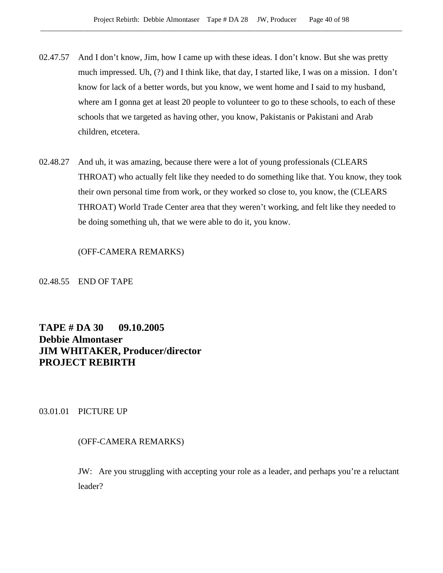- 02.47.57 And I don't know, Jim, how I came up with these ideas. I don't know. But she was pretty much impressed. Uh, (?) and I think like, that day, I started like, I was on a mission. I don't know for lack of a better words, but you know, we went home and I said to my husband, where am I gonna get at least 20 people to volunteer to go to these schools, to each of these schools that we targeted as having other, you know, Pakistanis or Pakistani and Arab children, etcetera.
- 02.48.27 And uh, it was amazing, because there were a lot of young professionals (CLEARS THROAT) who actually felt like they needed to do something like that. You know, they took their own personal time from work, or they worked so close to, you know, the (CLEARS THROAT) World Trade Center area that they weren't working, and felt like they needed to be doing something uh, that we were able to do it, you know.

### (OFF-CAMERA REMARKS)

#### 02.48.55 END OF TAPE

# **TAPE # DA 30 09.10.2005 Debbie Almontaser JIM WHITAKER, Producer/director PROJECT REBIRTH**

03.01.01 PICTURE UP

# (OFF-CAMERA REMARKS)

JW: Are you struggling with accepting your role as a leader, and perhaps you're a reluctant leader?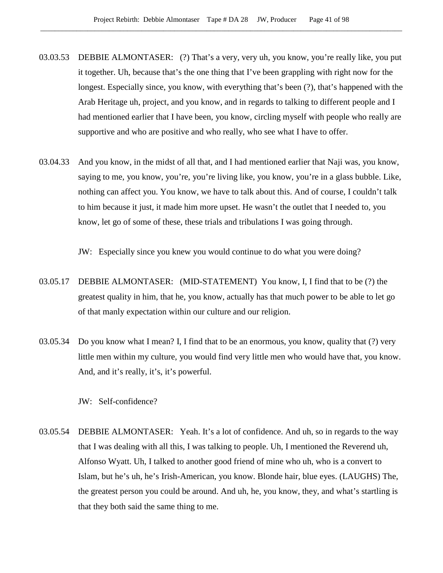- 03.03.53 DEBBIE ALMONTASER: (?) That's a very, very uh, you know, you're really like, you put it together. Uh, because that's the one thing that I've been grappling with right now for the longest. Especially since, you know, with everything that's been (?), that's happened with the Arab Heritage uh, project, and you know, and in regards to talking to different people and I had mentioned earlier that I have been, you know, circling myself with people who really are supportive and who are positive and who really, who see what I have to offer.
- 03.04.33 And you know, in the midst of all that, and I had mentioned earlier that Naji was, you know, saying to me, you know, you're, you're living like, you know, you're in a glass bubble. Like, nothing can affect you. You know, we have to talk about this. And of course, I couldn't talk to him because it just, it made him more upset. He wasn't the outlet that I needed to, you know, let go of some of these, these trials and tribulations I was going through.

JW: Especially since you knew you would continue to do what you were doing?

- 03.05.17 DEBBIE ALMONTASER: (MID-STATEMENT) You know, I, I find that to be (?) the greatest quality in him, that he, you know, actually has that much power to be able to let go of that manly expectation within our culture and our religion.
- 03.05.34 Do you know what I mean? I, I find that to be an enormous, you know, quality that (?) very little men within my culture, you would find very little men who would have that, you know. And, and it's really, it's, it's powerful.

JW: Self-confidence?

03.05.54 DEBBIE ALMONTASER: Yeah. It's a lot of confidence. And uh, so in regards to the way that I was dealing with all this, I was talking to people. Uh, I mentioned the Reverend uh, Alfonso Wyatt. Uh, I talked to another good friend of mine who uh, who is a convert to Islam, but he's uh, he's Irish-American, you know. Blonde hair, blue eyes. (LAUGHS) The, the greatest person you could be around. And uh, he, you know, they, and what's startling is that they both said the same thing to me.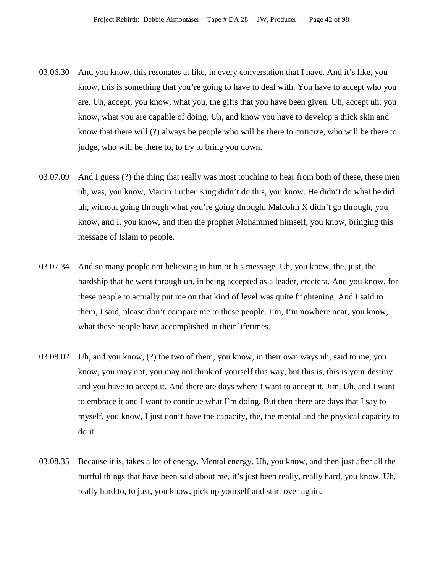- 03.06.30 And you know, this resonates at like, in every conversation that I have. And it's like, you know, this is something that you're going to have to deal with. You have to accept who you are. Uh, accept, you know, what you, the gifts that you have been given. Uh, accept uh, you know, what you are capable of doing. Uh, and know you have to develop a thick skin and know that there will (?) always be people who will be there to criticize, who will be there to judge, who will be there to, to try to bring you down.
- 03.07.09 And I guess (?) the thing that really was most touching to hear from both of these, these men uh, was, you know, Martin Luther King didn't do this, you know. He didn't do what he did uh, without going through what you're going through. Malcolm X didn't go through, you know, and I, you know, and then the prophet Mohammed himself, you know, bringing this message of Islam to people.
- 03.07.34 And so many people not believing in him or his message. Uh, you know, the, just, the hardship that he went through uh, in being accepted as a leader, etcetera. And you know, for these people to actually put me on that kind of level was quite frightening. And I said to them, I said, please don't compare me to these people. I'm, I'm nowhere near, you know, what these people have accomplished in their lifetimes.
- 03.08.02 Uh, and you know, (?) the two of them, you know, in their own ways uh, said to me, you know, you may not, you may not think of yourself this way, but this is, this is your destiny and you have to accept it. And there are days where I want to accept it, Jim. Uh, and I want to embrace it and I want to continue what I'm doing. But then there are days that I say to myself, you know, I just don't have the capacity, the, the mental and the physical capacity to do it.
- 03.08.35 Because it is, takes a lot of energy. Mental energy. Uh, you know, and then just after all the hurtful things that have been said about me, it's just been really, really hard, you know. Uh, really hard to, to just, you know, pick up yourself and start over again.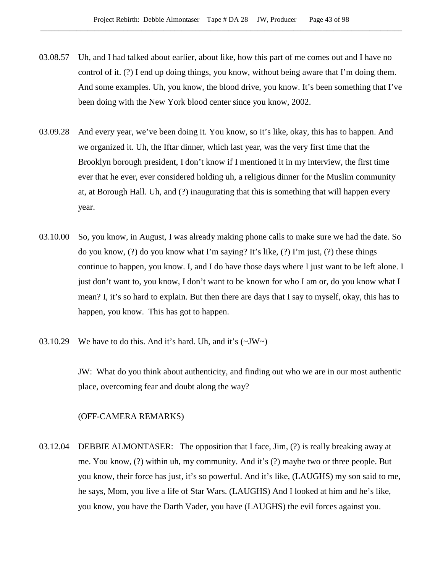- 03.08.57 Uh, and I had talked about earlier, about like, how this part of me comes out and I have no control of it. (?) I end up doing things, you know, without being aware that I'm doing them. And some examples. Uh, you know, the blood drive, you know. It's been something that I've been doing with the New York blood center since you know, 2002.
- 03.09.28 And every year, we've been doing it. You know, so it's like, okay, this has to happen. And we organized it. Uh, the Iftar dinner, which last year, was the very first time that the Brooklyn borough president, I don't know if I mentioned it in my interview, the first time ever that he ever, ever considered holding uh, a religious dinner for the Muslim community at, at Borough Hall. Uh, and (?) inaugurating that this is something that will happen every year.
- 03.10.00 So, you know, in August, I was already making phone calls to make sure we had the date. So do you know,  $(?)$  do you know what I'm saying? It's like,  $(?)$  I'm just,  $(?)$  these things continue to happen, you know. I, and I do have those days where I just want to be left alone. I just don't want to, you know, I don't want to be known for who I am or, do you know what I mean? I, it's so hard to explain. But then there are days that I say to myself, okay, this has to happen, you know. This has got to happen.
- 03.10.29 We have to do this. And it's hard. Uh, and it's  $(\sim JW)$

JW: What do you think about authenticity, and finding out who we are in our most authentic place, overcoming fear and doubt along the way?

#### (OFF-CAMERA REMARKS)

03.12.04 DEBBIE ALMONTASER: The opposition that I face, Jim, (?) is really breaking away at me. You know, (?) within uh, my community. And it's (?) maybe two or three people. But you know, their force has just, it's so powerful. And it's like, (LAUGHS) my son said to me, he says, Mom, you live a life of Star Wars. (LAUGHS) And I looked at him and he's like, you know, you have the Darth Vader, you have (LAUGHS) the evil forces against you.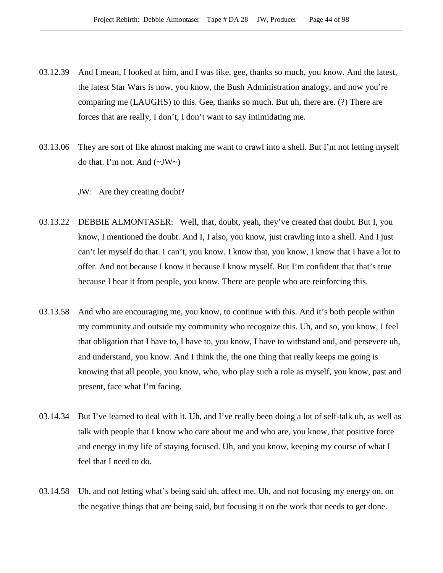- 03.12.39 And I mean, I looked at him, and I was like, gee, thanks so much, you know. And the latest, the latest Star Wars is now, you know, the Bush Administration analogy, and now you're comparing me (LAUGHS) to this. Gee, thanks so much. But uh, there are. (?) There are forces that are really, I don't, I don't want to say intimidating me.
- 03.13.06 They are sort of like almost making me want to crawl into a shell. But I'm not letting myself do that. I'm not. And  $(\sim JW \sim)$

JW: Are they creating doubt?

- 03.13.22 DEBBIE ALMONTASER: Well, that, doubt, yeah, they've created that doubt. But I, you know, I mentioned the doubt. And I, I also, you know, just crawling into a shell. And I just can't let myself do that. I can't, you know. I know that, you know, I know that I have a lot to offer. And not because I know it because I know myself. But I'm confident that that's true because I hear it from people, you know. There are people who are reinforcing this.
- 03.13.58 And who are encouraging me, you know, to continue with this. And it's both people within my community and outside my community who recognize this. Uh, and so, you know, I feel that obligation that I have to, I have to, you know, I have to withstand and, and persevere uh, and understand, you know. And I think the, the one thing that really keeps me going is knowing that all people, you know, who, who play such a role as myself, you know, past and present, face what I'm facing.
- 03.14.34 But I've learned to deal with it. Uh, and I've really been doing a lot of self-talk uh, as well as talk with people that I know who care about me and who are, you know, that positive force and energy in my life of staying focused. Uh, and you know, keeping my course of what I feel that I need to do.
- 03.14.58 Uh, and not letting what's being said uh, affect me. Uh, and not focusing my energy on, on the negative things that are being said, but focusing it on the work that needs to get done.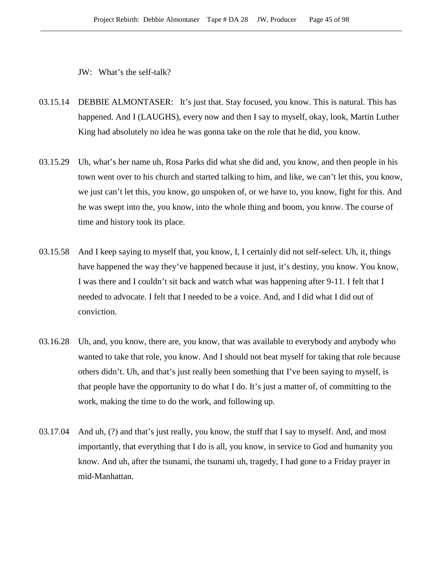JW: What's the self-talk?

- 03.15.14 DEBBIE ALMONTASER: It's just that. Stay focused, you know. This is natural. This has happened. And I (LAUGHS), every now and then I say to myself, okay, look, Martin Luther King had absolutely no idea he was gonna take on the role that he did, you know.
- 03.15.29 Uh, what's her name uh, Rosa Parks did what she did and, you know, and then people in his town went over to his church and started talking to him, and like, we can't let this, you know, we just can't let this, you know, go unspoken of, or we have to, you know, fight for this. And he was swept into the, you know, into the whole thing and boom, you know. The course of time and history took its place.
- 03.15.58 And I keep saying to myself that, you know, I, I certainly did not self-select. Uh, it, things have happened the way they've happened because it just, it's destiny, you know. You know, I was there and I couldn't sit back and watch what was happening after 9-11. I felt that I needed to advocate. I felt that I needed to be a voice. And, and I did what I did out of conviction.
- 03.16.28 Uh, and, you know, there are, you know, that was available to everybody and anybody who wanted to take that role, you know. And I should not beat myself for taking that role because others didn't. Uh, and that's just really been something that I've been saying to myself, is that people have the opportunity to do what I do. It's just a matter of, of committing to the work, making the time to do the work, and following up.
- 03.17.04 And uh, (?) and that's just really, you know, the stuff that I say to myself. And, and most importantly, that everything that I do is all, you know, in service to God and humanity you know. And uh, after the tsunami, the tsunami uh, tragedy, I had gone to a Friday prayer in mid-Manhattan.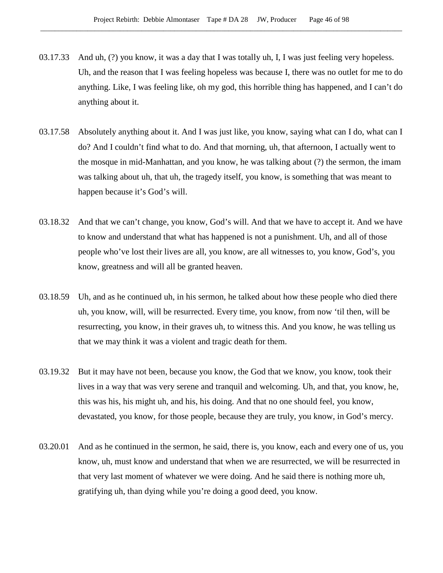- 03.17.33 And uh, (?) you know, it was a day that I was totally uh, I, I was just feeling very hopeless. Uh, and the reason that I was feeling hopeless was because I, there was no outlet for me to do anything. Like, I was feeling like, oh my god, this horrible thing has happened, and I can't do anything about it.
- 03.17.58 Absolutely anything about it. And I was just like, you know, saying what can I do, what can I do? And I couldn't find what to do. And that morning, uh, that afternoon, I actually went to the mosque in mid-Manhattan, and you know, he was talking about (?) the sermon, the imam was talking about uh, that uh, the tragedy itself, you know, is something that was meant to happen because it's God's will.
- 03.18.32 And that we can't change, you know, God's will. And that we have to accept it. And we have to know and understand that what has happened is not a punishment. Uh, and all of those people who've lost their lives are all, you know, are all witnesses to, you know, God's, you know, greatness and will all be granted heaven.
- 03.18.59 Uh, and as he continued uh, in his sermon, he talked about how these people who died there uh, you know, will, will be resurrected. Every time, you know, from now 'til then, will be resurrecting, you know, in their graves uh, to witness this. And you know, he was telling us that we may think it was a violent and tragic death for them.
- 03.19.32 But it may have not been, because you know, the God that we know, you know, took their lives in a way that was very serene and tranquil and welcoming. Uh, and that, you know, he, this was his, his might uh, and his, his doing. And that no one should feel, you know, devastated, you know, for those people, because they are truly, you know, in God's mercy.
- 03.20.01 And as he continued in the sermon, he said, there is, you know, each and every one of us, you know, uh, must know and understand that when we are resurrected, we will be resurrected in that very last moment of whatever we were doing. And he said there is nothing more uh, gratifying uh, than dying while you're doing a good deed, you know.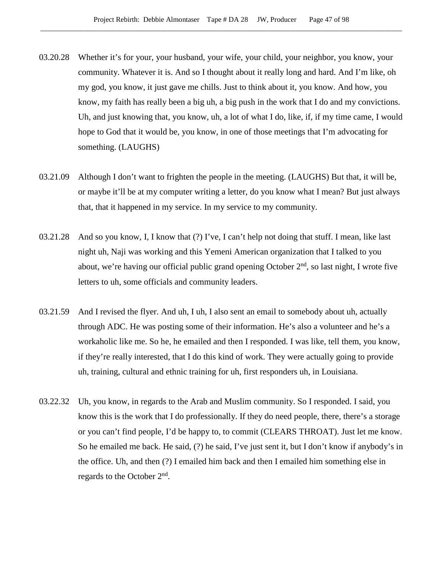- 03.20.28 Whether it's for your, your husband, your wife, your child, your neighbor, you know, your community. Whatever it is. And so I thought about it really long and hard. And I'm like, oh my god, you know, it just gave me chills. Just to think about it, you know. And how, you know, my faith has really been a big uh, a big push in the work that I do and my convictions. Uh, and just knowing that, you know, uh, a lot of what I do, like, if, if my time came, I would hope to God that it would be, you know, in one of those meetings that I'm advocating for something. (LAUGHS)
- 03.21.09 Although I don't want to frighten the people in the meeting. (LAUGHS) But that, it will be, or maybe it'll be at my computer writing a letter, do you know what I mean? But just always that, that it happened in my service. In my service to my community.
- 03.21.28 And so you know, I, I know that (?) I've, I can't help not doing that stuff. I mean, like last night uh, Naji was working and this Yemeni American organization that I talked to you about, we're having our official public grand opening October  $2<sup>nd</sup>$ , so last night, I wrote five letters to uh, some officials and community leaders.
- 03.21.59 And I revised the flyer. And uh, I uh, I also sent an email to somebody about uh, actually through ADC. He was posting some of their information. He's also a volunteer and he's a workaholic like me. So he, he emailed and then I responded. I was like, tell them, you know, if they're really interested, that I do this kind of work. They were actually going to provide uh, training, cultural and ethnic training for uh, first responders uh, in Louisiana.
- 03.22.32 Uh, you know, in regards to the Arab and Muslim community. So I responded. I said, you know this is the work that I do professionally. If they do need people, there, there's a storage or you can't find people, I'd be happy to, to commit (CLEARS THROAT). Just let me know. So he emailed me back. He said, (?) he said, I've just sent it, but I don't know if anybody's in the office. Uh, and then (?) I emailed him back and then I emailed him something else in regards to the October  $2<sup>nd</sup>$ .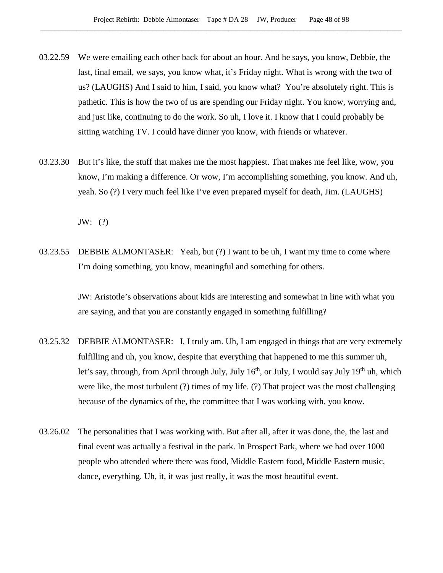- 03.22.59 We were emailing each other back for about an hour. And he says, you know, Debbie, the last, final email, we says, you know what, it's Friday night. What is wrong with the two of us? (LAUGHS) And I said to him, I said, you know what? You're absolutely right. This is pathetic. This is how the two of us are spending our Friday night. You know, worrying and, and just like, continuing to do the work. So uh, I love it. I know that I could probably be sitting watching TV. I could have dinner you know, with friends or whatever.
- 03.23.30 But it's like, the stuff that makes me the most happiest. That makes me feel like, wow, you know, I'm making a difference. Or wow, I'm accomplishing something, you know. And uh, yeah. So (?) I very much feel like I've even prepared myself for death, Jim. (LAUGHS)

JW: (?)

03.23.55 DEBBIE ALMONTASER: Yeah, but (?) I want to be uh, I want my time to come where I'm doing something, you know, meaningful and something for others.

> JW: Aristotle's observations about kids are interesting and somewhat in line with what you are saying, and that you are constantly engaged in something fulfilling?

- 03.25.32 DEBBIE ALMONTASER: I, I truly am. Uh, I am engaged in things that are very extremely fulfilling and uh, you know, despite that everything that happened to me this summer uh, let's say, through, from April through July, July  $16<sup>th</sup>$ , or July, I would say July  $19<sup>th</sup>$  uh, which were like, the most turbulent (?) times of my life. (?) That project was the most challenging because of the dynamics of the, the committee that I was working with, you know.
- 03.26.02 The personalities that I was working with. But after all, after it was done, the, the last and final event was actually a festival in the park. In Prospect Park, where we had over 1000 people who attended where there was food, Middle Eastern food, Middle Eastern music, dance, everything. Uh, it, it was just really, it was the most beautiful event.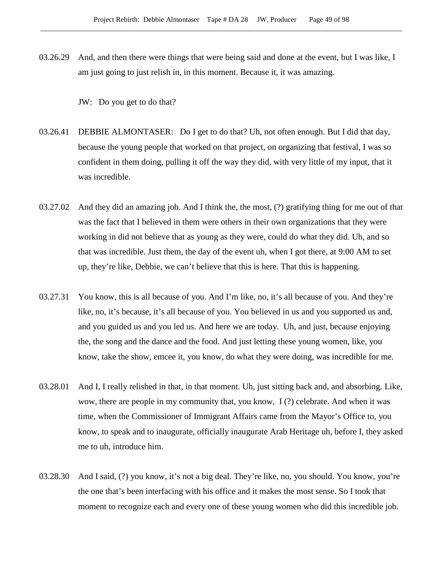03.26.29 And, and then there were things that were being said and done at the event, but I was like, I am just going to just relish in, in this moment. Because it, it was amazing.

JW: Do you get to do that?

- 03.26.41 DEBBIE ALMONTASER: Do I get to do that? Uh, not often enough. But I did that day, because the young people that worked on that project, on organizing that festival, I was so confident in them doing, pulling it off the way they did, with very little of my input, that it was incredible.
- 03.27.02 And they did an amazing job. And I think the, the most, (?) gratifying thing for me out of that was the fact that I believed in them were others in their own organizations that they were working in did not believe that as young as they were, could do what they did. Uh, and so that was incredible. Just them, the day of the event uh, when I got there, at 9:00 AM to set up, they're like, Debbie, we can't believe that this is here. That this is happening.
- 03.27.31 You know, this is all because of you. And I'm like, no, it's all because of you. And they're like, no, it's because, it's all because of you. You believed in us and you supported us and, and you guided us and you led us. And here we are today. Uh, and just, because enjoying the, the song and the dance and the food. And just letting these young women, like, you know, take the show, emcee it, you know, do what they were doing, was incredible for me.
- 03.28.01 And I, I really relished in that, in that moment. Uh, just sitting back and, and absorbing. Like, wow, there are people in my community that, you know, I (?) celebrate. And when it was time, when the Commissioner of Immigrant Affairs came from the Mayor's Office to, you know, to speak and to inaugurate, officially inaugurate Arab Heritage uh, before I, they asked me to uh, introduce him.
- 03.28.30 And I said, (?) you know, it's not a big deal. They're like, no, you should. You know, you're the one that's been interfacing with his office and it makes the most sense. So I took that moment to recognize each and every one of these young women who did this incredible job.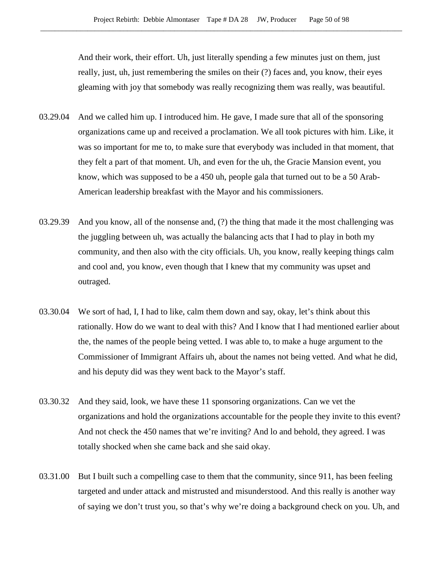And their work, their effort. Uh, just literally spending a few minutes just on them, just really, just, uh, just remembering the smiles on their (?) faces and, you know, their eyes gleaming with joy that somebody was really recognizing them was really, was beautiful.

- 03.29.04 And we called him up. I introduced him. He gave, I made sure that all of the sponsoring organizations came up and received a proclamation. We all took pictures with him. Like, it was so important for me to, to make sure that everybody was included in that moment, that they felt a part of that moment. Uh, and even for the uh, the Gracie Mansion event, you know, which was supposed to be a 450 uh, people gala that turned out to be a 50 Arab-American leadership breakfast with the Mayor and his commissioners.
- 03.29.39 And you know, all of the nonsense and, (?) the thing that made it the most challenging was the juggling between uh, was actually the balancing acts that I had to play in both my community, and then also with the city officials. Uh, you know, really keeping things calm and cool and, you know, even though that I knew that my community was upset and outraged.
- 03.30.04 We sort of had, I, I had to like, calm them down and say, okay, let's think about this rationally. How do we want to deal with this? And I know that I had mentioned earlier about the, the names of the people being vetted. I was able to, to make a huge argument to the Commissioner of Immigrant Affairs uh, about the names not being vetted. And what he did, and his deputy did was they went back to the Mayor's staff.
- 03.30.32 And they said, look, we have these 11 sponsoring organizations. Can we vet the organizations and hold the organizations accountable for the people they invite to this event? And not check the 450 names that we're inviting? And lo and behold, they agreed. I was totally shocked when she came back and she said okay.
- 03.31.00 But I built such a compelling case to them that the community, since 911, has been feeling targeted and under attack and mistrusted and misunderstood. And this really is another way of saying we don't trust you, so that's why we're doing a background check on you. Uh, and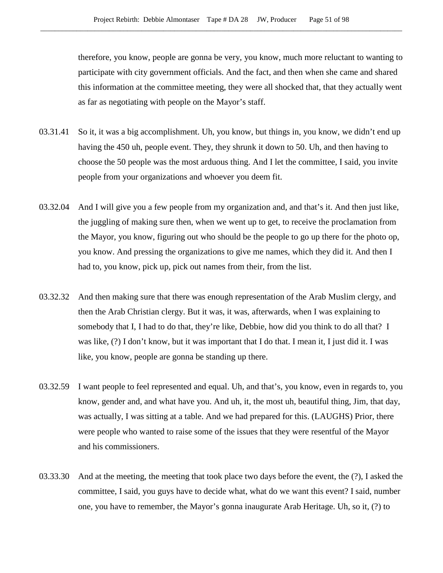therefore, you know, people are gonna be very, you know, much more reluctant to wanting to participate with city government officials. And the fact, and then when she came and shared this information at the committee meeting, they were all shocked that, that they actually went as far as negotiating with people on the Mayor's staff.

- 03.31.41 So it, it was a big accomplishment. Uh, you know, but things in, you know, we didn't end up having the 450 uh, people event. They, they shrunk it down to 50. Uh, and then having to choose the 50 people was the most arduous thing. And I let the committee, I said, you invite people from your organizations and whoever you deem fit.
- 03.32.04 And I will give you a few people from my organization and, and that's it. And then just like, the juggling of making sure then, when we went up to get, to receive the proclamation from the Mayor, you know, figuring out who should be the people to go up there for the photo op, you know. And pressing the organizations to give me names, which they did it. And then I had to, you know, pick up, pick out names from their, from the list.
- 03.32.32 And then making sure that there was enough representation of the Arab Muslim clergy, and then the Arab Christian clergy. But it was, it was, afterwards, when I was explaining to somebody that I, I had to do that, they're like, Debbie, how did you think to do all that? I was like, (?) I don't know, but it was important that I do that. I mean it, I just did it. I was like, you know, people are gonna be standing up there.
- 03.32.59 I want people to feel represented and equal. Uh, and that's, you know, even in regards to, you know, gender and, and what have you. And uh, it, the most uh, beautiful thing, Jim, that day, was actually, I was sitting at a table. And we had prepared for this. (LAUGHS) Prior, there were people who wanted to raise some of the issues that they were resentful of the Mayor and his commissioners.
- 03.33.30 And at the meeting, the meeting that took place two days before the event, the (?), I asked the committee, I said, you guys have to decide what, what do we want this event? I said, number one, you have to remember, the Mayor's gonna inaugurate Arab Heritage. Uh, so it, (?) to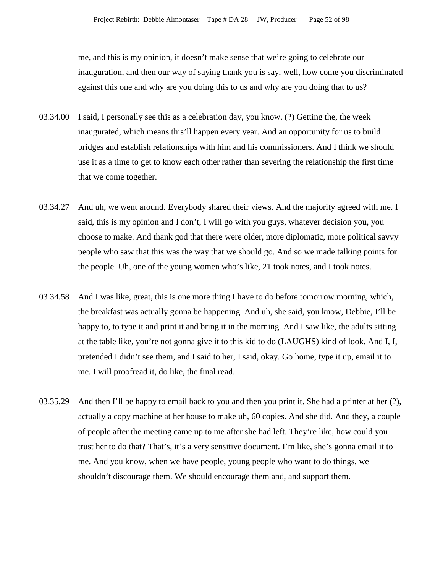me, and this is my opinion, it doesn't make sense that we're going to celebrate our inauguration, and then our way of saying thank you is say, well, how come you discriminated against this one and why are you doing this to us and why are you doing that to us?

- 03.34.00 I said, I personally see this as a celebration day, you know. (?) Getting the, the week inaugurated, which means this'll happen every year. And an opportunity for us to build bridges and establish relationships with him and his commissioners. And I think we should use it as a time to get to know each other rather than severing the relationship the first time that we come together.
- 03.34.27 And uh, we went around. Everybody shared their views. And the majority agreed with me. I said, this is my opinion and I don't, I will go with you guys, whatever decision you, you choose to make. And thank god that there were older, more diplomatic, more political savvy people who saw that this was the way that we should go. And so we made talking points for the people. Uh, one of the young women who's like, 21 took notes, and I took notes.
- 03.34.58 And I was like, great, this is one more thing I have to do before tomorrow morning, which, the breakfast was actually gonna be happening. And uh, she said, you know, Debbie, I'll be happy to, to type it and print it and bring it in the morning. And I saw like, the adults sitting at the table like, you're not gonna give it to this kid to do (LAUGHS) kind of look. And I, I, pretended I didn't see them, and I said to her, I said, okay. Go home, type it up, email it to me. I will proofread it, do like, the final read.
- 03.35.29 And then I'll be happy to email back to you and then you print it. She had a printer at her (?), actually a copy machine at her house to make uh, 60 copies. And she did. And they, a couple of people after the meeting came up to me after she had left. They're like, how could you trust her to do that? That's, it's a very sensitive document. I'm like, she's gonna email it to me. And you know, when we have people, young people who want to do things, we shouldn't discourage them. We should encourage them and, and support them.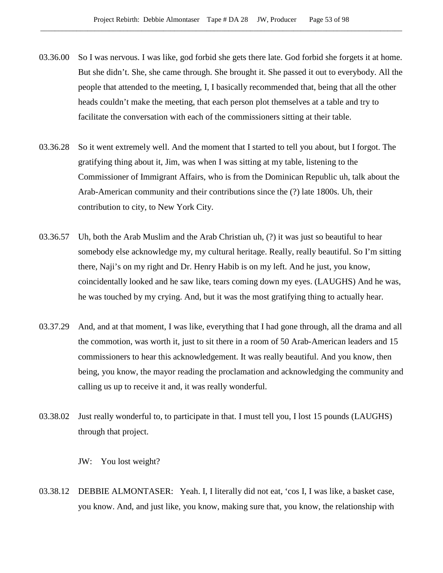- 03.36.00 So I was nervous. I was like, god forbid she gets there late. God forbid she forgets it at home. But she didn't. She, she came through. She brought it. She passed it out to everybody. All the people that attended to the meeting, I, I basically recommended that, being that all the other heads couldn't make the meeting, that each person plot themselves at a table and try to facilitate the conversation with each of the commissioners sitting at their table.
- 03.36.28 So it went extremely well. And the moment that I started to tell you about, but I forgot. The gratifying thing about it, Jim, was when I was sitting at my table, listening to the Commissioner of Immigrant Affairs, who is from the Dominican Republic uh, talk about the Arab-American community and their contributions since the (?) late 1800s. Uh, their contribution to city, to New York City.
- 03.36.57 Uh, both the Arab Muslim and the Arab Christian uh, (?) it was just so beautiful to hear somebody else acknowledge my, my cultural heritage. Really, really beautiful. So I'm sitting there, Naji's on my right and Dr. Henry Habib is on my left. And he just, you know, coincidentally looked and he saw like, tears coming down my eyes. (LAUGHS) And he was, he was touched by my crying. And, but it was the most gratifying thing to actually hear.
- 03.37.29 And, and at that moment, I was like, everything that I had gone through, all the drama and all the commotion, was worth it, just to sit there in a room of 50 Arab-American leaders and 15 commissioners to hear this acknowledgement. It was really beautiful. And you know, then being, you know, the mayor reading the proclamation and acknowledging the community and calling us up to receive it and, it was really wonderful.
- 03.38.02 Just really wonderful to, to participate in that. I must tell you, I lost 15 pounds (LAUGHS) through that project.

JW: You lost weight?

03.38.12 DEBBIE ALMONTASER: Yeah. I, I literally did not eat, 'cos I, I was like, a basket case, you know. And, and just like, you know, making sure that, you know, the relationship with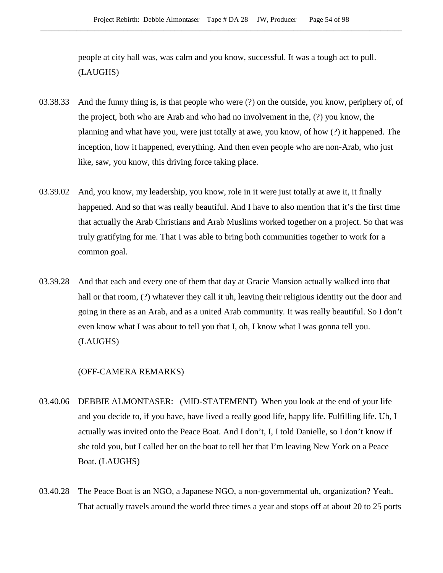people at city hall was, was calm and you know, successful. It was a tough act to pull. (LAUGHS)

- 03.38.33 And the funny thing is, is that people who were (?) on the outside, you know, periphery of, of the project, both who are Arab and who had no involvement in the, (?) you know, the planning and what have you, were just totally at awe, you know, of how (?) it happened. The inception, how it happened, everything. And then even people who are non-Arab, who just like, saw, you know, this driving force taking place.
- 03.39.02 And, you know, my leadership, you know, role in it were just totally at awe it, it finally happened. And so that was really beautiful. And I have to also mention that it's the first time that actually the Arab Christians and Arab Muslims worked together on a project. So that was truly gratifying for me. That I was able to bring both communities together to work for a common goal.
- 03.39.28 And that each and every one of them that day at Gracie Mansion actually walked into that hall or that room, (?) whatever they call it uh, leaving their religious identity out the door and going in there as an Arab, and as a united Arab community. It was really beautiful. So I don't even know what I was about to tell you that I, oh, I know what I was gonna tell you. (LAUGHS)

#### (OFF-CAMERA REMARKS)

- 03.40.06 DEBBIE ALMONTASER: (MID-STATEMENT) When you look at the end of your life and you decide to, if you have, have lived a really good life, happy life. Fulfilling life. Uh, I actually was invited onto the Peace Boat. And I don't, I, I told Danielle, so I don't know if she told you, but I called her on the boat to tell her that I'm leaving New York on a Peace Boat. (LAUGHS)
- 03.40.28 The Peace Boat is an NGO, a Japanese NGO, a non-governmental uh, organization? Yeah. That actually travels around the world three times a year and stops off at about 20 to 25 ports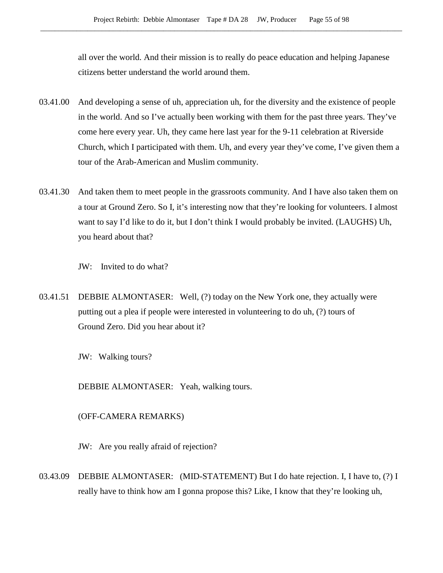all over the world. And their mission is to really do peace education and helping Japanese citizens better understand the world around them.

- 03.41.00 And developing a sense of uh, appreciation uh, for the diversity and the existence of people in the world. And so I've actually been working with them for the past three years. They've come here every year. Uh, they came here last year for the 9-11 celebration at Riverside Church, which I participated with them. Uh, and every year they've come, I've given them a tour of the Arab-American and Muslim community.
- 03.41.30 And taken them to meet people in the grassroots community. And I have also taken them on a tour at Ground Zero. So I, it's interesting now that they're looking for volunteers. I almost want to say I'd like to do it, but I don't think I would probably be invited. (LAUGHS) Uh, you heard about that?

JW: Invited to do what?

03.41.51 DEBBIE ALMONTASER: Well, (?) today on the New York one, they actually were putting out a plea if people were interested in volunteering to do uh, (?) tours of Ground Zero. Did you hear about it?

JW: Walking tours?

DEBBIE ALMONTASER: Yeah, walking tours.

# (OFF-CAMERA REMARKS)

JW: Are you really afraid of rejection?

03.43.09 DEBBIE ALMONTASER: (MID-STATEMENT) But I do hate rejection. I, I have to, (?) I really have to think how am I gonna propose this? Like, I know that they're looking uh,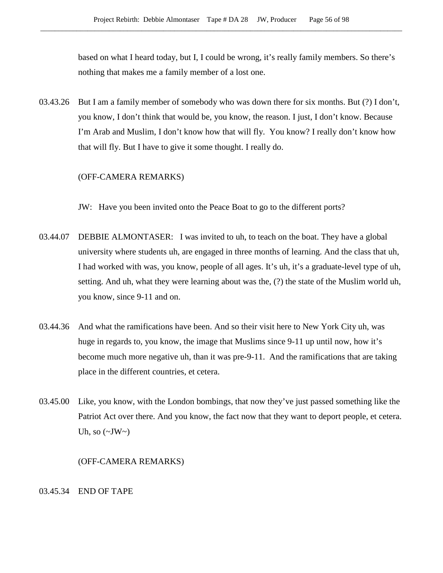based on what I heard today, but I, I could be wrong, it's really family members. So there's nothing that makes me a family member of a lost one.

03.43.26 But I am a family member of somebody who was down there for six months. But (?) I don't, you know, I don't think that would be, you know, the reason. I just, I don't know. Because I'm Arab and Muslim, I don't know how that will fly. You know? I really don't know how that will fly. But I have to give it some thought. I really do.

#### (OFF-CAMERA REMARKS)

JW: Have you been invited onto the Peace Boat to go to the different ports?

- 03.44.07 DEBBIE ALMONTASER: I was invited to uh, to teach on the boat. They have a global university where students uh, are engaged in three months of learning. And the class that uh, I had worked with was, you know, people of all ages. It's uh, it's a graduate-level type of uh, setting. And uh, what they were learning about was the, (?) the state of the Muslim world uh, you know, since 9-11 and on.
- 03.44.36 And what the ramifications have been. And so their visit here to New York City uh, was huge in regards to, you know, the image that Muslims since 9-11 up until now, how it's become much more negative uh, than it was pre-9-11. And the ramifications that are taking place in the different countries, et cetera.
- 03.45.00 Like, you know, with the London bombings, that now they've just passed something like the Patriot Act over there. And you know, the fact now that they want to deport people, et cetera. Uh, so  $(\sim JW)$

#### (OFF-CAMERA REMARKS)

#### 03.45.34 END OF TAPE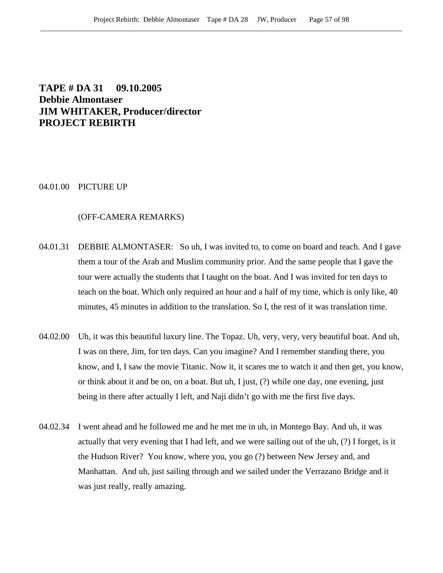# **TAPE # DA 31 09.10.2005 Debbie Almontaser JIM WHITAKER, Producer/director PROJECT REBIRTH**

#### 04.01.00 PICTURE UP

#### (OFF-CAMERA REMARKS)

- 04.01.31 DEBBIE ALMONTASER: So uh, I was invited to, to come on board and teach. And I gave them a tour of the Arab and Muslim community prior. And the same people that I gave the tour were actually the students that I taught on the boat. And I was invited for ten days to teach on the boat. Which only required an hour and a half of my time, which is only like, 40 minutes, 45 minutes in addition to the translation. So I, the rest of it was translation time.
- 04.02.00 Uh, it was this beautiful luxury line. The Topaz. Uh, very, very, very beautiful boat. And uh, I was on there, Jim, for ten days. Can you imagine? And I remember standing there, you know, and I, I saw the movie Titanic. Now it, it scares me to watch it and then get, you know, or think about it and be on, on a boat. But uh, I just, (?) while one day, one evening, just being in there after actually I left, and Naji didn't go with me the first five days.
- 04.02.34 I went ahead and he followed me and he met me in uh, in Montego Bay. And uh, it was actually that very evening that I had left, and we were sailing out of the uh, (?) I forget, is it the Hudson River? You know, where you, you go (?) between New Jersey and, and Manhattan. And uh, just sailing through and we sailed under the Verrazano Bridge and it was just really, really amazing.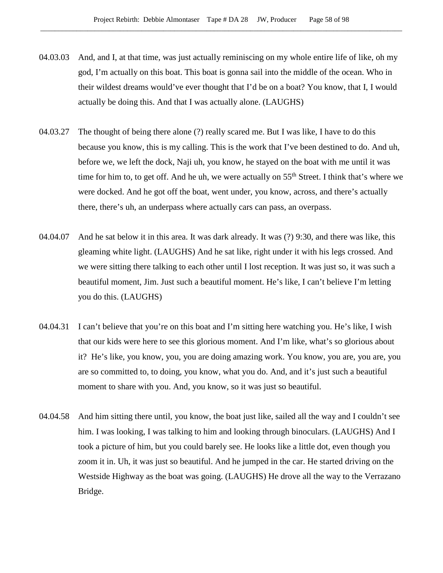- 04.03.03 And, and I, at that time, was just actually reminiscing on my whole entire life of like, oh my god, I'm actually on this boat. This boat is gonna sail into the middle of the ocean. Who in their wildest dreams would've ever thought that I'd be on a boat? You know, that I, I would actually be doing this. And that I was actually alone. (LAUGHS)
- 04.03.27 The thought of being there alone (?) really scared me. But I was like, I have to do this because you know, this is my calling. This is the work that I've been destined to do. And uh, before we, we left the dock, Naji uh, you know, he stayed on the boat with me until it was time for him to, to get off. And he uh, we were actually on  $55<sup>th</sup>$  Street. I think that's where we were docked. And he got off the boat, went under, you know, across, and there's actually there, there's uh, an underpass where actually cars can pass, an overpass.
- 04.04.07 And he sat below it in this area. It was dark already. It was (?) 9:30, and there was like, this gleaming white light. (LAUGHS) And he sat like, right under it with his legs crossed. And we were sitting there talking to each other until I lost reception. It was just so, it was such a beautiful moment, Jim. Just such a beautiful moment. He's like, I can't believe I'm letting you do this. (LAUGHS)
- 04.04.31 I can't believe that you're on this boat and I'm sitting here watching you. He's like, I wish that our kids were here to see this glorious moment. And I'm like, what's so glorious about it? He's like, you know, you, you are doing amazing work. You know, you are, you are, you are so committed to, to doing, you know, what you do. And, and it's just such a beautiful moment to share with you. And, you know, so it was just so beautiful.
- 04.04.58 And him sitting there until, you know, the boat just like, sailed all the way and I couldn't see him. I was looking, I was talking to him and looking through binoculars. (LAUGHS) And I took a picture of him, but you could barely see. He looks like a little dot, even though you zoom it in. Uh, it was just so beautiful. And he jumped in the car. He started driving on the Westside Highway as the boat was going. (LAUGHS) He drove all the way to the Verrazano Bridge.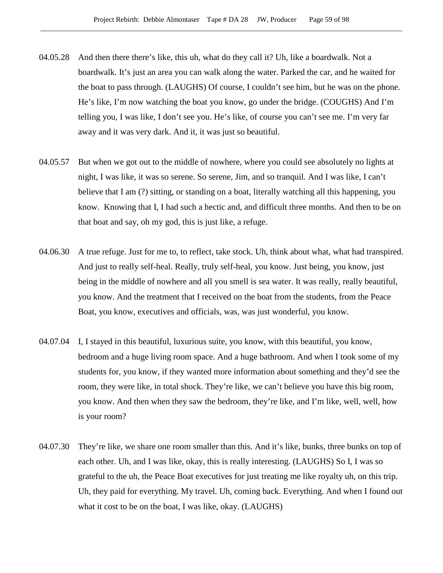- 04.05.28 And then there there's like, this uh, what do they call it? Uh, like a boardwalk. Not a boardwalk. It's just an area you can walk along the water. Parked the car, and he waited for the boat to pass through. (LAUGHS) Of course, I couldn't see him, but he was on the phone. He's like, I'm now watching the boat you know, go under the bridge. (COUGHS) And I'm telling you, I was like, I don't see you. He's like, of course you can't see me. I'm very far away and it was very dark. And it, it was just so beautiful.
- 04.05.57 But when we got out to the middle of nowhere, where you could see absolutely no lights at night, I was like, it was so serene. So serene, Jim, and so tranquil. And I was like, I can't believe that I am (?) sitting, or standing on a boat, literally watching all this happening, you know. Knowing that I, I had such a hectic and, and difficult three months. And then to be on that boat and say, oh my god, this is just like, a refuge.
- 04.06.30 A true refuge. Just for me to, to reflect, take stock. Uh, think about what, what had transpired. And just to really self-heal. Really, truly self-heal, you know. Just being, you know, just being in the middle of nowhere and all you smell is sea water. It was really, really beautiful, you know. And the treatment that I received on the boat from the students, from the Peace Boat, you know, executives and officials, was, was just wonderful, you know.
- 04.07.04 I, I stayed in this beautiful, luxurious suite, you know, with this beautiful, you know, bedroom and a huge living room space. And a huge bathroom. And when I took some of my students for, you know, if they wanted more information about something and they'd see the room, they were like, in total shock. They're like, we can't believe you have this big room, you know. And then when they saw the bedroom, they're like, and I'm like, well, well, how is your room?
- 04.07.30 They're like, we share one room smaller than this. And it's like, bunks, three bunks on top of each other. Uh, and I was like, okay, this is really interesting. (LAUGHS) So I, I was so grateful to the uh, the Peace Boat executives for just treating me like royalty uh, on this trip. Uh, they paid for everything. My travel. Uh, coming back. Everything. And when I found out what it cost to be on the boat, I was like, okay. (LAUGHS)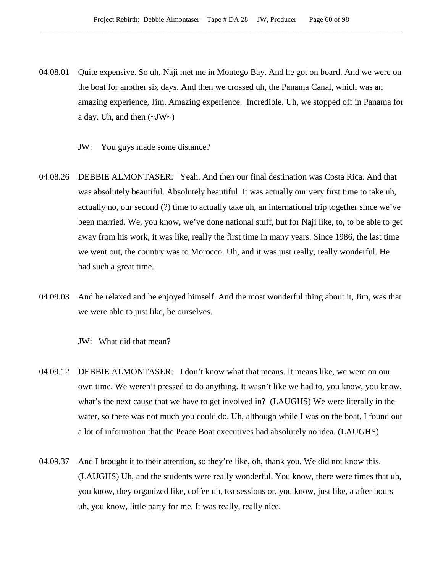- 04.08.01 Quite expensive. So uh, Naji met me in Montego Bay. And he got on board. And we were on the boat for another six days. And then we crossed uh, the Panama Canal, which was an amazing experience, Jim. Amazing experience. Incredible. Uh, we stopped off in Panama for a day. Uh, and then  $(\sim JW \sim)$ 
	- JW: You guys made some distance?
- 04.08.26 DEBBIE ALMONTASER: Yeah. And then our final destination was Costa Rica. And that was absolutely beautiful. Absolutely beautiful. It was actually our very first time to take uh, actually no, our second (?) time to actually take uh, an international trip together since we've been married. We, you know, we've done national stuff, but for Naji like, to, to be able to get away from his work, it was like, really the first time in many years. Since 1986, the last time we went out, the country was to Morocco. Uh, and it was just really, really wonderful. He had such a great time.
- 04.09.03 And he relaxed and he enjoyed himself. And the most wonderful thing about it, Jim, was that we were able to just like, be ourselves.
	- JW: What did that mean?
- 04.09.12 DEBBIE ALMONTASER: I don't know what that means. It means like, we were on our own time. We weren't pressed to do anything. It wasn't like we had to, you know, you know, what's the next cause that we have to get involved in? (LAUGHS) We were literally in the water, so there was not much you could do. Uh, although while I was on the boat, I found out a lot of information that the Peace Boat executives had absolutely no idea. (LAUGHS)
- 04.09.37 And I brought it to their attention, so they're like, oh, thank you. We did not know this. (LAUGHS) Uh, and the students were really wonderful. You know, there were times that uh, you know, they organized like, coffee uh, tea sessions or, you know, just like, a after hours uh, you know, little party for me. It was really, really nice.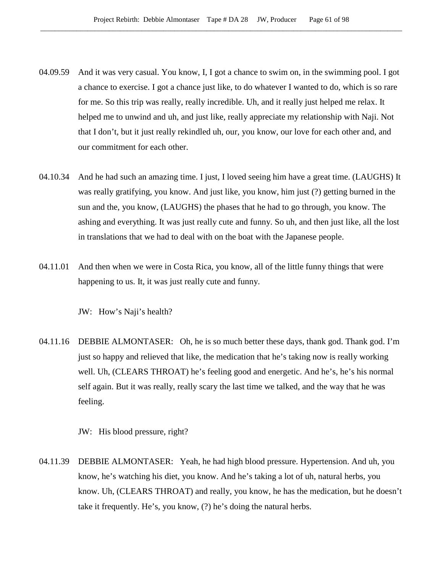- 04.09.59 And it was very casual. You know, I, I got a chance to swim on, in the swimming pool. I got a chance to exercise. I got a chance just like, to do whatever I wanted to do, which is so rare for me. So this trip was really, really incredible. Uh, and it really just helped me relax. It helped me to unwind and uh, and just like, really appreciate my relationship with Naji. Not that I don't, but it just really rekindled uh, our, you know, our love for each other and, and our commitment for each other.
- 04.10.34 And he had such an amazing time. I just, I loved seeing him have a great time. (LAUGHS) It was really gratifying, you know. And just like, you know, him just (?) getting burned in the sun and the, you know, (LAUGHS) the phases that he had to go through, you know. The ashing and everything. It was just really cute and funny. So uh, and then just like, all the lost in translations that we had to deal with on the boat with the Japanese people.
- 04.11.01 And then when we were in Costa Rica, you know, all of the little funny things that were happening to us. It, it was just really cute and funny.

JW: How's Naji's health?

04.11.16 DEBBIE ALMONTASER: Oh, he is so much better these days, thank god. Thank god. I'm just so happy and relieved that like, the medication that he's taking now is really working well. Uh, (CLEARS THROAT) he's feeling good and energetic. And he's, he's his normal self again. But it was really, really scary the last time we talked, and the way that he was feeling.

JW: His blood pressure, right?

04.11.39 DEBBIE ALMONTASER: Yeah, he had high blood pressure. Hypertension. And uh, you know, he's watching his diet, you know. And he's taking a lot of uh, natural herbs, you know. Uh, (CLEARS THROAT) and really, you know, he has the medication, but he doesn't take it frequently. He's, you know, (?) he's doing the natural herbs.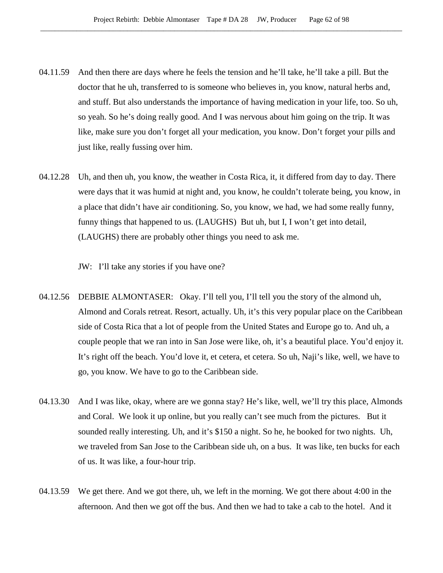- 04.11.59 And then there are days where he feels the tension and he'll take, he'll take a pill. But the doctor that he uh, transferred to is someone who believes in, you know, natural herbs and, and stuff. But also understands the importance of having medication in your life, too. So uh, so yeah. So he's doing really good. And I was nervous about him going on the trip. It was like, make sure you don't forget all your medication, you know. Don't forget your pills and just like, really fussing over him.
- 04.12.28 Uh, and then uh, you know, the weather in Costa Rica, it, it differed from day to day. There were days that it was humid at night and, you know, he couldn't tolerate being, you know, in a place that didn't have air conditioning. So, you know, we had, we had some really funny, funny things that happened to us. (LAUGHS) But uh, but I, I won't get into detail, (LAUGHS) there are probably other things you need to ask me.

JW: I'll take any stories if you have one?

- 04.12.56 DEBBIE ALMONTASER: Okay. I'll tell you, I'll tell you the story of the almond uh, Almond and Corals retreat. Resort, actually. Uh, it's this very popular place on the Caribbean side of Costa Rica that a lot of people from the United States and Europe go to. And uh, a couple people that we ran into in San Jose were like, oh, it's a beautiful place. You'd enjoy it. It's right off the beach. You'd love it, et cetera, et cetera. So uh, Naji's like, well, we have to go, you know. We have to go to the Caribbean side.
- 04.13.30 And I was like, okay, where are we gonna stay? He's like, well, we'll try this place, Almonds and Coral. We look it up online, but you really can't see much from the pictures. But it sounded really interesting. Uh, and it's \$150 a night. So he, he booked for two nights. Uh, we traveled from San Jose to the Caribbean side uh, on a bus. It was like, ten bucks for each of us. It was like, a four-hour trip.
- 04.13.59 We get there. And we got there, uh, we left in the morning. We got there about 4:00 in the afternoon. And then we got off the bus. And then we had to take a cab to the hotel. And it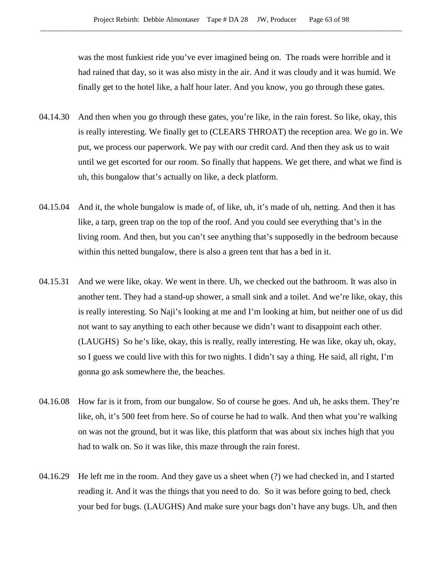was the most funkiest ride you've ever imagined being on. The roads were horrible and it had rained that day, so it was also misty in the air. And it was cloudy and it was humid. We finally get to the hotel like, a half hour later. And you know, you go through these gates.

- 04.14.30 And then when you go through these gates, you're like, in the rain forest. So like, okay, this is really interesting. We finally get to (CLEARS THROAT) the reception area. We go in. We put, we process our paperwork. We pay with our credit card. And then they ask us to wait until we get escorted for our room. So finally that happens. We get there, and what we find is uh, this bungalow that's actually on like, a deck platform.
- 04.15.04 And it, the whole bungalow is made of, of like, uh, it's made of uh, netting. And then it has like, a tarp, green trap on the top of the roof. And you could see everything that's in the living room. And then, but you can't see anything that's supposedly in the bedroom because within this netted bungalow, there is also a green tent that has a bed in it.
- 04.15.31 And we were like, okay. We went in there. Uh, we checked out the bathroom. It was also in another tent. They had a stand-up shower, a small sink and a toilet. And we're like, okay, this is really interesting. So Naji's looking at me and I'm looking at him, but neither one of us did not want to say anything to each other because we didn't want to disappoint each other. (LAUGHS) So he's like, okay, this is really, really interesting. He was like, okay uh, okay, so I guess we could live with this for two nights. I didn't say a thing. He said, all right, I'm gonna go ask somewhere the, the beaches.
- 04.16.08 How far is it from, from our bungalow. So of course he goes. And uh, he asks them. They're like, oh, it's 500 feet from here. So of course he had to walk. And then what you're walking on was not the ground, but it was like, this platform that was about six inches high that you had to walk on. So it was like, this maze through the rain forest.
- 04.16.29 He left me in the room. And they gave us a sheet when (?) we had checked in, and I started reading it. And it was the things that you need to do. So it was before going to bed, check your bed for bugs. (LAUGHS) And make sure your bags don't have any bugs. Uh, and then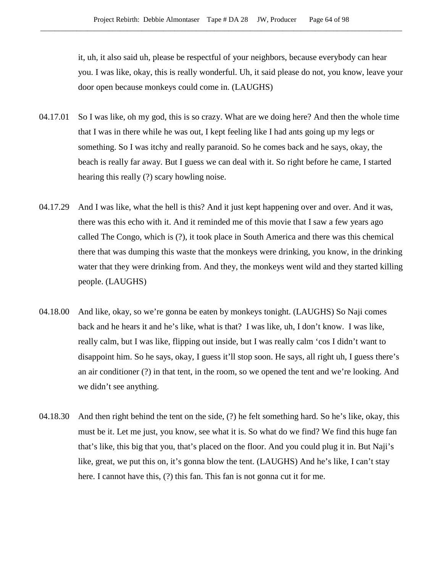it, uh, it also said uh, please be respectful of your neighbors, because everybody can hear you. I was like, okay, this is really wonderful. Uh, it said please do not, you know, leave your door open because monkeys could come in. (LAUGHS)

- 04.17.01 So I was like, oh my god, this is so crazy. What are we doing here? And then the whole time that I was in there while he was out, I kept feeling like I had ants going up my legs or something. So I was itchy and really paranoid. So he comes back and he says, okay, the beach is really far away. But I guess we can deal with it. So right before he came, I started hearing this really (?) scary howling noise.
- 04.17.29 And I was like, what the hell is this? And it just kept happening over and over. And it was, there was this echo with it. And it reminded me of this movie that I saw a few years ago called The Congo, which is (?), it took place in South America and there was this chemical there that was dumping this waste that the monkeys were drinking, you know, in the drinking water that they were drinking from. And they, the monkeys went wild and they started killing people. (LAUGHS)
- 04.18.00 And like, okay, so we're gonna be eaten by monkeys tonight. (LAUGHS) So Naji comes back and he hears it and he's like, what is that? I was like, uh, I don't know. I was like, really calm, but I was like, flipping out inside, but I was really calm 'cos I didn't want to disappoint him. So he says, okay, I guess it'll stop soon. He says, all right uh, I guess there's an air conditioner (?) in that tent, in the room, so we opened the tent and we're looking. And we didn't see anything.
- 04.18.30 And then right behind the tent on the side, (?) he felt something hard. So he's like, okay, this must be it. Let me just, you know, see what it is. So what do we find? We find this huge fan that's like, this big that you, that's placed on the floor. And you could plug it in. But Naji's like, great, we put this on, it's gonna blow the tent. (LAUGHS) And he's like, I can't stay here. I cannot have this, (?) this fan. This fan is not gonna cut it for me.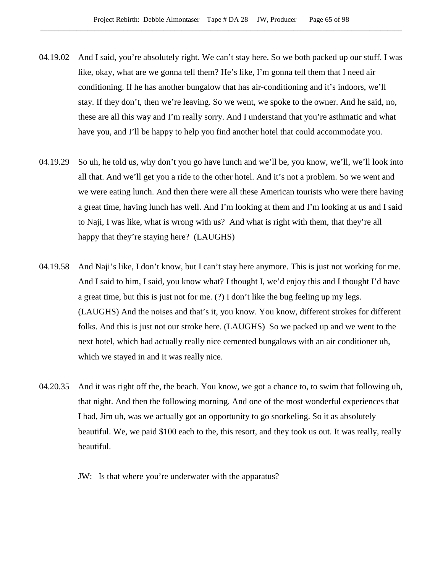- 04.19.02 And I said, you're absolutely right. We can't stay here. So we both packed up our stuff. I was like, okay, what are we gonna tell them? He's like, I'm gonna tell them that I need air conditioning. If he has another bungalow that has air-conditioning and it's indoors, we'll stay. If they don't, then we're leaving. So we went, we spoke to the owner. And he said, no, these are all this way and I'm really sorry. And I understand that you're asthmatic and what have you, and I'll be happy to help you find another hotel that could accommodate you.
- 04.19.29 So uh, he told us, why don't you go have lunch and we'll be, you know, we'll, we'll look into all that. And we'll get you a ride to the other hotel. And it's not a problem. So we went and we were eating lunch. And then there were all these American tourists who were there having a great time, having lunch has well. And I'm looking at them and I'm looking at us and I said to Naji, I was like, what is wrong with us? And what is right with them, that they're all happy that they're staying here? (LAUGHS)
- 04.19.58 And Naji's like, I don't know, but I can't stay here anymore. This is just not working for me. And I said to him, I said, you know what? I thought I, we'd enjoy this and I thought I'd have a great time, but this is just not for me. (?) I don't like the bug feeling up my legs. (LAUGHS) And the noises and that's it, you know. You know, different strokes for different folks. And this is just not our stroke here. (LAUGHS) So we packed up and we went to the next hotel, which had actually really nice cemented bungalows with an air conditioner uh, which we stayed in and it was really nice.
- 04.20.35 And it was right off the, the beach. You know, we got a chance to, to swim that following uh, that night. And then the following morning. And one of the most wonderful experiences that I had, Jim uh, was we actually got an opportunity to go snorkeling. So it as absolutely beautiful. We, we paid \$100 each to the, this resort, and they took us out. It was really, really beautiful.
	- JW: Is that where you're underwater with the apparatus?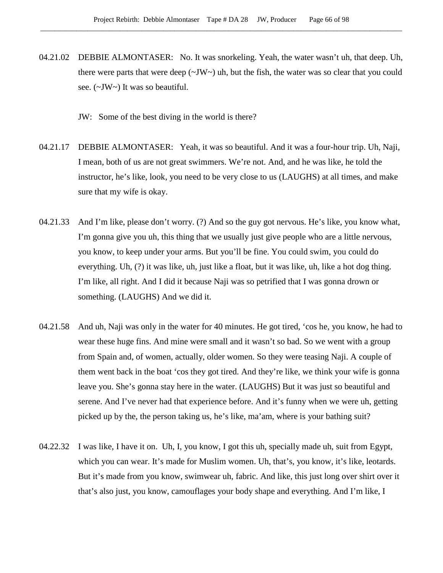04.21.02 DEBBIE ALMONTASER: No. It was snorkeling. Yeah, the water wasn't uh, that deep. Uh, there were parts that were deep  $(\sim JW)$  uh, but the fish, the water was so clear that you could see. (~JW~) It was so beautiful.

JW: Some of the best diving in the world is there?

- 04.21.17 DEBBIE ALMONTASER: Yeah, it was so beautiful. And it was a four-hour trip. Uh, Naji, I mean, both of us are not great swimmers. We're not. And, and he was like, he told the instructor, he's like, look, you need to be very close to us (LAUGHS) at all times, and make sure that my wife is okay.
- 04.21.33 And I'm like, please don't worry. (?) And so the guy got nervous. He's like, you know what, I'm gonna give you uh, this thing that we usually just give people who are a little nervous, you know, to keep under your arms. But you'll be fine. You could swim, you could do everything. Uh, (?) it was like, uh, just like a float, but it was like, uh, like a hot dog thing. I'm like, all right. And I did it because Naji was so petrified that I was gonna drown or something. (LAUGHS) And we did it.
- 04.21.58 And uh, Naji was only in the water for 40 minutes. He got tired, 'cos he, you know, he had to wear these huge fins. And mine were small and it wasn't so bad. So we went with a group from Spain and, of women, actually, older women. So they were teasing Naji. A couple of them went back in the boat 'cos they got tired. And they're like, we think your wife is gonna leave you. She's gonna stay here in the water. (LAUGHS) But it was just so beautiful and serene. And I've never had that experience before. And it's funny when we were uh, getting picked up by the, the person taking us, he's like, ma'am, where is your bathing suit?
- 04.22.32 I was like, I have it on. Uh, I, you know, I got this uh, specially made uh, suit from Egypt, which you can wear. It's made for Muslim women. Uh, that's, you know, it's like, leotards. But it's made from you know, swimwear uh, fabric. And like, this just long over shirt over it that's also just, you know, camouflages your body shape and everything. And I'm like, I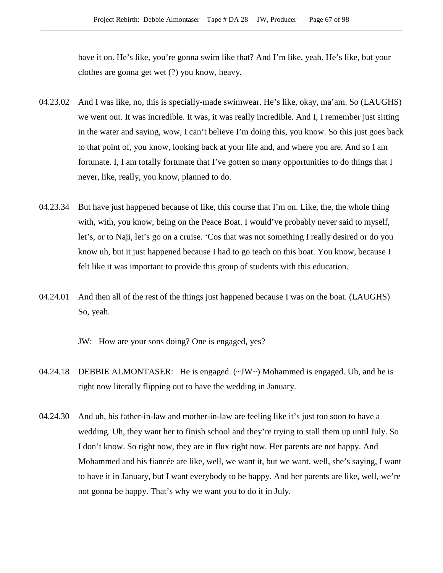have it on. He's like, you're gonna swim like that? And I'm like, yeah. He's like, but your clothes are gonna get wet (?) you know, heavy.

- 04.23.02 And I was like, no, this is specially-made swimwear. He's like, okay, ma'am. So (LAUGHS) we went out. It was incredible. It was, it was really incredible. And I, I remember just sitting in the water and saying, wow, I can't believe I'm doing this, you know. So this just goes back to that point of, you know, looking back at your life and, and where you are. And so I am fortunate. I, I am totally fortunate that I've gotten so many opportunities to do things that I never, like, really, you know, planned to do.
- 04.23.34 But have just happened because of like, this course that I'm on. Like, the, the whole thing with, with, you know, being on the Peace Boat. I would've probably never said to myself, let's, or to Naji, let's go on a cruise. 'Cos that was not something I really desired or do you know uh, but it just happened because I had to go teach on this boat. You know, because I felt like it was important to provide this group of students with this education.
- 04.24.01 And then all of the rest of the things just happened because I was on the boat. (LAUGHS) So, yeah.

JW: How are your sons doing? One is engaged, yes?

- 04.24.18 DEBBIE ALMONTASER: He is engaged. (~JW~) Mohammed is engaged. Uh, and he is right now literally flipping out to have the wedding in January.
- 04.24.30 And uh, his father-in-law and mother-in-law are feeling like it's just too soon to have a wedding. Uh, they want her to finish school and they're trying to stall them up until July. So I don't know. So right now, they are in flux right now. Her parents are not happy. And Mohammed and his fiancée are like, well, we want it, but we want, well, she's saying, I want to have it in January, but I want everybody to be happy. And her parents are like, well, we're not gonna be happy. That's why we want you to do it in July.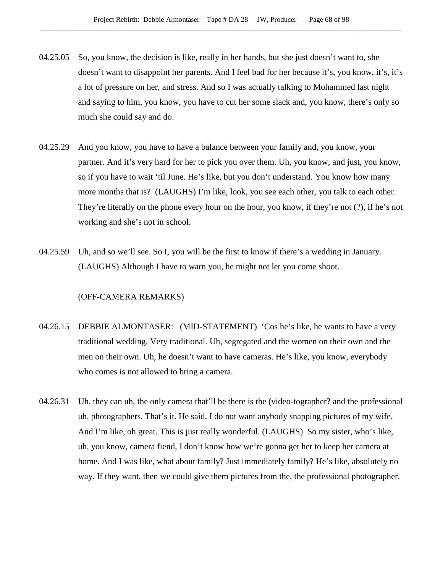- 04.25.05 So, you know, the decision is like, really in her hands, but she just doesn't want to, she doesn't want to disappoint her parents. And I feel bad for her because it's, you know, it's, it's a lot of pressure on her, and stress. And so I was actually talking to Mohammed last night and saying to him, you know, you have to cut her some slack and, you know, there's only so much she could say and do.
- 04.25.29 And you know, you have to have a balance between your family and, you know, your partner. And it's very hard for her to pick you over them. Uh, you know, and just, you know, so if you have to wait 'til June. He's like, but you don't understand. You know how many more months that is? (LAUGHS) I'm like, look, you see each other, you talk to each other. They're literally on the phone every hour on the hour, you know, if they're not (?), if he's not working and she's not in school.
- 04.25.59 Uh, and so we'll see. So I, you will be the first to know if there's a wedding in January. (LAUGHS) Although I have to warn you, he might not let you come shoot.

### (OFF-CAMERA REMARKS)

- 04.26.15 DEBBIE ALMONTASER: (MID-STATEMENT) 'Cos he's like, he wants to have a very traditional wedding. Very traditional. Uh, segregated and the women on their own and the men on their own. Uh, he doesn't want to have cameras. He's like, you know, everybody who comes is not allowed to bring a camera.
- 04.26.31 Uh, they can uh, the only camera that'll be there is the (video-tographer? and the professional uh, photographers. That's it. He said, I do not want anybody snapping pictures of my wife. And I'm like, oh great. This is just really wonderful. (LAUGHS) So my sister, who's like, uh, you know, camera fiend, I don't know how we're gonna get her to keep her camera at home. And I was like, what about family? Just immediately family? He's like, absolutely no way. If they want, then we could give them pictures from the, the professional photographer.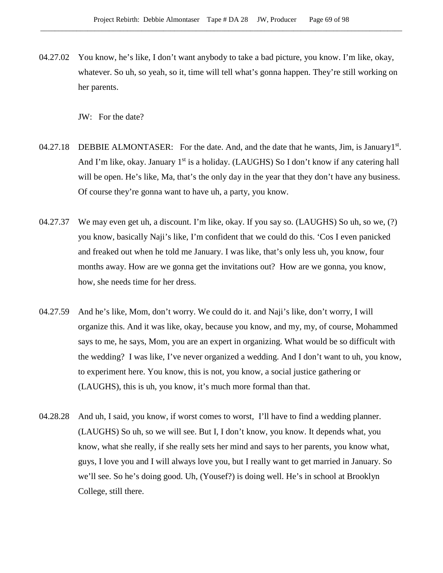04.27.02 You know, he's like, I don't want anybody to take a bad picture, you know. I'm like, okay, whatever. So uh, so yeah, so it, time will tell what's gonna happen. They're still working on her parents.

JW: For the date?

- 04.27.18 DEBBIE ALMONTASER: For the date. And, and the date that he wants, Jim, is January1<sup>st</sup>. And I'm like, okay. January 1<sup>st</sup> is a holiday. (LAUGHS) So I don't know if any catering hall will be open. He's like, Ma, that's the only day in the year that they don't have any business. Of course they're gonna want to have uh, a party, you know.
- 04.27.37 We may even get uh, a discount. I'm like, okay. If you say so. (LAUGHS) So uh, so we, (?) you know, basically Naji's like, I'm confident that we could do this. 'Cos I even panicked and freaked out when he told me January. I was like, that's only less uh, you know, four months away. How are we gonna get the invitations out? How are we gonna, you know, how, she needs time for her dress.
- 04.27.59 And he's like, Mom, don't worry. We could do it. and Naji's like, don't worry, I will organize this. And it was like, okay, because you know, and my, my, of course, Mohammed says to me, he says, Mom, you are an expert in organizing. What would be so difficult with the wedding? I was like, I've never organized a wedding. And I don't want to uh, you know, to experiment here. You know, this is not, you know, a social justice gathering or (LAUGHS), this is uh, you know, it's much more formal than that.
- 04.28.28 And uh, I said, you know, if worst comes to worst, I'll have to find a wedding planner. (LAUGHS) So uh, so we will see. But I, I don't know, you know. It depends what, you know, what she really, if she really sets her mind and says to her parents, you know what, guys, I love you and I will always love you, but I really want to get married in January. So we'll see. So he's doing good. Uh, (Yousef?) is doing well. He's in school at Brooklyn College, still there.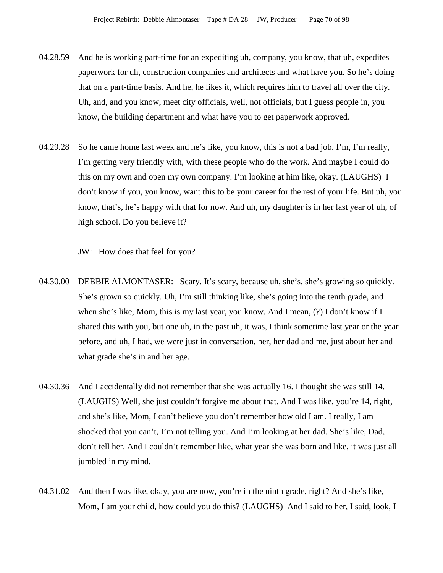- 04.28.59 And he is working part-time for an expediting uh, company, you know, that uh, expedites paperwork for uh, construction companies and architects and what have you. So he's doing that on a part-time basis. And he, he likes it, which requires him to travel all over the city. Uh, and, and you know, meet city officials, well, not officials, but I guess people in, you know, the building department and what have you to get paperwork approved.
- 04.29.28 So he came home last week and he's like, you know, this is not a bad job. I'm, I'm really, I'm getting very friendly with, with these people who do the work. And maybe I could do this on my own and open my own company. I'm looking at him like, okay. (LAUGHS) I don't know if you, you know, want this to be your career for the rest of your life. But uh, you know, that's, he's happy with that for now. And uh, my daughter is in her last year of uh, of high school. Do you believe it?

JW: How does that feel for you?

- 04.30.00 DEBBIE ALMONTASER: Scary. It's scary, because uh, she's, she's growing so quickly. She's grown so quickly. Uh, I'm still thinking like, she's going into the tenth grade, and when she's like, Mom, this is my last year, you know. And I mean, (?) I don't know if I shared this with you, but one uh, in the past uh, it was, I think sometime last year or the year before, and uh, I had, we were just in conversation, her, her dad and me, just about her and what grade she's in and her age.
- 04.30.36 And I accidentally did not remember that she was actually 16. I thought she was still 14. (LAUGHS) Well, she just couldn't forgive me about that. And I was like, you're 14, right, and she's like, Mom, I can't believe you don't remember how old I am. I really, I am shocked that you can't, I'm not telling you. And I'm looking at her dad. She's like, Dad, don't tell her. And I couldn't remember like, what year she was born and like, it was just all jumbled in my mind.
- 04.31.02 And then I was like, okay, you are now, you're in the ninth grade, right? And she's like, Mom, I am your child, how could you do this? (LAUGHS) And I said to her, I said, look, I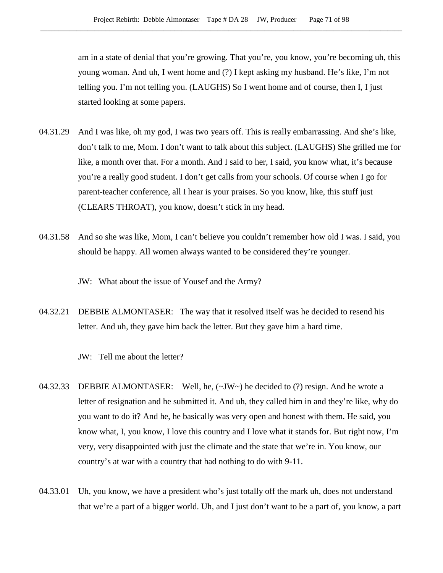am in a state of denial that you're growing. That you're, you know, you're becoming uh, this young woman. And uh, I went home and (?) I kept asking my husband. He's like, I'm not telling you. I'm not telling you. (LAUGHS) So I went home and of course, then I, I just started looking at some papers.

- 04.31.29 And I was like, oh my god, I was two years off. This is really embarrassing. And she's like, don't talk to me, Mom. I don't want to talk about this subject. (LAUGHS) She grilled me for like, a month over that. For a month. And I said to her, I said, you know what, it's because you're a really good student. I don't get calls from your schools. Of course when I go for parent-teacher conference, all I hear is your praises. So you know, like, this stuff just (CLEARS THROAT), you know, doesn't stick in my head.
- 04.31.58 And so she was like, Mom, I can't believe you couldn't remember how old I was. I said, you should be happy. All women always wanted to be considered they're younger.

JW: What about the issue of Yousef and the Army?

04.32.21 DEBBIE ALMONTASER: The way that it resolved itself was he decided to resend his letter. And uh, they gave him back the letter. But they gave him a hard time.

JW: Tell me about the letter?

- 04.32.33 DEBBIE ALMONTASER: Well, he,  $(\sim JW)$  he decided to (?) resign. And he wrote a letter of resignation and he submitted it. And uh, they called him in and they're like, why do you want to do it? And he, he basically was very open and honest with them. He said, you know what, I, you know, I love this country and I love what it stands for. But right now, I'm very, very disappointed with just the climate and the state that we're in. You know, our country's at war with a country that had nothing to do with 9-11.
- 04.33.01 Uh, you know, we have a president who's just totally off the mark uh, does not understand that we're a part of a bigger world. Uh, and I just don't want to be a part of, you know, a part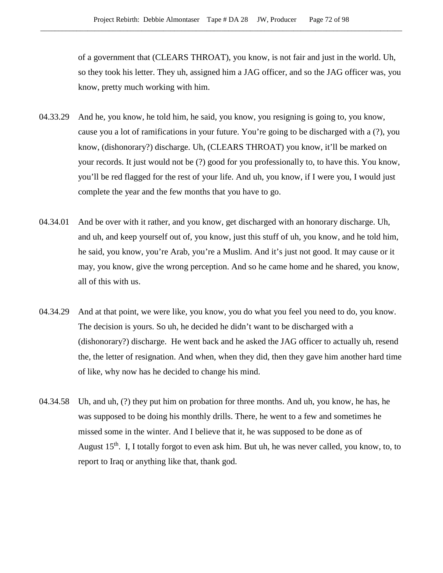of a government that (CLEARS THROAT), you know, is not fair and just in the world. Uh, so they took his letter. They uh, assigned him a JAG officer, and so the JAG officer was, you know, pretty much working with him.

- 04.33.29 And he, you know, he told him, he said, you know, you resigning is going to, you know, cause you a lot of ramifications in your future. You're going to be discharged with a (?), you know, (dishonorary?) discharge. Uh, (CLEARS THROAT) you know, it'll be marked on your records. It just would not be (?) good for you professionally to, to have this. You know, you'll be red flagged for the rest of your life. And uh, you know, if I were you, I would just complete the year and the few months that you have to go.
- 04.34.01 And be over with it rather, and you know, get discharged with an honorary discharge. Uh, and uh, and keep yourself out of, you know, just this stuff of uh, you know, and he told him, he said, you know, you're Arab, you're a Muslim. And it's just not good. It may cause or it may, you know, give the wrong perception. And so he came home and he shared, you know, all of this with us.
- 04.34.29 And at that point, we were like, you know, you do what you feel you need to do, you know. The decision is yours. So uh, he decided he didn't want to be discharged with a (dishonorary?) discharge. He went back and he asked the JAG officer to actually uh, resend the, the letter of resignation. And when, when they did, then they gave him another hard time of like, why now has he decided to change his mind.
- 04.34.58 Uh, and uh, (?) they put him on probation for three months. And uh, you know, he has, he was supposed to be doing his monthly drills. There, he went to a few and sometimes he missed some in the winter. And I believe that it, he was supposed to be done as of August  $15<sup>th</sup>$ . I, I totally forgot to even ask him. But uh, he was never called, you know, to, to report to Iraq or anything like that, thank god.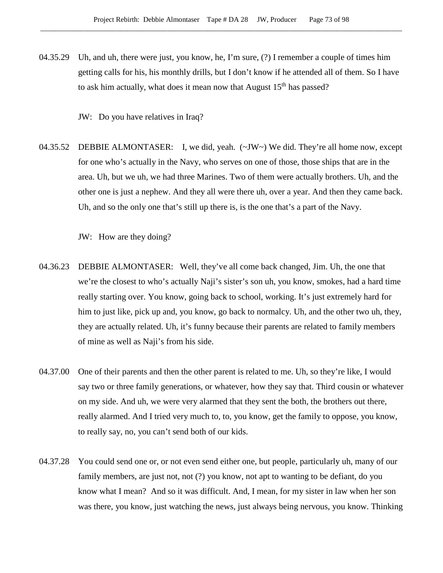04.35.29 Uh, and uh, there were just, you know, he, I'm sure, (?) I remember a couple of times him getting calls for his, his monthly drills, but I don't know if he attended all of them. So I have to ask him actually, what does it mean now that August  $15<sup>th</sup>$  has passed?

JW: Do you have relatives in Iraq?

04.35.52 DEBBIE ALMONTASER: I, we did, yeah. (~JW~) We did. They're all home now, except for one who's actually in the Navy, who serves on one of those, those ships that are in the area. Uh, but we uh, we had three Marines. Two of them were actually brothers. Uh, and the other one is just a nephew. And they all were there uh, over a year. And then they came back. Uh, and so the only one that's still up there is, is the one that's a part of the Navy.

JW: How are they doing?

- 04.36.23 DEBBIE ALMONTASER: Well, they've all come back changed, Jim. Uh, the one that we're the closest to who's actually Naji's sister's son uh, you know, smokes, had a hard time really starting over. You know, going back to school, working. It's just extremely hard for him to just like, pick up and, you know, go back to normalcy. Uh, and the other two uh, they, they are actually related. Uh, it's funny because their parents are related to family members of mine as well as Naji's from his side.
- 04.37.00 One of their parents and then the other parent is related to me. Uh, so they're like, I would say two or three family generations, or whatever, how they say that. Third cousin or whatever on my side. And uh, we were very alarmed that they sent the both, the brothers out there, really alarmed. And I tried very much to, to, you know, get the family to oppose, you know, to really say, no, you can't send both of our kids.
- 04.37.28 You could send one or, or not even send either one, but people, particularly uh, many of our family members, are just not, not (?) you know, not apt to wanting to be defiant, do you know what I mean? And so it was difficult. And, I mean, for my sister in law when her son was there, you know, just watching the news, just always being nervous, you know. Thinking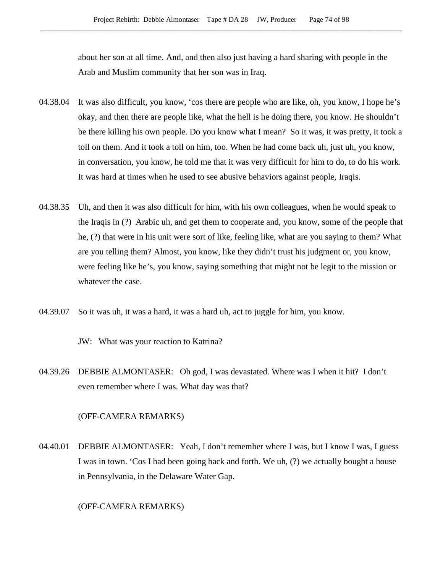about her son at all time. And, and then also just having a hard sharing with people in the Arab and Muslim community that her son was in Iraq.

- 04.38.04 It was also difficult, you know, 'cos there are people who are like, oh, you know, I hope he's okay, and then there are people like, what the hell is he doing there, you know. He shouldn't be there killing his own people. Do you know what I mean? So it was, it was pretty, it took a toll on them. And it took a toll on him, too. When he had come back uh, just uh, you know, in conversation, you know, he told me that it was very difficult for him to do, to do his work. It was hard at times when he used to see abusive behaviors against people, Iraqis.
- 04.38.35 Uh, and then it was also difficult for him, with his own colleagues, when he would speak to the Iraqis in (?) Arabic uh, and get them to cooperate and, you know, some of the people that he, (?) that were in his unit were sort of like, feeling like, what are you saying to them? What are you telling them? Almost, you know, like they didn't trust his judgment or, you know, were feeling like he's, you know, saying something that might not be legit to the mission or whatever the case.
- 04.39.07 So it was uh, it was a hard, it was a hard uh, act to juggle for him, you know.
	- JW: What was your reaction to Katrina?
- 04.39.26 DEBBIE ALMONTASER: Oh god, I was devastated. Where was I when it hit? I don't even remember where I was. What day was that?

#### (OFF-CAMERA REMARKS)

04.40.01 DEBBIE ALMONTASER: Yeah, I don't remember where I was, but I know I was, I guess I was in town. 'Cos I had been going back and forth. We uh, (?) we actually bought a house in Pennsylvania, in the Delaware Water Gap.

## (OFF-CAMERA REMARKS)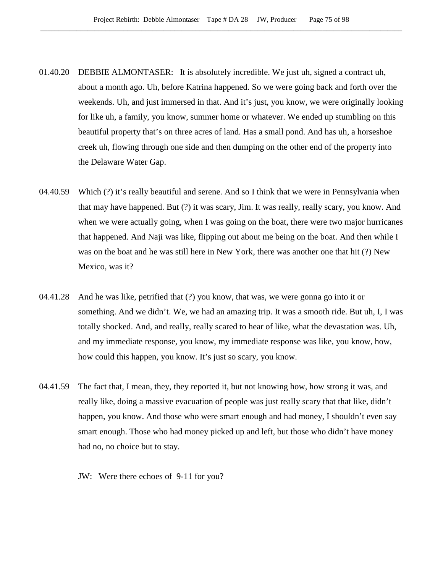- 01.40.20 DEBBIE ALMONTASER: It is absolutely incredible. We just uh, signed a contract uh, about a month ago. Uh, before Katrina happened. So we were going back and forth over the weekends. Uh, and just immersed in that. And it's just, you know, we were originally looking for like uh, a family, you know, summer home or whatever. We ended up stumbling on this beautiful property that's on three acres of land. Has a small pond. And has uh, a horseshoe creek uh, flowing through one side and then dumping on the other end of the property into the Delaware Water Gap.
- 04.40.59 Which (?) it's really beautiful and serene. And so I think that we were in Pennsylvania when that may have happened. But (?) it was scary, Jim. It was really, really scary, you know. And when we were actually going, when I was going on the boat, there were two major hurricanes that happened. And Naji was like, flipping out about me being on the boat. And then while I was on the boat and he was still here in New York, there was another one that hit (?) New Mexico, was it?
- 04.41.28 And he was like, petrified that (?) you know, that was, we were gonna go into it or something. And we didn't. We, we had an amazing trip. It was a smooth ride. But uh, I, I was totally shocked. And, and really, really scared to hear of like, what the devastation was. Uh, and my immediate response, you know, my immediate response was like, you know, how, how could this happen, you know. It's just so scary, you know.
- 04.41.59 The fact that, I mean, they, they reported it, but not knowing how, how strong it was, and really like, doing a massive evacuation of people was just really scary that that like, didn't happen, you know. And those who were smart enough and had money, I shouldn't even say smart enough. Those who had money picked up and left, but those who didn't have money had no, no choice but to stay.
	- JW: Were there echoes of 9-11 for you?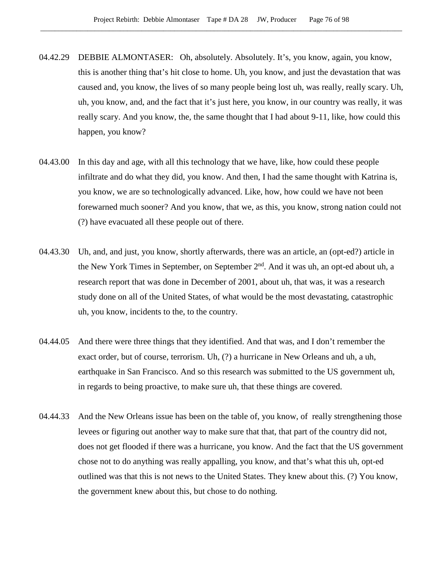- 04.42.29 DEBBIE ALMONTASER: Oh, absolutely. Absolutely. It's, you know, again, you know, this is another thing that's hit close to home. Uh, you know, and just the devastation that was caused and, you know, the lives of so many people being lost uh, was really, really scary. Uh, uh, you know, and, and the fact that it's just here, you know, in our country was really, it was really scary. And you know, the, the same thought that I had about 9-11, like, how could this happen, you know?
- 04.43.00 In this day and age, with all this technology that we have, like, how could these people infiltrate and do what they did, you know. And then, I had the same thought with Katrina is, you know, we are so technologically advanced. Like, how, how could we have not been forewarned much sooner? And you know, that we, as this, you know, strong nation could not (?) have evacuated all these people out of there.
- 04.43.30 Uh, and, and just, you know, shortly afterwards, there was an article, an (opt-ed?) article in the New York Times in September, on September  $2<sup>nd</sup>$ . And it was uh, an opt-ed about uh, a research report that was done in December of 2001, about uh, that was, it was a research study done on all of the United States, of what would be the most devastating, catastrophic uh, you know, incidents to the, to the country.
- 04.44.05 And there were three things that they identified. And that was, and I don't remember the exact order, but of course, terrorism. Uh, (?) a hurricane in New Orleans and uh, a uh, earthquake in San Francisco. And so this research was submitted to the US government uh, in regards to being proactive, to make sure uh, that these things are covered.
- 04.44.33 And the New Orleans issue has been on the table of, you know, of really strengthening those levees or figuring out another way to make sure that that, that part of the country did not, does not get flooded if there was a hurricane, you know. And the fact that the US government chose not to do anything was really appalling, you know, and that's what this uh, opt-ed outlined was that this is not news to the United States. They knew about this. (?) You know, the government knew about this, but chose to do nothing.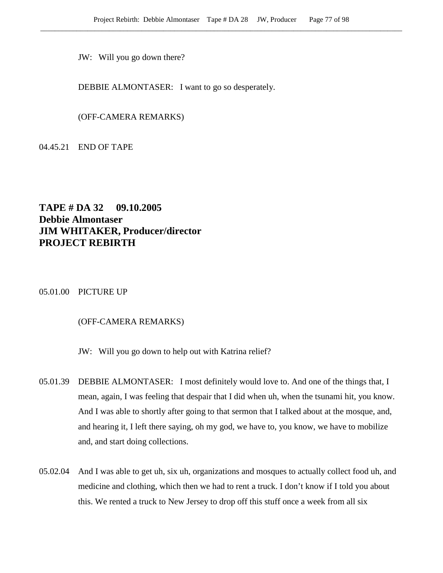JW: Will you go down there?

DEBBIE ALMONTASER: I want to go so desperately.

(OFF-CAMERA REMARKS)

04.45.21 END OF TAPE

## **TAPE # DA 32 09.10.2005 Debbie Almontaser JIM WHITAKER, Producer/director PROJECT REBIRTH**

05.01.00 PICTURE UP

## (OFF-CAMERA REMARKS)

JW: Will you go down to help out with Katrina relief?

- 05.01.39 DEBBIE ALMONTASER: I most definitely would love to. And one of the things that, I mean, again, I was feeling that despair that I did when uh, when the tsunami hit, you know. And I was able to shortly after going to that sermon that I talked about at the mosque, and, and hearing it, I left there saying, oh my god, we have to, you know, we have to mobilize and, and start doing collections.
- 05.02.04 And I was able to get uh, six uh, organizations and mosques to actually collect food uh, and medicine and clothing, which then we had to rent a truck. I don't know if I told you about this. We rented a truck to New Jersey to drop off this stuff once a week from all six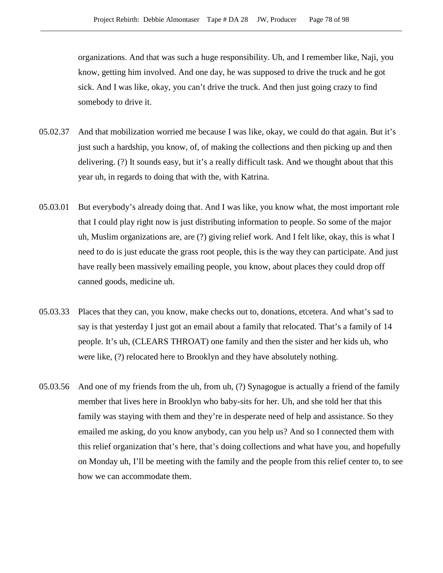organizations. And that was such a huge responsibility. Uh, and I remember like, Naji, you know, getting him involved. And one day, he was supposed to drive the truck and he got sick. And I was like, okay, you can't drive the truck. And then just going crazy to find somebody to drive it.

- 05.02.37 And that mobilization worried me because I was like, okay, we could do that again. But it's just such a hardship, you know, of, of making the collections and then picking up and then delivering. (?) It sounds easy, but it's a really difficult task. And we thought about that this year uh, in regards to doing that with the, with Katrina.
- 05.03.01 But everybody's already doing that. And I was like, you know what, the most important role that I could play right now is just distributing information to people. So some of the major uh, Muslim organizations are, are (?) giving relief work. And I felt like, okay, this is what I need to do is just educate the grass root people, this is the way they can participate. And just have really been massively emailing people, you know, about places they could drop off canned goods, medicine uh.
- 05.03.33 Places that they can, you know, make checks out to, donations, etcetera. And what's sad to say is that yesterday I just got an email about a family that relocated. That's a family of 14 people. It's uh, (CLEARS THROAT) one family and then the sister and her kids uh, who were like, (?) relocated here to Brooklyn and they have absolutely nothing.
- 05.03.56 And one of my friends from the uh, from uh, (?) Synagogue is actually a friend of the family member that lives here in Brooklyn who baby-sits for her. Uh, and she told her that this family was staying with them and they're in desperate need of help and assistance. So they emailed me asking, do you know anybody, can you help us? And so I connected them with this relief organization that's here, that's doing collections and what have you, and hopefully on Monday uh, I'll be meeting with the family and the people from this relief center to, to see how we can accommodate them.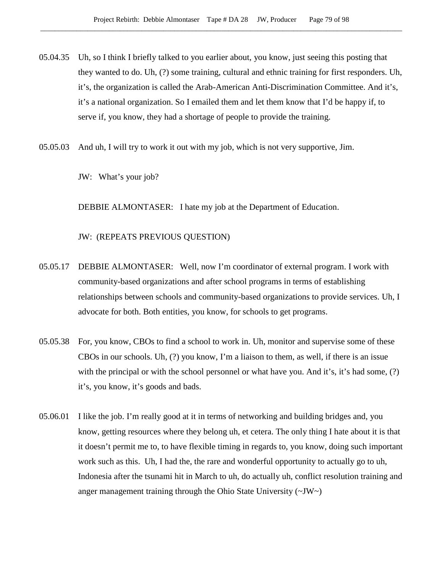- 05.04.35 Uh, so I think I briefly talked to you earlier about, you know, just seeing this posting that they wanted to do. Uh, (?) some training, cultural and ethnic training for first responders. Uh, it's, the organization is called the Arab-American Anti-Discrimination Committee. And it's, it's a national organization. So I emailed them and let them know that I'd be happy if, to serve if, you know, they had a shortage of people to provide the training.
- 05.05.03 And uh, I will try to work it out with my job, which is not very supportive, Jim.
	- JW: What's your job?

DEBBIE ALMONTASER: I hate my job at the Department of Education.

JW: (REPEATS PREVIOUS QUESTION)

- 05.05.17 DEBBIE ALMONTASER: Well, now I'm coordinator of external program. I work with community-based organizations and after school programs in terms of establishing relationships between schools and community-based organizations to provide services. Uh, I advocate for both. Both entities, you know, for schools to get programs.
- 05.05.38 For, you know, CBOs to find a school to work in. Uh, monitor and supervise some of these CBOs in our schools. Uh, (?) you know, I'm a liaison to them, as well, if there is an issue with the principal or with the school personnel or what have you. And it's, it's had some, (?) it's, you know, it's goods and bads.
- 05.06.01 I like the job. I'm really good at it in terms of networking and building bridges and, you know, getting resources where they belong uh, et cetera. The only thing I hate about it is that it doesn't permit me to, to have flexible timing in regards to, you know, doing such important work such as this. Uh, I had the, the rare and wonderful opportunity to actually go to uh, Indonesia after the tsunami hit in March to uh, do actually uh, conflict resolution training and anger management training through the Ohio State University (~JW~)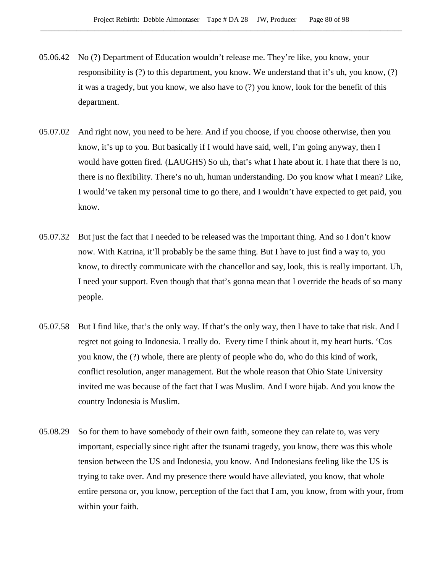- 05.06.42 No (?) Department of Education wouldn't release me. They're like, you know, your responsibility is (?) to this department, you know. We understand that it's uh, you know, (?) it was a tragedy, but you know, we also have to (?) you know, look for the benefit of this department.
- 05.07.02 And right now, you need to be here. And if you choose, if you choose otherwise, then you know, it's up to you. But basically if I would have said, well, I'm going anyway, then I would have gotten fired. (LAUGHS) So uh, that's what I hate about it. I hate that there is no, there is no flexibility. There's no uh, human understanding. Do you know what I mean? Like, I would've taken my personal time to go there, and I wouldn't have expected to get paid, you know.
- 05.07.32 But just the fact that I needed to be released was the important thing. And so I don't know now. With Katrina, it'll probably be the same thing. But I have to just find a way to, you know, to directly communicate with the chancellor and say, look, this is really important. Uh, I need your support. Even though that that's gonna mean that I override the heads of so many people.
- 05.07.58 But I find like, that's the only way. If that's the only way, then I have to take that risk. And I regret not going to Indonesia. I really do. Every time I think about it, my heart hurts. 'Cos you know, the (?) whole, there are plenty of people who do, who do this kind of work, conflict resolution, anger management. But the whole reason that Ohio State University invited me was because of the fact that I was Muslim. And I wore hijab. And you know the country Indonesia is Muslim.
- 05.08.29 So for them to have somebody of their own faith, someone they can relate to, was very important, especially since right after the tsunami tragedy, you know, there was this whole tension between the US and Indonesia, you know. And Indonesians feeling like the US is trying to take over. And my presence there would have alleviated, you know, that whole entire persona or, you know, perception of the fact that I am, you know, from with your, from within your faith.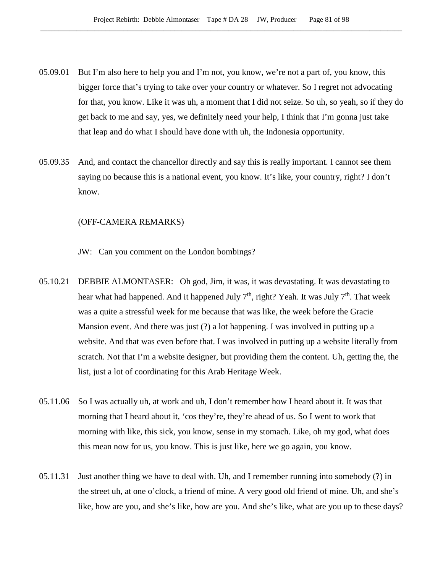- 05.09.01 But I'm also here to help you and I'm not, you know, we're not a part of, you know, this bigger force that's trying to take over your country or whatever. So I regret not advocating for that, you know. Like it was uh, a moment that I did not seize. So uh, so yeah, so if they do get back to me and say, yes, we definitely need your help, I think that I'm gonna just take that leap and do what I should have done with uh, the Indonesia opportunity.
- 05.09.35 And, and contact the chancellor directly and say this is really important. I cannot see them saying no because this is a national event, you know. It's like, your country, right? I don't know.

#### (OFF-CAMERA REMARKS)

- JW: Can you comment on the London bombings?
- 05.10.21 DEBBIE ALMONTASER: Oh god, Jim, it was, it was devastating. It was devastating to hear what had happened. And it happened July  $7<sup>th</sup>$ , right? Yeah. It was July  $7<sup>th</sup>$ . That week was a quite a stressful week for me because that was like, the week before the Gracie Mansion event. And there was just (?) a lot happening. I was involved in putting up a website. And that was even before that. I was involved in putting up a website literally from scratch. Not that I'm a website designer, but providing them the content. Uh, getting the, the list, just a lot of coordinating for this Arab Heritage Week.
- 05.11.06 So I was actually uh, at work and uh, I don't remember how I heard about it. It was that morning that I heard about it, 'cos they're, they're ahead of us. So I went to work that morning with like, this sick, you know, sense in my stomach. Like, oh my god, what does this mean now for us, you know. This is just like, here we go again, you know.
- 05.11.31 Just another thing we have to deal with. Uh, and I remember running into somebody (?) in the street uh, at one o'clock, a friend of mine. A very good old friend of mine. Uh, and she's like, how are you, and she's like, how are you. And she's like, what are you up to these days?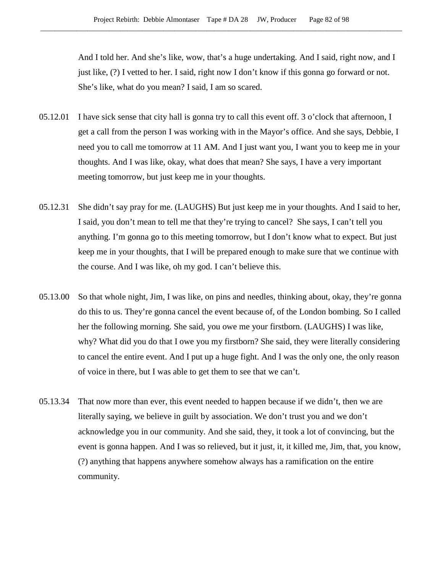And I told her. And she's like, wow, that's a huge undertaking. And I said, right now, and I just like, (?) I vetted to her. I said, right now I don't know if this gonna go forward or not. She's like, what do you mean? I said, I am so scared.

- 05.12.01 I have sick sense that city hall is gonna try to call this event off. 3 o'clock that afternoon, I get a call from the person I was working with in the Mayor's office. And she says, Debbie, I need you to call me tomorrow at 11 AM. And I just want you, I want you to keep me in your thoughts. And I was like, okay, what does that mean? She says, I have a very important meeting tomorrow, but just keep me in your thoughts.
- 05.12.31 She didn't say pray for me. (LAUGHS) But just keep me in your thoughts. And I said to her, I said, you don't mean to tell me that they're trying to cancel? She says, I can't tell you anything. I'm gonna go to this meeting tomorrow, but I don't know what to expect. But just keep me in your thoughts, that I will be prepared enough to make sure that we continue with the course. And I was like, oh my god. I can't believe this.
- 05.13.00 So that whole night, Jim, I was like, on pins and needles, thinking about, okay, they're gonna do this to us. They're gonna cancel the event because of, of the London bombing. So I called her the following morning. She said, you owe me your firstborn. (LAUGHS) I was like, why? What did you do that I owe you my firstborn? She said, they were literally considering to cancel the entire event. And I put up a huge fight. And I was the only one, the only reason of voice in there, but I was able to get them to see that we can't.
- 05.13.34 That now more than ever, this event needed to happen because if we didn't, then we are literally saying, we believe in guilt by association. We don't trust you and we don't acknowledge you in our community. And she said, they, it took a lot of convincing, but the event is gonna happen. And I was so relieved, but it just, it, it killed me, Jim, that, you know, (?) anything that happens anywhere somehow always has a ramification on the entire community.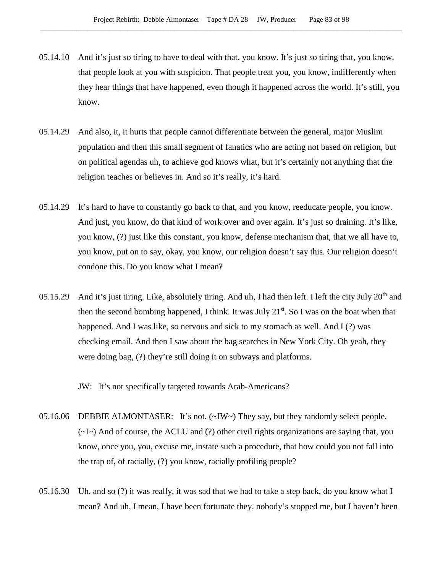- 05.14.10 And it's just so tiring to have to deal with that, you know. It's just so tiring that, you know, that people look at you with suspicion. That people treat you, you know, indifferently when they hear things that have happened, even though it happened across the world. It's still, you know.
- 05.14.29 And also, it, it hurts that people cannot differentiate between the general, major Muslim population and then this small segment of fanatics who are acting not based on religion, but on political agendas uh, to achieve god knows what, but it's certainly not anything that the religion teaches or believes in. And so it's really, it's hard.
- 05.14.29 It's hard to have to constantly go back to that, and you know, reeducate people, you know. And just, you know, do that kind of work over and over again. It's just so draining. It's like, you know, (?) just like this constant, you know, defense mechanism that, that we all have to, you know, put on to say, okay, you know, our religion doesn't say this. Our religion doesn't condone this. Do you know what I mean?
- 05.15.29 And it's just tiring. Like, absolutely tiring. And uh, I had then left. I left the city July  $20<sup>th</sup>$  and then the second bombing happened, I think. It was July  $21^{st}$ . So I was on the boat when that happened. And I was like, so nervous and sick to my stomach as well. And I (?) was checking email. And then I saw about the bag searches in New York City. Oh yeah, they were doing bag, (?) they're still doing it on subways and platforms.

JW: It's not specifically targeted towards Arab-Americans?

- 05.16.06 DEBBIE ALMONTASER: It's not. (~JW~) They say, but they randomly select people. (~I~) And of course, the ACLU and (?) other civil rights organizations are saying that, you know, once you, you, excuse me, instate such a procedure, that how could you not fall into the trap of, of racially, (?) you know, racially profiling people?
- 05.16.30 Uh, and so (?) it was really, it was sad that we had to take a step back, do you know what I mean? And uh, I mean, I have been fortunate they, nobody's stopped me, but I haven't been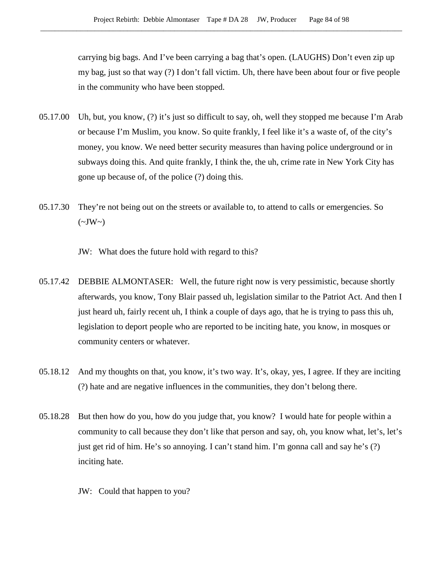carrying big bags. And I've been carrying a bag that's open. (LAUGHS) Don't even zip up my bag, just so that way (?) I don't fall victim. Uh, there have been about four or five people in the community who have been stopped.

- 05.17.00 Uh, but, you know, (?) it's just so difficult to say, oh, well they stopped me because I'm Arab or because I'm Muslim, you know. So quite frankly, I feel like it's a waste of, of the city's money, you know. We need better security measures than having police underground or in subways doing this. And quite frankly, I think the, the uh, crime rate in New York City has gone up because of, of the police (?) doing this.
- 05.17.30 They're not being out on the streets or available to, to attend to calls or emergencies. So  $(\sim JW \sim)$ 
	- JW: What does the future hold with regard to this?
- 05.17.42 DEBBIE ALMONTASER: Well, the future right now is very pessimistic, because shortly afterwards, you know, Tony Blair passed uh, legislation similar to the Patriot Act. And then I just heard uh, fairly recent uh, I think a couple of days ago, that he is trying to pass this uh, legislation to deport people who are reported to be inciting hate, you know, in mosques or community centers or whatever.
- 05.18.12 And my thoughts on that, you know, it's two way. It's, okay, yes, I agree. If they are inciting (?) hate and are negative influences in the communities, they don't belong there.
- 05.18.28 But then how do you, how do you judge that, you know? I would hate for people within a community to call because they don't like that person and say, oh, you know what, let's, let's just get rid of him. He's so annoying. I can't stand him. I'm gonna call and say he's (?) inciting hate.
	- JW: Could that happen to you?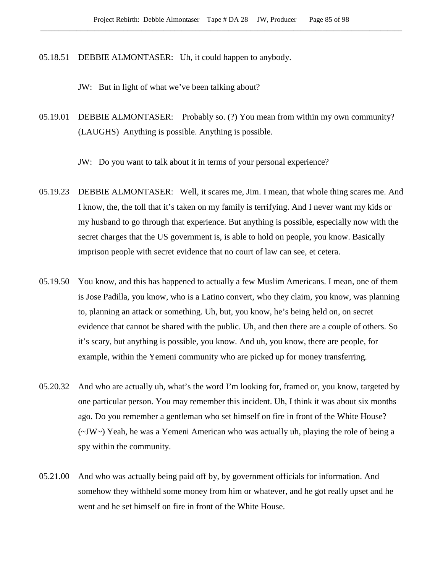05.18.51 DEBBIE ALMONTASER: Uh, it could happen to anybody.

JW: But in light of what we've been talking about?

05.19.01 DEBBIE ALMONTASER: Probably so. (?) You mean from within my own community? (LAUGHS) Anything is possible. Anything is possible.

JW: Do you want to talk about it in terms of your personal experience?

- 05.19.23 DEBBIE ALMONTASER: Well, it scares me, Jim. I mean, that whole thing scares me. And I know, the, the toll that it's taken on my family is terrifying. And I never want my kids or my husband to go through that experience. But anything is possible, especially now with the secret charges that the US government is, is able to hold on people, you know. Basically imprison people with secret evidence that no court of law can see, et cetera.
- 05.19.50 You know, and this has happened to actually a few Muslim Americans. I mean, one of them is Jose Padilla, you know, who is a Latino convert, who they claim, you know, was planning to, planning an attack or something. Uh, but, you know, he's being held on, on secret evidence that cannot be shared with the public. Uh, and then there are a couple of others. So it's scary, but anything is possible, you know. And uh, you know, there are people, for example, within the Yemeni community who are picked up for money transferring.
- 05.20.32 And who are actually uh, what's the word I'm looking for, framed or, you know, targeted by one particular person. You may remember this incident. Uh, I think it was about six months ago. Do you remember a gentleman who set himself on fire in front of the White House? (~JW~) Yeah, he was a Yemeni American who was actually uh, playing the role of being a spy within the community.
- 05.21.00 And who was actually being paid off by, by government officials for information. And somehow they withheld some money from him or whatever, and he got really upset and he went and he set himself on fire in front of the White House.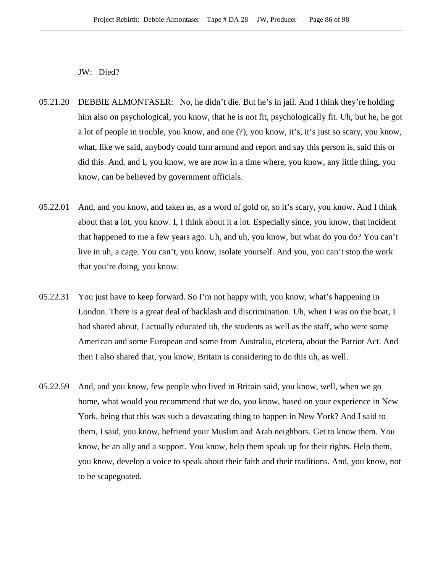JW: Died?

- 05.21.20 DEBBIE ALMONTASER: No, he didn't die. But he's in jail. And I think they're holding him also on psychological, you know, that he is not fit, psychologically fit. Uh, but he, he got a lot of people in trouble, you know, and one (?), you know, it's, it's just so scary, you know, what, like we said, anybody could turn around and report and say this person is, said this or did this. And, and I, you know, we are now in a time where, you know, any little thing, you know, can be believed by government officials.
- 05.22.01 And, and you know, and taken as, as a word of gold or, so it's scary, you know. And I think about that a lot, you know. I, I think about it a lot. Especially since, you know, that incident that happened to me a few years ago. Uh, and uh, you know, but what do you do? You can't live in uh, a cage. You can't, you know, isolate yourself. And you, you can't stop the work that you're doing, you know.
- 05.22.31 You just have to keep forward. So I'm not happy with, you know, what's happening in London. There is a great deal of backlash and discrimination. Uh, when I was on the boat, I had shared about, I actually educated uh, the students as well as the staff, who were some American and some European and some from Australia, etcetera, about the Patriot Act. And then I also shared that, you know, Britain is considering to do this uh, as well.
- 05.22.59 And, and you know, few people who lived in Britain said, you know, well, when we go home, what would you recommend that we do, you know, based on your experience in New York, being that this was such a devastating thing to happen in New York? And I said to them, I said, you know, befriend your Muslim and Arab neighbors. Get to know them. You know, be an ally and a support. You know, help them speak up for their rights. Help them, you know, develop a voice to speak about their faith and their traditions. And, you know, not to be scapegoated.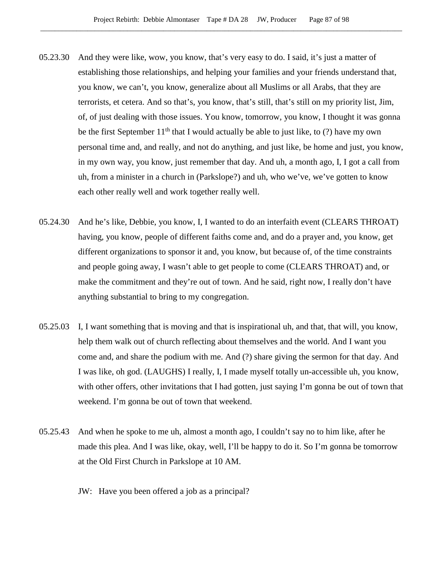- 05.23.30 And they were like, wow, you know, that's very easy to do. I said, it's just a matter of establishing those relationships, and helping your families and your friends understand that, you know, we can't, you know, generalize about all Muslims or all Arabs, that they are terrorists, et cetera. And so that's, you know, that's still, that's still on my priority list, Jim, of, of just dealing with those issues. You know, tomorrow, you know, I thought it was gonna be the first September  $11<sup>th</sup>$  that I would actually be able to just like, to (?) have my own personal time and, and really, and not do anything, and just like, be home and just, you know, in my own way, you know, just remember that day. And uh, a month ago, I, I got a call from uh, from a minister in a church in (Parkslope?) and uh, who we've, we've gotten to know each other really well and work together really well.
- 05.24.30 And he's like, Debbie, you know, I, I wanted to do an interfaith event (CLEARS THROAT) having, you know, people of different faiths come and, and do a prayer and, you know, get different organizations to sponsor it and, you know, but because of, of the time constraints and people going away, I wasn't able to get people to come (CLEARS THROAT) and, or make the commitment and they're out of town. And he said, right now, I really don't have anything substantial to bring to my congregation.
- 05.25.03 I, I want something that is moving and that is inspirational uh, and that, that will, you know, help them walk out of church reflecting about themselves and the world. And I want you come and, and share the podium with me. And (?) share giving the sermon for that day. And I was like, oh god. (LAUGHS) I really, I, I made myself totally un-accessible uh, you know, with other offers, other invitations that I had gotten, just saying I'm gonna be out of town that weekend. I'm gonna be out of town that weekend.
- 05.25.43 And when he spoke to me uh, almost a month ago, I couldn't say no to him like, after he made this plea. And I was like, okay, well, I'll be happy to do it. So I'm gonna be tomorrow at the Old First Church in Parkslope at 10 AM.
	- JW: Have you been offered a job as a principal?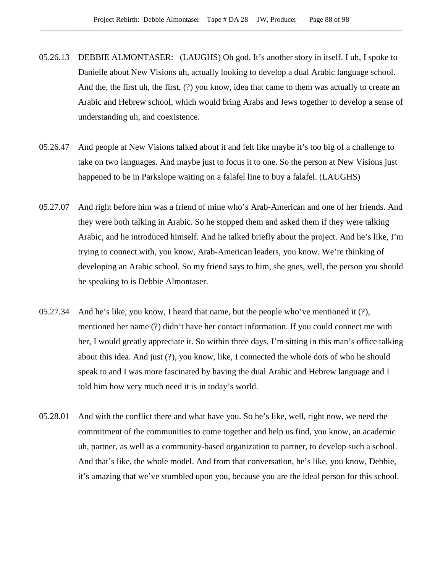- 05.26.13 DEBBIE ALMONTASER: (LAUGHS) Oh god. It's another story in itself. I uh, I spoke to Danielle about New Visions uh, actually looking to develop a dual Arabic language school. And the, the first uh, the first, (?) you know, idea that came to them was actually to create an Arabic and Hebrew school, which would bring Arabs and Jews together to develop a sense of understanding uh, and coexistence.
- 05.26.47 And people at New Visions talked about it and felt like maybe it's too big of a challenge to take on two languages. And maybe just to focus it to one. So the person at New Visions just happened to be in Parkslope waiting on a falafel line to buy a falafel. (LAUGHS)
- 05.27.07 And right before him was a friend of mine who's Arab-American and one of her friends. And they were both talking in Arabic. So he stopped them and asked them if they were talking Arabic, and he introduced himself. And he talked briefly about the project. And he's like, I'm trying to connect with, you know, Arab-American leaders, you know. We're thinking of developing an Arabic school. So my friend says to him, she goes, well, the person you should be speaking to is Debbie Almontaser.
- 05.27.34 And he's like, you know, I heard that name, but the people who've mentioned it (?), mentioned her name (?) didn't have her contact information. If you could connect me with her, I would greatly appreciate it. So within three days, I'm sitting in this man's office talking about this idea. And just (?), you know, like, I connected the whole dots of who he should speak to and I was more fascinated by having the dual Arabic and Hebrew language and I told him how very much need it is in today's world.
- 05.28.01 And with the conflict there and what have you. So he's like, well, right now, we need the commitment of the communities to come together and help us find, you know, an academic uh, partner, as well as a community-based organization to partner, to develop such a school. And that's like, the whole model. And from that conversation, he's like, you know, Debbie, it's amazing that we've stumbled upon you, because you are the ideal person for this school.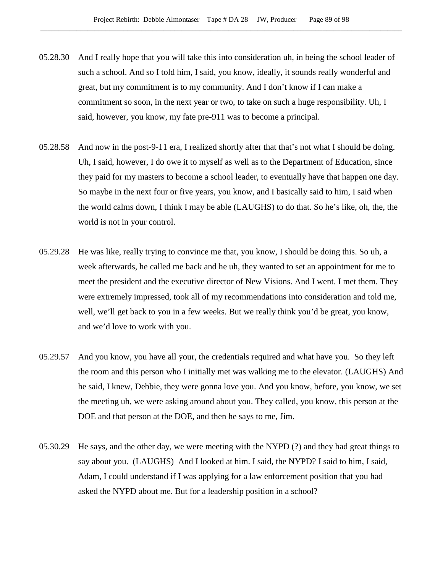- 05.28.30 And I really hope that you will take this into consideration uh, in being the school leader of such a school. And so I told him, I said, you know, ideally, it sounds really wonderful and great, but my commitment is to my community. And I don't know if I can make a commitment so soon, in the next year or two, to take on such a huge responsibility. Uh, I said, however, you know, my fate pre-911 was to become a principal.
- 05.28.58 And now in the post-9-11 era, I realized shortly after that that's not what I should be doing. Uh, I said, however, I do owe it to myself as well as to the Department of Education, since they paid for my masters to become a school leader, to eventually have that happen one day. So maybe in the next four or five years, you know, and I basically said to him, I said when the world calms down, I think I may be able (LAUGHS) to do that. So he's like, oh, the, the world is not in your control.
- 05.29.28 He was like, really trying to convince me that, you know, I should be doing this. So uh, a week afterwards, he called me back and he uh, they wanted to set an appointment for me to meet the president and the executive director of New Visions. And I went. I met them. They were extremely impressed, took all of my recommendations into consideration and told me, well, we'll get back to you in a few weeks. But we really think you'd be great, you know, and we'd love to work with you.
- 05.29.57 And you know, you have all your, the credentials required and what have you. So they left the room and this person who I initially met was walking me to the elevator. (LAUGHS) And he said, I knew, Debbie, they were gonna love you. And you know, before, you know, we set the meeting uh, we were asking around about you. They called, you know, this person at the DOE and that person at the DOE, and then he says to me, Jim.
- 05.30.29 He says, and the other day, we were meeting with the NYPD (?) and they had great things to say about you. (LAUGHS) And I looked at him. I said, the NYPD? I said to him, I said, Adam, I could understand if I was applying for a law enforcement position that you had asked the NYPD about me. But for a leadership position in a school?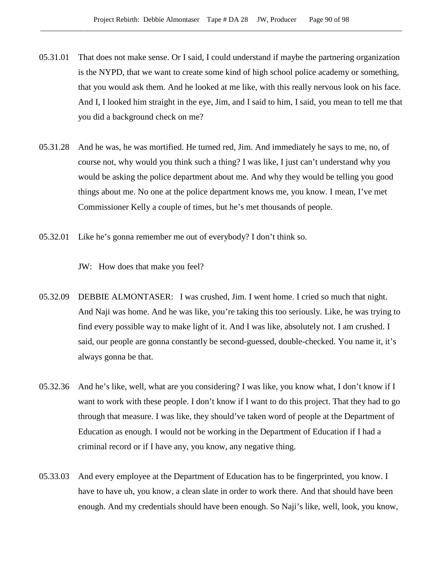- 05.31.01 That does not make sense. Or I said, I could understand if maybe the partnering organization is the NYPD, that we want to create some kind of high school police academy or something, that you would ask them. And he looked at me like, with this really nervous look on his face. And I, I looked him straight in the eye, Jim, and I said to him, I said, you mean to tell me that you did a background check on me?
- 05.31.28 And he was, he was mortified. He turned red, Jim. And immediately he says to me, no, of course not, why would you think such a thing? I was like, I just can't understand why you would be asking the police department about me. And why they would be telling you good things about me. No one at the police department knows me, you know. I mean, I've met Commissioner Kelly a couple of times, but he's met thousands of people.
- 05.32.01 Like he's gonna remember me out of everybody? I don't think so.

JW: How does that make you feel?

- 05.32.09 DEBBIE ALMONTASER: I was crushed, Jim. I went home. I cried so much that night. And Naji was home. And he was like, you're taking this too seriously. Like, he was trying to find every possible way to make light of it. And I was like, absolutely not. I am crushed. I said, our people are gonna constantly be second-guessed, double-checked. You name it, it's always gonna be that.
- 05.32.36 And he's like, well, what are you considering? I was like, you know what, I don't know if I want to work with these people. I don't know if I want to do this project. That they had to go through that measure. I was like, they should've taken word of people at the Department of Education as enough. I would not be working in the Department of Education if I had a criminal record or if I have any, you know, any negative thing.
- 05.33.03 And every employee at the Department of Education has to be fingerprinted, you know. I have to have uh, you know, a clean slate in order to work there. And that should have been enough. And my credentials should have been enough. So Naji's like, well, look, you know,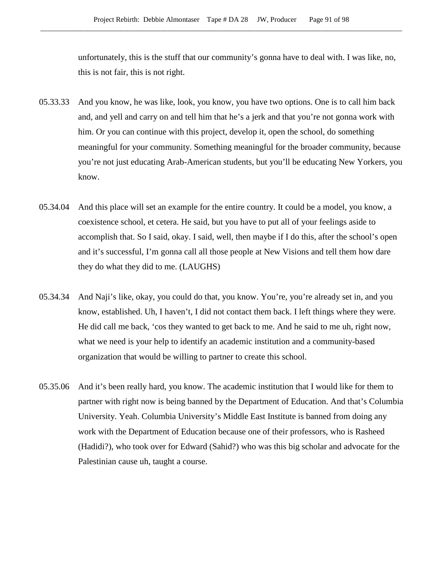unfortunately, this is the stuff that our community's gonna have to deal with. I was like, no, this is not fair, this is not right.

- 05.33.33 And you know, he was like, look, you know, you have two options. One is to call him back and, and yell and carry on and tell him that he's a jerk and that you're not gonna work with him. Or you can continue with this project, develop it, open the school, do something meaningful for your community. Something meaningful for the broader community, because you're not just educating Arab-American students, but you'll be educating New Yorkers, you know.
- 05.34.04 And this place will set an example for the entire country. It could be a model, you know, a coexistence school, et cetera. He said, but you have to put all of your feelings aside to accomplish that. So I said, okay. I said, well, then maybe if I do this, after the school's open and it's successful, I'm gonna call all those people at New Visions and tell them how dare they do what they did to me. (LAUGHS)
- 05.34.34 And Naji's like, okay, you could do that, you know. You're, you're already set in, and you know, established. Uh, I haven't, I did not contact them back. I left things where they were. He did call me back, 'cos they wanted to get back to me. And he said to me uh, right now, what we need is your help to identify an academic institution and a community-based organization that would be willing to partner to create this school.
- 05.35.06 And it's been really hard, you know. The academic institution that I would like for them to partner with right now is being banned by the Department of Education. And that's Columbia University. Yeah. Columbia University's Middle East Institute is banned from doing any work with the Department of Education because one of their professors, who is Rasheed (Hadidi?), who took over for Edward (Sahid?) who was this big scholar and advocate for the Palestinian cause uh, taught a course.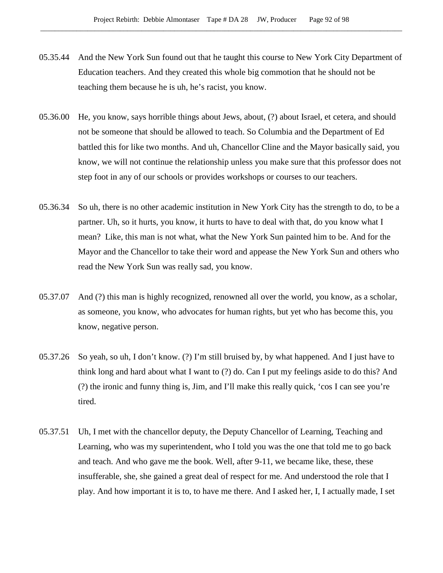- 05.35.44 And the New York Sun found out that he taught this course to New York City Department of Education teachers. And they created this whole big commotion that he should not be teaching them because he is uh, he's racist, you know.
- 05.36.00 He, you know, says horrible things about Jews, about, (?) about Israel, et cetera, and should not be someone that should be allowed to teach. So Columbia and the Department of Ed battled this for like two months. And uh, Chancellor Cline and the Mayor basically said, you know, we will not continue the relationship unless you make sure that this professor does not step foot in any of our schools or provides workshops or courses to our teachers.
- 05.36.34 So uh, there is no other academic institution in New York City has the strength to do, to be a partner. Uh, so it hurts, you know, it hurts to have to deal with that, do you know what I mean? Like, this man is not what, what the New York Sun painted him to be. And for the Mayor and the Chancellor to take their word and appease the New York Sun and others who read the New York Sun was really sad, you know.
- 05.37.07 And (?) this man is highly recognized, renowned all over the world, you know, as a scholar, as someone, you know, who advocates for human rights, but yet who has become this, you know, negative person.
- 05.37.26 So yeah, so uh, I don't know. (?) I'm still bruised by, by what happened. And I just have to think long and hard about what I want to (?) do. Can I put my feelings aside to do this? And (?) the ironic and funny thing is, Jim, and I'll make this really quick, 'cos I can see you're tired.
- 05.37.51 Uh, I met with the chancellor deputy, the Deputy Chancellor of Learning, Teaching and Learning, who was my superintendent, who I told you was the one that told me to go back and teach. And who gave me the book. Well, after 9-11, we became like, these, these insufferable, she, she gained a great deal of respect for me. And understood the role that I play. And how important it is to, to have me there. And I asked her, I, I actually made, I set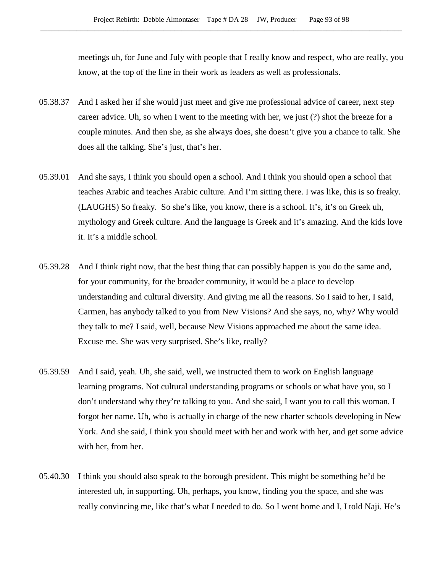meetings uh, for June and July with people that I really know and respect, who are really, you know, at the top of the line in their work as leaders as well as professionals.

- 05.38.37 And I asked her if she would just meet and give me professional advice of career, next step career advice. Uh, so when I went to the meeting with her, we just (?) shot the breeze for a couple minutes. And then she, as she always does, she doesn't give you a chance to talk. She does all the talking. She's just, that's her.
- 05.39.01 And she says, I think you should open a school. And I think you should open a school that teaches Arabic and teaches Arabic culture. And I'm sitting there. I was like, this is so freaky. (LAUGHS) So freaky. So she's like, you know, there is a school. It's, it's on Greek uh, mythology and Greek culture. And the language is Greek and it's amazing. And the kids love it. It's a middle school.
- 05.39.28 And I think right now, that the best thing that can possibly happen is you do the same and, for your community, for the broader community, it would be a place to develop understanding and cultural diversity. And giving me all the reasons. So I said to her, I said, Carmen, has anybody talked to you from New Visions? And she says, no, why? Why would they talk to me? I said, well, because New Visions approached me about the same idea. Excuse me. She was very surprised. She's like, really?
- 05.39.59 And I said, yeah. Uh, she said, well, we instructed them to work on English language learning programs. Not cultural understanding programs or schools or what have you, so I don't understand why they're talking to you. And she said, I want you to call this woman. I forgot her name. Uh, who is actually in charge of the new charter schools developing in New York. And she said, I think you should meet with her and work with her, and get some advice with her, from her.
- 05.40.30 I think you should also speak to the borough president. This might be something he'd be interested uh, in supporting. Uh, perhaps, you know, finding you the space, and she was really convincing me, like that's what I needed to do. So I went home and I, I told Naji. He's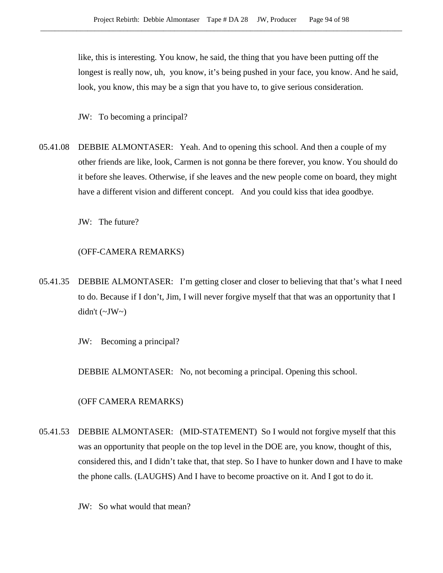like, this is interesting. You know, he said, the thing that you have been putting off the longest is really now, uh, you know, it's being pushed in your face, you know. And he said, look, you know, this may be a sign that you have to, to give serious consideration.

JW: To becoming a principal?

05.41.08 DEBBIE ALMONTASER: Yeah. And to opening this school. And then a couple of my other friends are like, look, Carmen is not gonna be there forever, you know. You should do it before she leaves. Otherwise, if she leaves and the new people come on board, they might have a different vision and different concept. And you could kiss that idea goodbye.

JW: The future?

### (OFF-CAMERA REMARKS)

05.41.35 DEBBIE ALMONTASER: I'm getting closer and closer to believing that that's what I need to do. Because if I don't, Jim, I will never forgive myself that that was an opportunity that I didn't  $(\sim JW \sim)$ 

JW: Becoming a principal?

DEBBIE ALMONTASER: No, not becoming a principal. Opening this school.

(OFF CAMERA REMARKS)

05.41.53 DEBBIE ALMONTASER: (MID-STATEMENT) So I would not forgive myself that this was an opportunity that people on the top level in the DOE are, you know, thought of this, considered this, and I didn't take that, that step. So I have to hunker down and I have to make the phone calls. (LAUGHS) And I have to become proactive on it. And I got to do it.

JW: So what would that mean?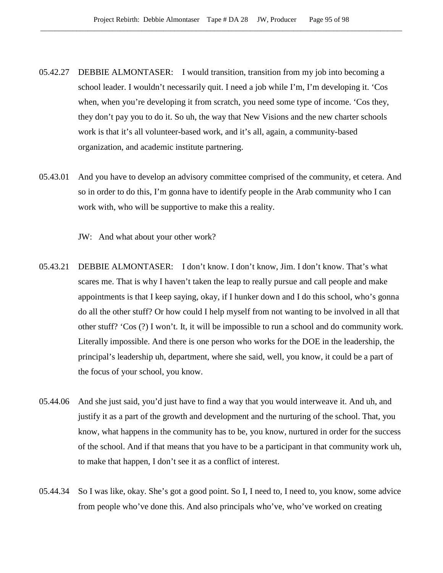- 05.42.27 DEBBIE ALMONTASER: I would transition, transition from my job into becoming a school leader. I wouldn't necessarily quit. I need a job while I'm, I'm developing it. 'Cos when, when you're developing it from scratch, you need some type of income. 'Cos they, they don't pay you to do it. So uh, the way that New Visions and the new charter schools work is that it's all volunteer-based work, and it's all, again, a community-based organization, and academic institute partnering.
- 05.43.01 And you have to develop an advisory committee comprised of the community, et cetera. And so in order to do this, I'm gonna have to identify people in the Arab community who I can work with, who will be supportive to make this a reality.

JW: And what about your other work?

- 05.43.21 DEBBIE ALMONTASER: I don't know. I don't know, Jim. I don't know. That's what scares me. That is why I haven't taken the leap to really pursue and call people and make appointments is that I keep saying, okay, if I hunker down and I do this school, who's gonna do all the other stuff? Or how could I help myself from not wanting to be involved in all that other stuff? 'Cos (?) I won't. It, it will be impossible to run a school and do community work. Literally impossible. And there is one person who works for the DOE in the leadership, the principal's leadership uh, department, where she said, well, you know, it could be a part of the focus of your school, you know.
- 05.44.06 And she just said, you'd just have to find a way that you would interweave it. And uh, and justify it as a part of the growth and development and the nurturing of the school. That, you know, what happens in the community has to be, you know, nurtured in order for the success of the school. And if that means that you have to be a participant in that community work uh, to make that happen, I don't see it as a conflict of interest.
- 05.44.34 So I was like, okay. She's got a good point. So I, I need to, I need to, you know, some advice from people who've done this. And also principals who've, who've worked on creating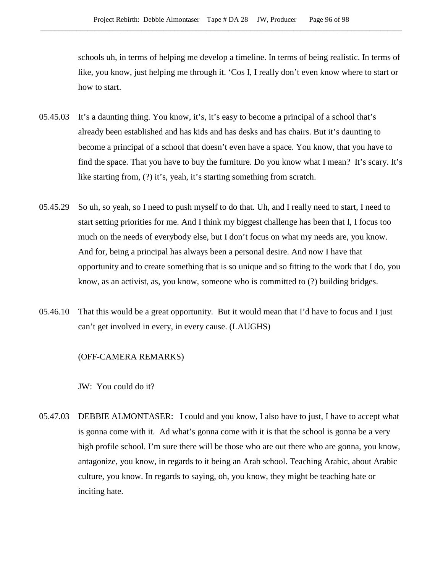schools uh, in terms of helping me develop a timeline. In terms of being realistic. In terms of like, you know, just helping me through it. 'Cos I, I really don't even know where to start or how to start.

- 05.45.03 It's a daunting thing. You know, it's, it's easy to become a principal of a school that's already been established and has kids and has desks and has chairs. But it's daunting to become a principal of a school that doesn't even have a space. You know, that you have to find the space. That you have to buy the furniture. Do you know what I mean? It's scary. It's like starting from, (?) it's, yeah, it's starting something from scratch.
- 05.45.29 So uh, so yeah, so I need to push myself to do that. Uh, and I really need to start, I need to start setting priorities for me. And I think my biggest challenge has been that I, I focus too much on the needs of everybody else, but I don't focus on what my needs are, you know. And for, being a principal has always been a personal desire. And now I have that opportunity and to create something that is so unique and so fitting to the work that I do, you know, as an activist, as, you know, someone who is committed to (?) building bridges.
- 05.46.10 That this would be a great opportunity. But it would mean that I'd have to focus and I just can't get involved in every, in every cause. (LAUGHS)

## (OFF-CAMERA REMARKS)

JW: You could do it?

05.47.03 DEBBIE ALMONTASER: I could and you know, I also have to just, I have to accept what is gonna come with it. Ad what's gonna come with it is that the school is gonna be a very high profile school. I'm sure there will be those who are out there who are gonna, you know, antagonize, you know, in regards to it being an Arab school. Teaching Arabic, about Arabic culture, you know. In regards to saying, oh, you know, they might be teaching hate or inciting hate.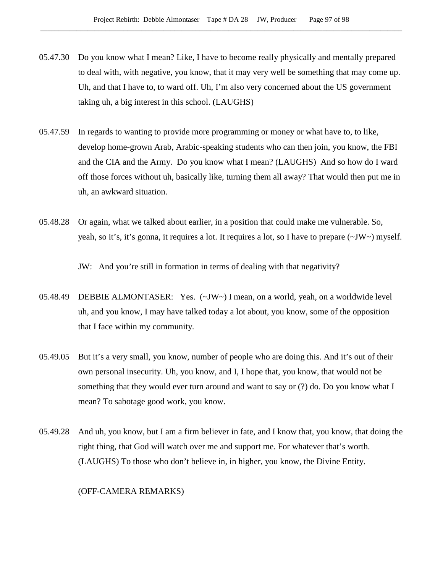- 05.47.30 Do you know what I mean? Like, I have to become really physically and mentally prepared to deal with, with negative, you know, that it may very well be something that may come up. Uh, and that I have to, to ward off. Uh, I'm also very concerned about the US government taking uh, a big interest in this school. (LAUGHS)
- 05.47.59 In regards to wanting to provide more programming or money or what have to, to like, develop home-grown Arab, Arabic-speaking students who can then join, you know, the FBI and the CIA and the Army. Do you know what I mean? (LAUGHS) And so how do I ward off those forces without uh, basically like, turning them all away? That would then put me in uh, an awkward situation.
- 05.48.28 Or again, what we talked about earlier, in a position that could make me vulnerable. So, yeah, so it's, it's gonna, it requires a lot. It requires a lot, so I have to prepare (~JW~) myself.

JW: And you're still in formation in terms of dealing with that negativity?

- 05.48.49 DEBBIE ALMONTASER: Yes. (~JW~) I mean, on a world, yeah, on a worldwide level uh, and you know, I may have talked today a lot about, you know, some of the opposition that I face within my community.
- 05.49.05 But it's a very small, you know, number of people who are doing this. And it's out of their own personal insecurity. Uh, you know, and I, I hope that, you know, that would not be something that they would ever turn around and want to say or (?) do. Do you know what I mean? To sabotage good work, you know.
- 05.49.28 And uh, you know, but I am a firm believer in fate, and I know that, you know, that doing the right thing, that God will watch over me and support me. For whatever that's worth. (LAUGHS) To those who don't believe in, in higher, you know, the Divine Entity.

## (OFF-CAMERA REMARKS)